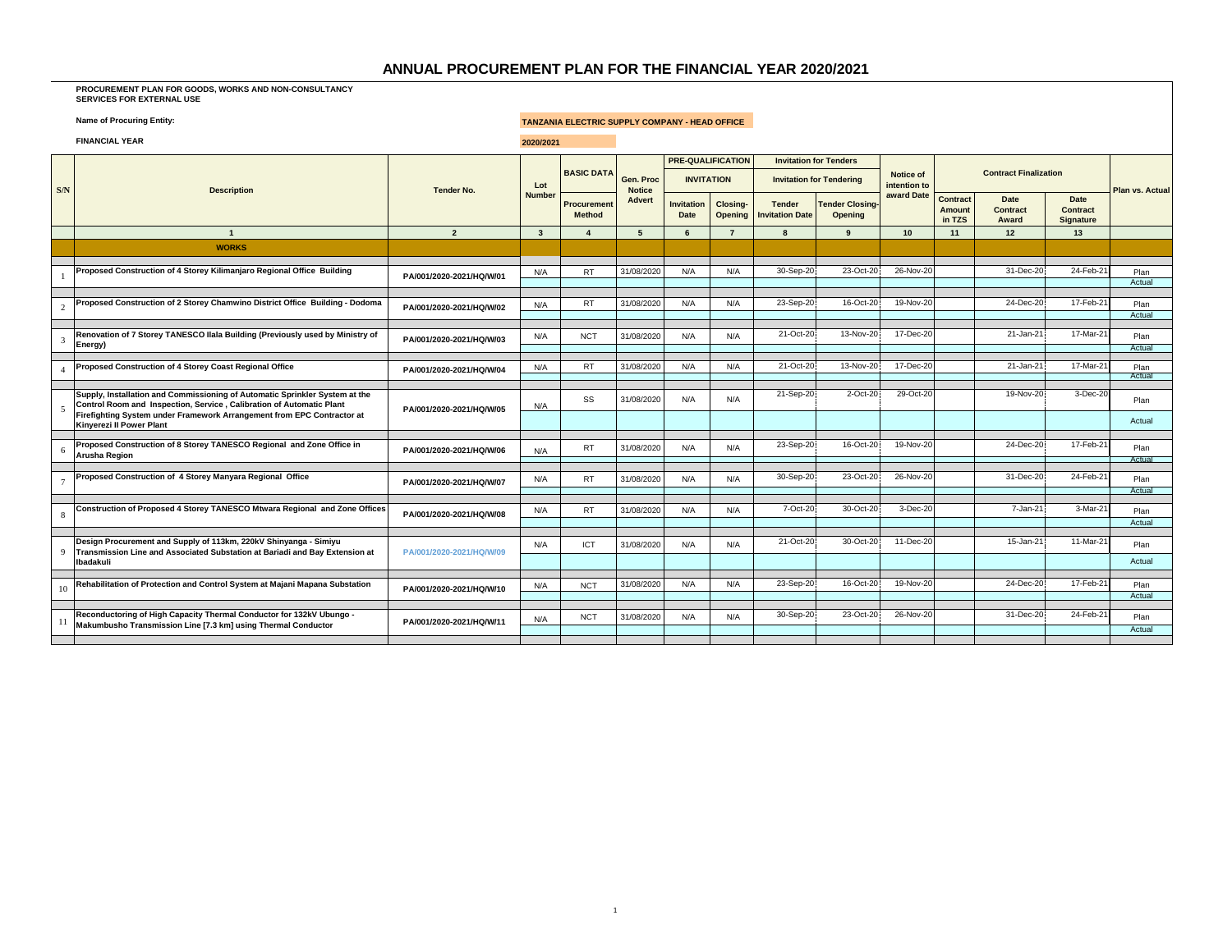## **ANNUAL PROCUREMENT PLAN FOR THE FINANCIAL YEAR 2020/2021**

## **PROCUREMENT PLAN FOR GOODS, WORKS AND NON-CONSULTANCY SERVICES FOR EXTERNAL USE**

## **Name of Procuring Entity: Name of Procuring Entity: TANZANIA ELECTRIC SUPPLY COMPANY - HEAD OFFICE**

|                | <b>FINANCIAL YEAR</b>                                                                                                                               |                          | 2020/2021     |                             |                            |                                  |                          |                                         |                                   |                            |                                     |                              |                               |                        |
|----------------|-----------------------------------------------------------------------------------------------------------------------------------------------------|--------------------------|---------------|-----------------------------|----------------------------|----------------------------------|--------------------------|-----------------------------------------|-----------------------------------|----------------------------|-------------------------------------|------------------------------|-------------------------------|------------------------|
|                |                                                                                                                                                     |                          |               | <b>BASIC DATA</b>           |                            |                                  | <b>PRE-QUALIFICATION</b> |                                         | <b>Invitation for Tenders</b>     | <b>Notice of</b>           |                                     | <b>Contract Finalization</b> |                               |                        |
| S/N            | <b>Description</b>                                                                                                                                  | <b>Tender No.</b>        | Lot<br>Number |                             | Gen. Proc<br><b>Notice</b> |                                  | <b>INVITATION</b>        |                                         | <b>Invitation for Tendering</b>   | intention to<br>award Date |                                     |                              |                               | <b>Plan vs. Actual</b> |
|                |                                                                                                                                                     |                          |               | Procuremen<br><b>Method</b> | <b>Advert</b>              | <b>Invitation</b><br><b>Date</b> | Closing-<br>Opening      | <b>Tender</b><br><b>Invitation Date</b> | <b>Tender Closing-</b><br>Opening |                            | <b>Contract</b><br>Amount<br>in TZS | Date<br>Contract<br>Award    | Date<br>Contract<br>Signature |                        |
|                | $\overline{1}$                                                                                                                                      | $\overline{2}$           | $\mathbf{3}$  | $\Delta$                    | -5                         | 6                                | $\overline{7}$           | $\mathbf{a}$                            | 9                                 | 10                         | 11                                  | 12                           | 13                            |                        |
|                | <b>WORKS</b>                                                                                                                                        |                          |               |                             |                            |                                  |                          |                                         |                                   |                            |                                     |                              |                               |                        |
|                | Proposed Construction of 4 Storey Kilimanjaro Regional Office Building                                                                              | PA/001/2020-2021/HQ/W/01 | N/A           | <b>RT</b>                   | 31/08/2020                 | N/A                              | N/A                      | 30-Sep-20                               | 23-Oct-20                         | 26-Nov-20                  |                                     | 31-Dec-20                    | 24-Feb-21                     | Plan<br>Actual         |
|                |                                                                                                                                                     |                          |               |                             |                            |                                  |                          |                                         |                                   |                            |                                     |                              |                               |                        |
| $\overline{2}$ | Proposed Construction of 2 Storey Chamwino District Office Building - Dodoma                                                                        | PA/001/2020-2021/HQ/W/02 | N/A           | <b>RT</b>                   | 31/08/2020                 | N/A                              | N/A                      | 23-Sep-20                               | 16-Oct-20                         | 19-Nov-20                  |                                     | 24-Dec-20                    | 17-Feb-21                     | Plan<br>Actual         |
| 3              | Renovation of 7 Storey TANESCO Ilala Building (Previously used by Ministry of<br>Energy)                                                            | PA/001/2020-2021/HQ/W/03 | N/A           | <b>NCT</b>                  | 31/08/2020                 | N/A                              | N/A                      | 21-Oct-20                               | 13-Nov-20                         | 17-Dec-20                  |                                     | 21-Jan-21                    | 17-Mar-21                     | Plan<br>Actual         |
|                |                                                                                                                                                     |                          |               |                             |                            |                                  |                          |                                         |                                   |                            |                                     |                              |                               |                        |
|                | Proposed Construction of 4 Storey Coast Regional Office                                                                                             | PA/001/2020-2021/HQ/W/04 | N/A           | <b>RT</b>                   | 31/08/2020                 | N/A                              | N/A                      | 21-Oct-20                               | 13-Nov-20                         | 17-Dec-20                  |                                     | 21-Jan-21                    | 17-Mar-21                     | Plan<br>Actual         |
| 5              | Supply, Installation and Commissioning of Automatic Sprinkler System at the<br>Control Room and Inspection, Service, Calibration of Automatic Plant | PA/001/2020-2021/HQ/W/05 | N/A           | SS                          | 31/08/2020                 | N/A                              | N/A                      | 21-Sep-20                               | 2-Oct-20                          | 29-Oct-20                  |                                     | 19-Nov-20                    | 3-Dec-20                      | Plan                   |
|                | Firefighting System under Framework Arrangement from EPC Contractor at<br><b>Kinverezi II Power Plant</b>                                           |                          |               |                             |                            |                                  |                          |                                         |                                   |                            |                                     |                              |                               | Actual                 |
| 6              | Proposed Construction of 8 Storey TANESCO Regional and Zone Office in<br>Arusha Region                                                              | PA/001/2020-2021/HQ/W/06 | N/A           | <b>RT</b>                   | 31/08/2020                 | N/A                              | N/A                      | 23-Sep-20                               | 16-Oct-20                         | 19-Nov-20                  |                                     | 24-Dec-20                    | 17-Feb-21                     | Plan<br>Actual         |
|                |                                                                                                                                                     |                          |               |                             |                            |                                  |                          |                                         |                                   |                            |                                     |                              |                               |                        |
| $\overline{7}$ | Proposed Construction of 4 Storey Manyara Regional Office                                                                                           | PA/001/2020-2021/HQ/W/07 | N/A           | <b>RT</b>                   | 31/08/2020                 | N/A                              | N/A                      | 30-Sep-20                               | 23-Oct-20                         | 26-Nov-20                  |                                     | 31-Dec-20                    | 24-Feb-21                     | Plan<br>Actua          |
| 8              | Construction of Proposed 4 Storey TANESCO Mtwara Regional and Zone Offices                                                                          | PA/001/2020-2021/HQ/W/08 | N/A           | RT.                         | 31/08/2020                 | N/A                              | N/A                      | 7-Oct-20                                | 30-Oct-20                         | 3-Dec-20                   |                                     | 7-Jan-21                     | 3-Mar-21                      | Plan                   |
|                |                                                                                                                                                     |                          |               |                             |                            |                                  |                          |                                         |                                   |                            |                                     |                              |                               | Actual                 |
| $\Omega$       | Design Procurement and Supply of 113km, 220kV Shinyanga - Simiyu<br>Transmission Line and Associated Substation at Bariadi and Bay Extension at     | PA/001/2020-2021/HQ/W/09 | N/A           | <b>ICT</b>                  | 31/08/2020                 | N/A                              | N/A                      | 21-Oct-20                               | 30-Oct-20                         | 11-Dec-20                  |                                     | 15-Jan-21                    | 11-Mar-21                     | Plan                   |
|                | Ibadakuli                                                                                                                                           |                          |               |                             |                            |                                  |                          |                                         |                                   |                            |                                     |                              |                               | Actual                 |
|                | Rehabilitation of Protection and Control System at Majani Mapana Substation                                                                         |                          | N/A           | <b>NCT</b>                  | 31/08/2020                 | N/A                              | N/A                      | 23-Sep-20                               | 16-Oct-20                         | 19-Nov-20                  |                                     | 24-Dec-20                    | 17-Feb-21                     | Plan                   |
| 10             |                                                                                                                                                     | PA/001/2020-2021/HQ/W/10 |               |                             |                            |                                  |                          |                                         |                                   |                            |                                     |                              |                               | Actual                 |
| 11             | Reconductoring of High Capacity Thermal Conductor for 132kV Ubungo -<br>Makumbusho Transmission Line [7.3 km] using Thermal Conductor               | PA/001/2020-2021/HQ/W/11 | N/A           | <b>NCT</b>                  | 31/08/2020                 | N/A                              | N/A                      | 30-Sep-20                               | 23-Oct-20                         | 26-Nov-20                  |                                     | 31-Dec-20                    | 24-Feb-21                     | Plan                   |
|                |                                                                                                                                                     |                          |               |                             |                            |                                  |                          |                                         |                                   |                            |                                     |                              |                               | Actual                 |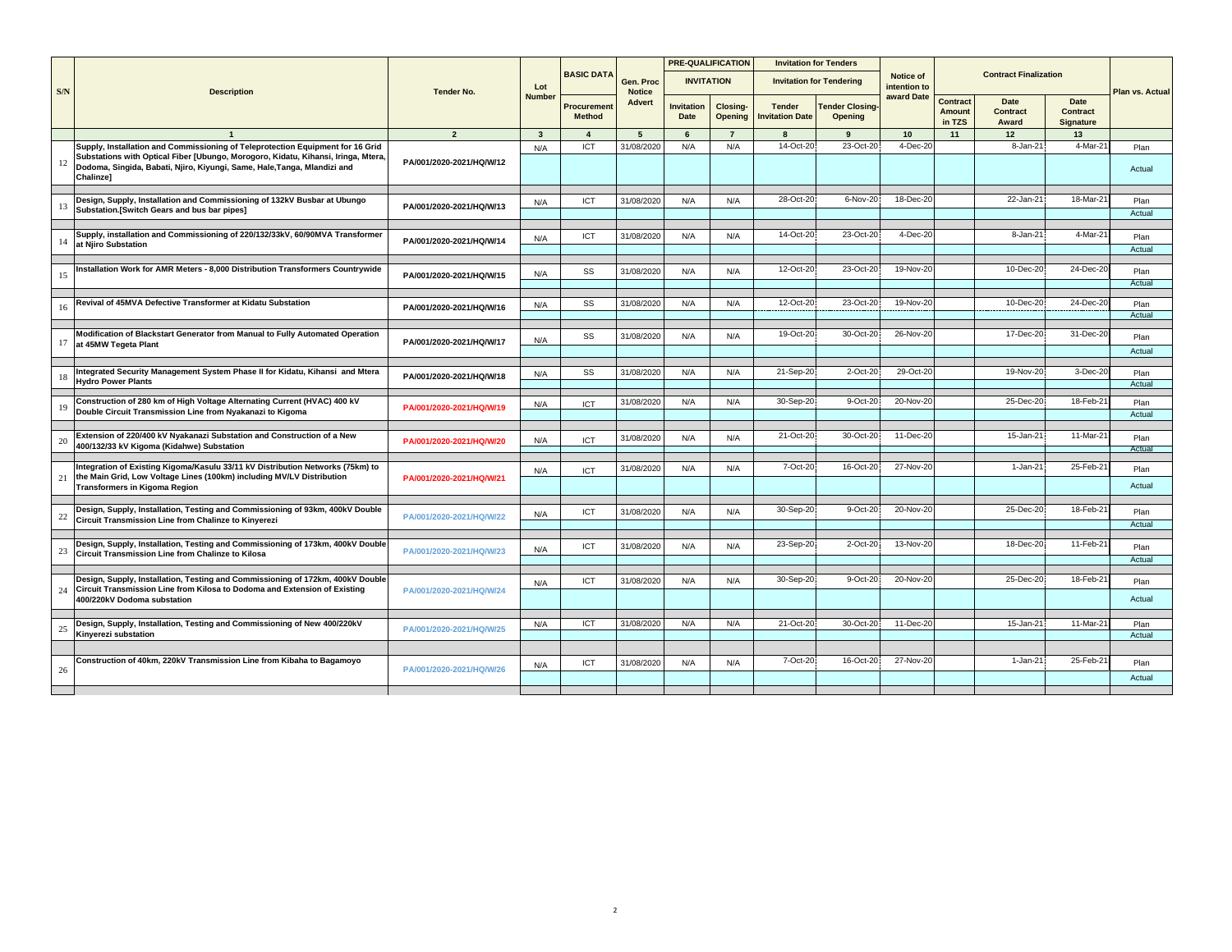|     |                                                                                                                                                                                                                                                              |                          |               |                                     |                            | <b>PRE-QUALIFICATION</b>  |                            | <b>Invitation for Tenders</b>           |                                   |                           |                                            |                                         |                               |                 |
|-----|--------------------------------------------------------------------------------------------------------------------------------------------------------------------------------------------------------------------------------------------------------------|--------------------------|---------------|-------------------------------------|----------------------------|---------------------------|----------------------------|-----------------------------------------|-----------------------------------|---------------------------|--------------------------------------------|-----------------------------------------|-------------------------------|-----------------|
| S/N | <b>Description</b>                                                                                                                                                                                                                                           | <b>Tender No.</b>        | Lot           | <b>BASIC DATA</b>                   | Gen. Proc<br><b>Notice</b> | <b>INVITATION</b>         |                            |                                         | <b>Invitation for Tendering</b>   | Notice of<br>intention to |                                            | <b>Contract Finalization</b>            |                               | Plan vs. Actual |
|     |                                                                                                                                                                                                                                                              |                          | <b>Number</b> | <b>Procurement</b><br><b>Method</b> | <b>Advert</b>              | <b>Invitation</b><br>Date | <b>Closing-</b><br>Opening | <b>Tender</b><br><b>Invitation Date</b> | <b>Tender Closing-</b><br>Opening | award Date                | <b>Contract</b><br><b>Amount</b><br>in TZS | <b>Date</b><br><b>Contract</b><br>Award | Date<br>Contract<br>Signature |                 |
|     |                                                                                                                                                                                                                                                              | $\overline{2}$           | $\mathbf{3}$  | $\mathbf{A}$                        | 5                          | 6                         | $\overline{7}$             | $\mathbf{R}$                            | $\mathbf{q}$                      | 10                        | 11                                         | 12                                      | 13                            |                 |
| 12  | Supply, Installation and Commissioning of Teleprotection Equipment for 16 Grid<br>Substations with Optical Fiber [Ubungo, Morogoro, Kidatu, Kihansi, Iringa, Mtera,<br>Dodoma, Singida, Babati, Njiro, Kiyungi, Same, Hale, Tanga, Mlandizi and<br>Chalinze] | PA/001/2020-2021/HQ/W/12 | N/A           | ICT                                 | 31/08/2020                 | N/A                       | N/A                        | 14-Oct-20                               | 23-Oct-20                         | 4-Dec-20                  |                                            | 8-Jan-21                                | 4-Mar-2                       | Plan<br>Actual  |
| 13  | Design, Supply, Installation and Commissioning of 132kV Busbar at Ubungo<br>Substation. [Switch Gears and bus bar pipes]                                                                                                                                     | PA/001/2020-2021/HQ/W/13 | N/A           | ICT                                 | 31/08/202                  | N/A                       | N/A                        | 28-Oct-20                               | 6-Nov-20                          | 18-Dec-2                  |                                            | 22-Jan-21                               | 18-Mar-2                      | Plan<br>Actual  |
| 14  | Supply, installation and Commissioning of 220/132/33kV, 60/90MVA Transformer<br>at Njiro Substation                                                                                                                                                          | PA/001/2020-2021/HQ/W/14 | N/A           | ICT                                 | 31/08/202                  | N/A                       | N/A                        | 14-Oct-20                               | 23-Oct-20                         | 4-Dec-20                  |                                            | 8-Jan-21                                | 4-Mar-2                       | Plan<br>Actual  |
| 15  | Installation Work for AMR Meters - 8,000 Distribution Transformers Countrywide                                                                                                                                                                               | PA/001/2020-2021/HQ/W/15 | N/A           | SS                                  | 31/08/2020                 | N/A                       | N/A                        | 12-Oct-20                               | 23-Oct-20                         | 19-Nov-20                 |                                            | 10-Dec-20                               | 24-Dec-20                     | Plan<br>Actual  |
| 16  | Revival of 45MVA Defective Transformer at Kidatu Substation                                                                                                                                                                                                  | PA/001/2020-2021/HQ/W/16 | N/A           | SS                                  | 31/08/202                  | N/A                       | N/A                        | 12-Oct-20                               | 23-Oct-20                         | 19-Nov-20                 |                                            | 10-Dec-20                               | 24-Dec-2                      | Plan<br>Actual  |
| 17  | Modification of Blackstart Generator from Manual to Fully Automated Operation<br>at 45MW Tegeta Plant                                                                                                                                                        | PA/001/2020-2021/HQ/W/17 | N/A           | SS                                  | 31/08/2020                 | N/A                       | N/A                        | 19-Oct-20                               | 30-Oct-20                         | 26-Nov-20                 |                                            | 17-Dec-20                               | 31-Dec-20                     | Plan<br>Actual  |
| 18  | ntegrated Security Management System Phase II for Kidatu, Kihansi and Mtera<br><b>Hydro Power Plants</b>                                                                                                                                                     | PA/001/2020-2021/HQ/W/18 | N/A           | SS                                  | 31/08/202                  | N/A                       | N/A                        | 21-Sep-20                               | 2-Oct-20                          | 29-Oct-20                 |                                            | 19-Nov-20                               | 3-Dec-2                       | Plan<br>Actual  |
| 19  | Construction of 280 km of High Voltage Alternating Current (HVAC) 400 kV<br>Double Circuit Transmission Line from Nyakanazi to Kigoma                                                                                                                        | PA/001/2020-2021/HQ/W/19 | N/A           | ICT                                 | 31/08/2020                 | N/A                       | N/A                        | 30-Sep-20                               | 9-Oct-20                          | 20-Nov-20                 |                                            | 25-Dec-20                               | 18-Feb-2                      | Plan<br>Actual  |
| 20  | Extension of 220/400 kV Nyakanazi Substation and Construction of a New<br>400/132/33 kV Kigoma (Kidahwe) Substation                                                                                                                                          | PA/001/2020-2021/HQ/W/20 | N/A           | ICT                                 | 31/08/2020                 | N/A                       | N/A                        | 21-Oct-20                               | 30-Oct-20                         | 11-Dec-20                 |                                            | 15-Jan-21                               | 11-Mar-2                      | Plan<br>Actual  |
| 21  | ntegration of Existing Kigoma/Kasulu 33/11 kV Distribution Networks (75km) to<br>the Main Grid, Low Voltage Lines (100km) including MV/LV Distribution<br><b>Transformers in Kigoma Region</b>                                                               | PA/001/2020-2021/HQ/W/21 | N/A           | <b>ICT</b>                          | 31/08/202                  | N/A                       | N/A                        | 7-Oct-20                                | 16-Oct-20                         | 27-Nov-20                 |                                            | 1-Jan-21                                | 25-Feb-2                      | Plan<br>Actual  |
| 22  | Design, Supply, Installation, Testing and Commissioning of 93km, 400kV Double<br>Circuit Transmission Line from Chalinze to Kinyerezi                                                                                                                        | PA/001/2020-2021/HQ/W/22 | N/A           | ICT                                 | 31/08/2020                 | N/A                       | N/A                        | 30-Sep-20                               | 9-Oct-20                          | 20-Nov-20                 |                                            | 25-Dec-20                               | 18-Feb-2                      | Plan<br>Actual  |
| 23  | Design, Supply, Installation, Testing and Commissioning of 173km, 400kV Double<br><b>Circuit Transmission Line from Chalinze to Kilosa</b>                                                                                                                   | PA/001/2020-2021/HQ/W/23 | N/A           | ICT                                 | 31/08/2020                 | N/A                       | N/A                        | 23-Sep-20                               | 2-Oct-20                          | 13-Nov-20                 |                                            | 18-Dec-20                               | 11-Feb-2                      | Plan<br>Actual  |
| 24  | Design, Supply, Installation, Testing and Commissioning of 172km, 400kV Double<br>Circuit Transmission Line from Kilosa to Dodoma and Extension of Existing<br>400/220kV Dodoma substation                                                                   | PA/001/2020-2021/HQ/W/24 | N/A           | ICT                                 | 31/08/2020                 | N/A                       | N/A                        | 30-Sep-20                               | 9-Oct-20                          | 20-Nov-20                 |                                            | 25-Dec-20                               | 18-Feb-2                      | Plan<br>Actual  |
| 25  | Design, Supply, Installation, Testing and Commissioning of New 400/220kV<br>Kinverezi substation                                                                                                                                                             | PA/001/2020-2021/HQ/W/25 | N/A           | ICT                                 | 31/08/2020                 | N/A                       | N/A                        | 21-Oct-20                               | 30-Oct-20                         | 11-Dec-20                 |                                            | 15-Jan-21                               | 11-Mar-2                      | Plan<br>Actual  |
| 26  | Construction of 40km, 220kV Transmission Line from Kibaha to Bagamoyo                                                                                                                                                                                        | PA/001/2020-2021/HQ/W/26 | N/A           | ICT                                 | 31/08/2020                 | N/A                       | N/A                        | 7-Oct-20                                | 16-Oct-20                         | 27-Nov-20                 |                                            | 1-Jan-21                                | 25-Feb-2                      | Plan<br>Actual  |
|     |                                                                                                                                                                                                                                                              |                          |               |                                     |                            |                           |                            |                                         |                                   |                           |                                            |                                         |                               |                 |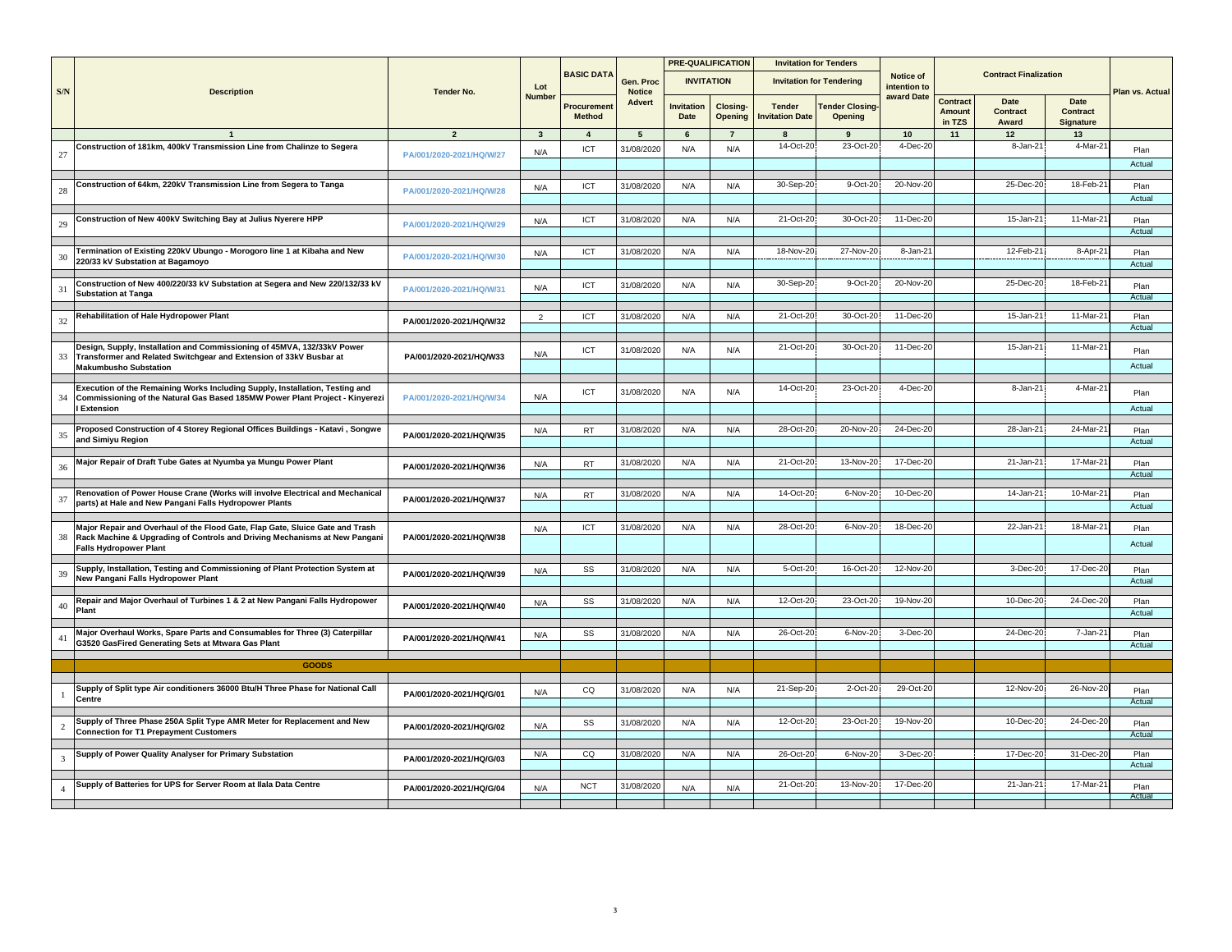|                             |                                                                                                                                                             |                          |                         |                                    |                            |                           | <b>PRE-QUALIFICATION</b>   |                                 | <b>Invitation for Tenders</b>    |                           |                              |                              |                                      |                 |
|-----------------------------|-------------------------------------------------------------------------------------------------------------------------------------------------------------|--------------------------|-------------------------|------------------------------------|----------------------------|---------------------------|----------------------------|---------------------------------|----------------------------------|---------------------------|------------------------------|------------------------------|--------------------------------------|-----------------|
| $\ensuremath{\mathrm{S/N}}$ | <b>Description</b>                                                                                                                                          | <b>Tender No.</b>        | Lot                     | <b>BASIC DATA</b>                  | Gen. Proc<br><b>Notice</b> | <b>INVITATION</b>         |                            |                                 | <b>Invitation for Tendering</b>  | Notice of<br>intention to |                              | <b>Contract Finalization</b> |                                      | Plan vs. Actual |
|                             |                                                                                                                                                             |                          | <b>Number</b>           | <b>Procuremen</b><br><b>Method</b> | <b>Advert</b>              | <b>Invitation</b><br>Date | <b>Closing-</b><br>Opening | <b>Tender</b><br>nvitation Date | <b>Tender Closing</b><br>Opening | award Date                | Contract<br>Amount<br>in TZS | Date<br>Contract<br>Award    | Date<br><b>Contract</b><br>Signature |                 |
|                             |                                                                                                                                                             |                          | $\overline{\mathbf{3}}$ | $\overline{4}$                     | $5\overline{5}$            | 6                         | $\overline{7}$             | 8                               | 9                                | 10                        | 11                           | 12                           | 13                                   |                 |
|                             | Construction of 181km, 400kV Transmission Line from Chalinze to Segera                                                                                      |                          | N/A                     | <b>ICT</b>                         | 31/08/2020                 | N/A                       | N/A                        | 14-Oct-20                       | 23-Oct-20                        | 4-Dec-20                  |                              | 8-Jan-21                     | $4-Mar-2$                            | Plan            |
| 27                          |                                                                                                                                                             | PA/001/2020-2021/HQ/W/27 |                         |                                    |                            |                           |                            |                                 |                                  |                           |                              |                              |                                      | Actual          |
|                             |                                                                                                                                                             |                          |                         |                                    |                            |                           |                            |                                 |                                  |                           |                              |                              |                                      |                 |
| 28                          | Construction of 64km, 220kV Transmission Line from Segera to Tanga                                                                                          | PA/001/2020-2021/HQ/W/28 | N/A                     | ICT                                | 31/08/2020                 | N/A                       | N/A                        | 30-Sep-20                       | 9-Oct-20                         | 20-Nov-20                 |                              | 25-Dec-20                    | 18-Feb-2                             | Plan            |
|                             |                                                                                                                                                             |                          |                         |                                    |                            |                           |                            |                                 |                                  |                           |                              |                              |                                      | Actual          |
|                             | Construction of New 400kV Switching Bay at Julius Nyerere HPP                                                                                               |                          | N/A                     | ICT                                | 31/08/2020                 | N/A                       | N/A                        | 21-Oct-20                       | 30-Oct-20                        | 11-Dec-20                 |                              | $15$ -Jan-2                  | 11-Mar-2                             | Plan            |
| 29                          |                                                                                                                                                             | PA/001/2020-2021/HQ/W/29 |                         |                                    |                            |                           |                            |                                 |                                  |                           |                              |                              |                                      | Actual          |
|                             | Termination of Existing 220kV Ubungo - Morogoro line 1 at Kibaha and New                                                                                    |                          |                         | ICT                                | 31/08/2020                 | N/A                       | N/A                        | 18-Nov-20                       | 27-Nov-20                        | 8-Jan-21                  |                              | 12-Feb-21                    | 8-Apr-2                              |                 |
| 30                          | 220/33 kV Substation at Bagamoyo                                                                                                                            | PA/001/2020-2021/HQ/W/30 | N/A                     |                                    |                            |                           |                            |                                 |                                  |                           |                              |                              |                                      | Plan<br>Actual  |
|                             |                                                                                                                                                             |                          |                         |                                    |                            |                           |                            |                                 |                                  |                           |                              |                              |                                      |                 |
| 31                          | Construction of New 400/220/33 kV Substation at Segera and New 220/132/33 kV<br><b>Substation at Tanga</b>                                                  | PA/001/2020-2021/HQ/W/31 | N/A                     | ICT                                | 31/08/2020                 | N/A                       | N/A                        | 30-Sep-20                       | 9-Oct-20                         | 20-Nov-20                 |                              | 25-Dec-20                    | 18-Feb-21                            | Plan            |
|                             |                                                                                                                                                             |                          |                         |                                    |                            |                           |                            |                                 |                                  |                           |                              |                              |                                      | Actual          |
| 32                          | Rehabilitation of Hale Hydropower Plant                                                                                                                     | PA/001/2020-2021/HQ/W/32 | $\overline{2}$          | ICT                                | 31/08/2020                 | N/A                       | N/A                        | 21-Oct-20                       | 30-Oct-20                        | 11-Dec-20                 |                              | 15-Jan-21                    | 11-Mar-21                            | Plan            |
|                             |                                                                                                                                                             |                          |                         |                                    |                            |                           |                            |                                 |                                  |                           |                              |                              |                                      | Actual          |
|                             | Design, Supply, Installation and Commissioning of 45MVA, 132/33kV Power                                                                                     |                          |                         | ICT                                | 31/08/2020                 | N/A                       | N/A                        | 21-Oct-20                       | 30-Oct-20                        | 11-Dec-20                 |                              | 15-Jan-21                    | 11-Mar-2                             | Plan            |
| 33                          | Transformer and Related Switchgear and Extension of 33kV Busbar at                                                                                          | PA/001/2020-2021/HQ/W33  | N/A                     |                                    |                            |                           |                            |                                 |                                  |                           |                              |                              |                                      | Actual          |
|                             | <b>Makumbusho Substation</b>                                                                                                                                |                          |                         |                                    |                            |                           |                            |                                 |                                  |                           |                              |                              |                                      |                 |
|                             | Execution of the Remaining Works Including Supply, Installation, Testing and                                                                                |                          |                         | ICT                                | 31/08/2020                 | N/A                       | N/A                        | 14-Oct-20                       | 23-Oct-20                        | 4-Dec-20                  |                              | 8-Jan-21                     | 4-Mar-2                              | Plan            |
| 34                          | Commissioning of the Natural Gas Based 185MW Power Plant Project - Kinyerezi<br>Extension                                                                   | PA/001/2020-2021/HQ/W/34 | N/A                     |                                    |                            |                           |                            |                                 |                                  |                           |                              |                              |                                      | Actual          |
|                             |                                                                                                                                                             |                          |                         |                                    |                            |                           |                            |                                 |                                  |                           |                              |                              |                                      |                 |
| 35                          | Proposed Construction of 4 Storey Regional Offices Buildings - Katavi, Songwe                                                                               | PA/001/2020-2021/HQ/W/35 | N/A                     | <b>RT</b>                          | 31/08/2020                 | N/A                       | N/A                        | 28-Oct-20                       | 20-Nov-20                        | 24-Dec-20                 |                              | 28-Jan-21                    | 24-Mar-21                            | Plan            |
|                             | and Simiyu Region                                                                                                                                           |                          |                         |                                    |                            |                           |                            |                                 |                                  |                           |                              |                              |                                      | Actual          |
| 36                          | Major Repair of Draft Tube Gates at Nyumba ya Mungu Power Plant                                                                                             |                          | N/A                     | <b>RT</b>                          | 31/08/2020                 | N/A                       | N/A                        | 21-Oct-20                       | 13-Nov-20                        | 17-Dec-20                 |                              | 21-Jan-21                    | $17-Mar-2'$                          | Plan            |
|                             |                                                                                                                                                             | PA/001/2020-2021/HQ/W/36 |                         |                                    |                            |                           |                            |                                 |                                  |                           |                              |                              |                                      | Actual          |
|                             | Renovation of Power House Crane (Works will involve Electrical and Mechanical                                                                               |                          | N/A                     | <b>RT</b>                          | 31/08/2020                 | N/A                       | N/A                        | 14-Oct-20                       | 6-Nov-20                         | 10-Dec-20                 |                              | $14 - Jan-2$                 | $10-Mar-2$                           | Plan            |
| 37                          | parts) at Hale and New Pangani Falls Hydropower Plants                                                                                                      | PA/001/2020-2021/HQ/W/37 |                         |                                    |                            |                           |                            |                                 |                                  |                           |                              |                              |                                      | Actual          |
|                             |                                                                                                                                                             |                          |                         |                                    |                            |                           |                            |                                 |                                  |                           |                              |                              |                                      |                 |
| 38                          | Major Repair and Overhaul of the Flood Gate, Flap Gate, Sluice Gate and Trash<br>Rack Machine & Upgrading of Controls and Driving Mechanisms at New Pangani | PA/001/2020-2021/HQ/W/38 | N/A                     | ICT                                | 31/08/2020                 | N/A                       | N/A                        | 28-Oct-20                       | 6-Nov-20                         | 18-Dec-20                 |                              | 22-Jan-2                     | 18-Mar-2                             | Plan            |
|                             | <b>Falls Hydropower Plant</b>                                                                                                                               |                          |                         |                                    |                            |                           |                            |                                 |                                  |                           |                              |                              |                                      | Actual          |
|                             |                                                                                                                                                             |                          |                         |                                    |                            |                           |                            | 5-Oct-20                        | 16-Oct-20                        | 12-Nov-20                 |                              | 3-Dec-20                     | 17-Dec-20                            |                 |
| 39                          | Supply, Installation, Testing and Commissioning of Plant Protection System at<br>New Pangani Falls Hydropower Plant                                         | PA/001/2020-2021/HQ/W/39 | N/A                     | SS                                 | 31/08/2020                 | N/A                       | N/A                        |                                 |                                  |                           |                              |                              |                                      | Plan<br>Actual  |
|                             |                                                                                                                                                             |                          |                         |                                    |                            |                           |                            |                                 |                                  |                           |                              |                              |                                      |                 |
| 40                          | Repair and Major Overhaul of Turbines 1 & 2 at New Pangani Falls Hydropower<br>Plant                                                                        | PA/001/2020-2021/HQ/W/40 | N/A                     | SS                                 | 31/08/2020                 | N/A                       | N/A                        | 12-Oct-20                       | 23-Oct-20                        | 19-Nov-20                 |                              | 10-Dec-20                    | 24-Dec-2                             | Plan            |
|                             |                                                                                                                                                             |                          |                         |                                    |                            |                           |                            |                                 |                                  |                           |                              |                              |                                      | Actual          |
| $\overline{4}$              | Major Overhaul Works, Spare Parts and Consumables for Three (3) Caterpillar                                                                                 | PA/001/2020-2021/HQ/W/41 | N/A                     | SS                                 | 31/08/2020                 | N/A                       | N/A                        | 26-Oct-20                       | 6-Nov-20                         | 3-Dec-20                  |                              | 24-Dec-20                    | 7-Jan-21                             | Plan            |
|                             | G3520 GasFired Generating Sets at Mtwara Gas Plant                                                                                                          |                          |                         |                                    |                            |                           |                            |                                 |                                  |                           |                              |                              |                                      | Actual          |
|                             | <b>GOODS</b>                                                                                                                                                |                          |                         |                                    |                            |                           |                            |                                 |                                  |                           |                              |                              |                                      |                 |
|                             |                                                                                                                                                             |                          |                         |                                    |                            |                           |                            |                                 |                                  |                           |                              |                              |                                      |                 |
|                             | Supply of Split type Air conditioners 36000 Btu/H Three Phase for National Call                                                                             | PA/001/2020-2021/HQ/G/01 | N/A                     | CQ                                 | 31/08/2020                 | N/A                       | N/A                        | 21-Sep-20                       | 2-Oct-20                         | 29-Oct-20                 |                              | 12-Nov-20                    | 26-Nov-2                             | Plan            |
|                             | Centre                                                                                                                                                      |                          |                         |                                    |                            |                           |                            |                                 |                                  |                           |                              |                              |                                      | Actual          |
|                             | Supply of Three Phase 250A Split Type AMR Meter for Replacement and New                                                                                     | PA/001/2020-2021/HQ/G/02 | N/A                     | SS                                 | 31/08/2020                 | N/A                       | N/A                        | 12-Oct-20                       | 23-Oct-20                        | 19-Nov-20                 |                              | 10-Dec-20                    | 24-Dec-2                             | Plan            |
|                             | <b>Connection for T1 Prepayment Customers</b>                                                                                                               |                          |                         |                                    |                            |                           |                            |                                 |                                  |                           |                              |                              |                                      | Actual          |
|                             | Supply of Power Quality Analyser for Primary Substation                                                                                                     |                          | N/A                     | CQ                                 | 31/08/2020                 | N/A                       | N/A                        | 26-Oct-2                        | 6-Nov-20                         | 3-Dec-20                  |                              | 17-Dec-20                    | 31-Dec-2                             | Plan            |
| $\overline{3}$              |                                                                                                                                                             | PA/001/2020-2021/HQ/G/03 |                         |                                    |                            |                           |                            |                                 |                                  |                           |                              |                              |                                      | Actual          |
|                             | Supply of Batteries for UPS for Server Room at Ilala Data Centre                                                                                            |                          |                         |                                    |                            |                           |                            | 21-Oct-20                       | 13-Nov-20                        | 17-Dec-20                 |                              | 21-Jan-2                     | 17-Mar-2                             |                 |
| $\overline{A}$              |                                                                                                                                                             | PA/001/2020-2021/HQ/G/04 | N/A                     | <b>NCT</b>                         | 31/08/2020                 | N/A                       | N/A                        |                                 |                                  |                           |                              |                              |                                      | Plan<br>Actua   |
|                             |                                                                                                                                                             |                          |                         |                                    |                            |                           |                            |                                 |                                  |                           |                              |                              |                                      |                 |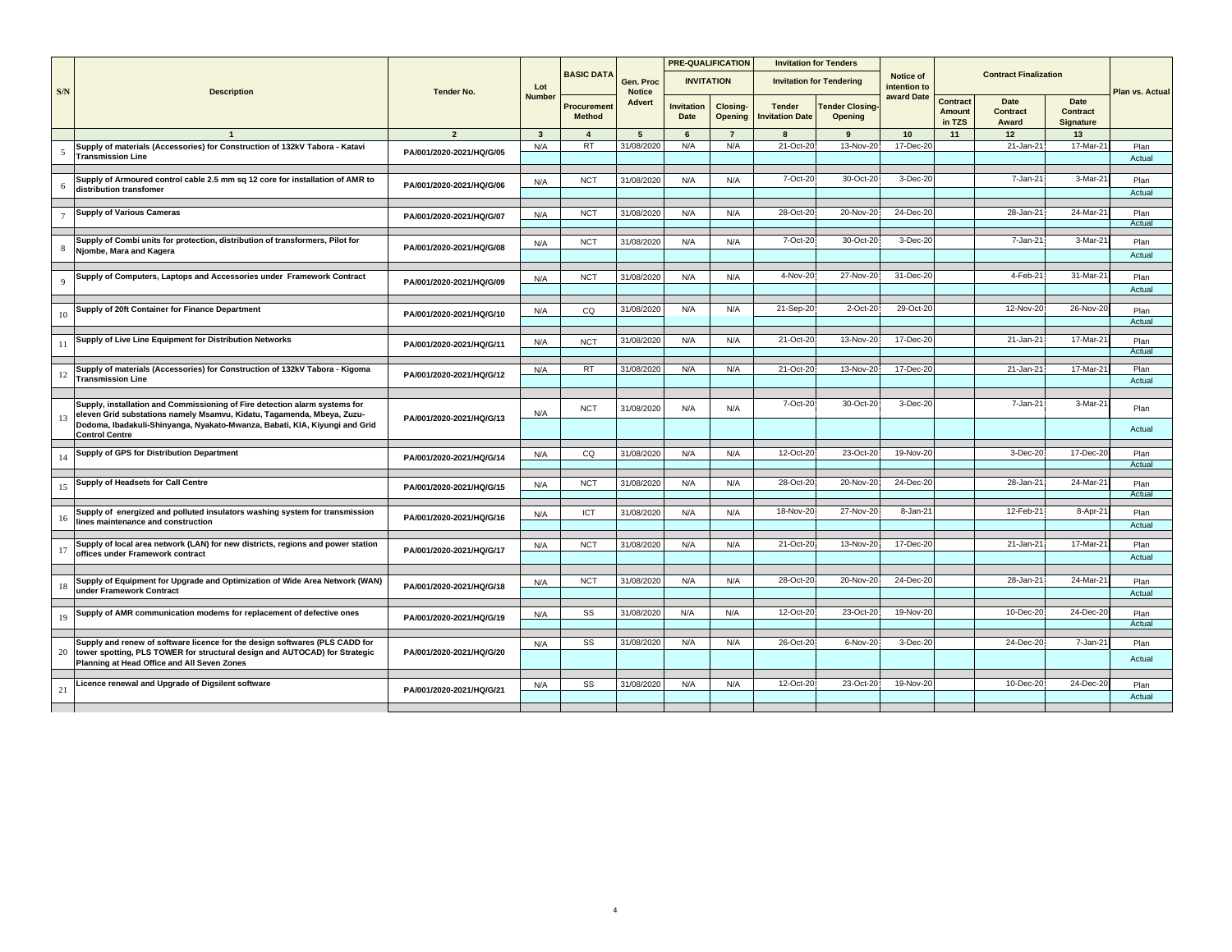|                |                                                                                                                                                      |                          |                         |                              |                            |                           | <b>PRE-QUALIFICATION</b>   |                                         | <b>Invitation for Tenders</b>     |                           |                              |                              |                                      |                 |
|----------------|------------------------------------------------------------------------------------------------------------------------------------------------------|--------------------------|-------------------------|------------------------------|----------------------------|---------------------------|----------------------------|-----------------------------------------|-----------------------------------|---------------------------|------------------------------|------------------------------|--------------------------------------|-----------------|
| S/N            | <b>Description</b>                                                                                                                                   | <b>Tender No.</b>        | Lot                     | <b>BASIC DATA</b>            | Gen. Proc<br><b>Notice</b> |                           | <b>INVITATION</b>          |                                         | <b>Invitation for Tendering</b>   | Notice of<br>intention to |                              | <b>Contract Finalization</b> |                                      | Plan vs. Actual |
|                |                                                                                                                                                      |                          | <b>Number</b>           | Procurement<br><b>Method</b> | Advert                     | <b>Invitation</b><br>Date | Closing-<br><b>Opening</b> | <b>Tender</b><br><b>Invitation Date</b> | <b>Tender Closing-</b><br>Opening | award Date                | Contract<br>Amount<br>in TZS | Date<br>Contract<br>Award    | Date<br><b>Contract</b><br>Signature |                 |
|                |                                                                                                                                                      | $\overline{2}$           | $\overline{\mathbf{3}}$ | $\mathbf{A}$                 | $5\overline{5}$            | $6\overline{6}$           | $\overline{7}$             | R                                       | $\mathbf{q}$                      | 10                        | 11                           | 12                           | 13                                   |                 |
|                | Supply of materials (Accessories) for Construction of 132kV Tabora - Katavi                                                                          |                          | N/A                     | <b>RT</b>                    | 31/08/2020                 | N/A                       | N/A                        | 21-Oct-20                               | 13-Nov-20                         | 17-Dec-2                  |                              | 21-Jan-21                    | 17-Mar-21                            | Plan            |
| 5              | <b>Transmission Line</b>                                                                                                                             | PA/001/2020-2021/HQ/G/05 |                         |                              |                            |                           |                            |                                         |                                   |                           |                              |                              |                                      | Actual          |
|                |                                                                                                                                                      |                          |                         |                              |                            |                           |                            |                                         |                                   |                           |                              |                              |                                      |                 |
|                | Supply of Armoured control cable 2.5 mm sq 12 core for installation of AMR to                                                                        |                          | N/A                     | <b>NCT</b>                   | 31/08/2020                 | N/A                       | N/A                        | 7-Oct-20                                | 30-Oct-20                         | 3-Dec-20                  |                              | 7-Jan-21                     | 3-Mar-2                              | Plan            |
|                | distribution transfomer                                                                                                                              | PA/001/2020-2021/HQ/G/06 |                         |                              |                            |                           |                            |                                         |                                   |                           |                              |                              |                                      | Actual          |
|                |                                                                                                                                                      |                          |                         |                              |                            |                           |                            |                                         |                                   |                           |                              |                              |                                      |                 |
| $\overline{7}$ | <b>Supply of Various Cameras</b>                                                                                                                     | PA/001/2020-2021/HQ/G/07 | N/A                     | <b>NCT</b>                   | 31/08/202                  | N/A                       | N/A                        | 28-Oct-20                               | 20-Nov-20                         | 24-Dec-20                 |                              | 28-Jan-21                    | 24-Mar-2                             | Plan            |
|                |                                                                                                                                                      |                          |                         |                              |                            |                           |                            |                                         |                                   |                           |                              |                              |                                      | Actual          |
|                | Supply of Combi units for protection, distribution of transformers, Pilot for                                                                        |                          |                         | <b>NCT</b>                   | 31/08/202                  | N/A                       | N/A                        | 7-Oct-20                                | 30-Oct-20                         | 3-Dec-20                  |                              | 7-Jan-21                     | 3-Mar-2                              |                 |
| -8             | Njombe, Mara and Kagera                                                                                                                              | PA/001/2020-2021/HQ/G/08 | N/A                     |                              |                            |                           |                            |                                         |                                   |                           |                              |                              |                                      | Plan            |
|                |                                                                                                                                                      |                          |                         |                              |                            |                           |                            |                                         |                                   |                           |                              |                              |                                      | Actual          |
|                |                                                                                                                                                      |                          |                         |                              | 31/08/2020                 | N/A                       | N/A                        | 4-Nov-20                                | 27-Nov-20                         | 31-Dec-20                 |                              | 4-Feb-21                     | 31-Mar-21                            |                 |
| 9              | Supply of Computers, Laptops and Accessories under Framework Contract                                                                                | PA/001/2020-2021/HQ/G/09 | N/A                     | <b>NCT</b>                   |                            |                           |                            |                                         |                                   |                           |                              |                              |                                      | Plan            |
|                |                                                                                                                                                      |                          |                         |                              |                            |                           |                            |                                         |                                   |                           |                              |                              |                                      | Actual          |
|                | Supply of 20ft Container for Finance Department                                                                                                      |                          | N/A                     | CQ                           | 31/08/2020                 | N/A                       | N/A                        | 21-Sep-20                               | 2-Oct-20                          | 29-Oct-20                 |                              | 12-Nov-20                    | 26-Nov-20                            | Plan            |
| 10             |                                                                                                                                                      | PA/001/2020-2021/HQ/G/10 |                         |                              |                            |                           |                            |                                         |                                   |                           |                              |                              |                                      | Actual          |
|                |                                                                                                                                                      |                          |                         |                              |                            |                           |                            |                                         |                                   |                           |                              |                              |                                      |                 |
| 11             | Supply of Live Line Equipment for Distribution Networks                                                                                              | PA/001/2020-2021/HQ/G/11 | N/A                     | <b>NCT</b>                   | 31/08/202                  | N/A                       | N/A                        | 21-Oct-20                               | 13-Nov-20                         | 17-Dec-20                 |                              | 21-Jan-2                     | 17-Mar-2                             | Plan            |
|                |                                                                                                                                                      |                          |                         |                              |                            |                           |                            |                                         |                                   |                           |                              |                              |                                      | Actual          |
|                |                                                                                                                                                      |                          |                         |                              |                            |                           |                            |                                         |                                   |                           |                              |                              |                                      |                 |
| 12             | Supply of materials (Accessories) for Construction of 132kV Tabora - Kigoma<br><b>Transmission Line</b>                                              | PA/001/2020-2021/HQ/G/12 | N/A                     | RT                           | 31/08/2020                 | N/A                       | N/A                        | 21-Oct-20                               | 13-Nov-20                         | 17-Dec-2                  |                              | 21-Jan-21                    | 17-Mar-2                             | Plan            |
|                |                                                                                                                                                      |                          |                         |                              |                            |                           |                            |                                         |                                   |                           |                              |                              |                                      | Actual          |
|                |                                                                                                                                                      |                          |                         |                              |                            |                           |                            |                                         |                                   |                           |                              |                              |                                      |                 |
|                | Supply, installation and Commissioning of Fire detection alarm systems for<br>eleven Grid substations namely Msamvu, Kidatu, Tagamenda, Mbeya, Zuzu- |                          | N/A                     | <b>NCT</b>                   | 31/08/2020                 | N/A                       | N/A                        | 7-Oct-20                                | 30-Oct-20                         | 3-Dec-20                  |                              | 7-Jan-21                     | 3-Mar-2                              | Plan            |
| 13             | Dodoma, Ibadakuli-Shinyanga, Nyakato-Mwanza, Babati, KIA, Kiyungi and Grid                                                                           | PA/001/2020-2021/HQ/G/13 |                         |                              |                            |                           |                            |                                         |                                   |                           |                              |                              |                                      |                 |
|                | <b>Control Centre</b>                                                                                                                                |                          |                         |                              |                            |                           |                            |                                         |                                   |                           |                              |                              |                                      | Actual          |
|                |                                                                                                                                                      |                          |                         |                              |                            |                           |                            |                                         |                                   |                           |                              |                              |                                      |                 |
| 14             | Supply of GPS for Distribution Department                                                                                                            | PA/001/2020-2021/HQ/G/14 | N/A                     | CQ                           | 31/08/202                  | N/A                       | N/A                        | 12-Oct-20                               | 23-Oct-20                         | 19-Nov-20                 |                              | 3-Dec-20                     | 17-Dec-20                            | Plan            |
|                |                                                                                                                                                      |                          |                         |                              |                            |                           |                            |                                         |                                   |                           |                              |                              |                                      | Actual          |
|                | Supply of Headsets for Call Centre                                                                                                                   |                          |                         | <b>NCT</b>                   | 31/08/2020                 | N/A                       | N/A                        | 28-Oct-20                               | 20-Nov-20                         | 24-Dec-20                 |                              | 28-Jan-2                     | 24-Mar-2                             | Plan            |
| 15             |                                                                                                                                                      | PA/001/2020-2021/HQ/G/15 | N/A                     |                              |                            |                           |                            |                                         |                                   |                           |                              |                              |                                      | Actual          |
|                |                                                                                                                                                      |                          |                         |                              |                            |                           |                            |                                         |                                   |                           |                              |                              |                                      |                 |
| 16             | Supply of energized and polluted insulators washing system for transmission                                                                          | PA/001/2020-2021/HQ/G/16 | N/A                     | ICT                          | 31/08/202                  | N/A                       | N/A                        | 18-Nov-20                               | 27-Nov-20                         | 8-Jan-21                  |                              | 12-Feb-21                    | 8-Apr-21                             | Plan            |
|                | lines maintenance and construction                                                                                                                   |                          |                         |                              |                            |                           |                            |                                         |                                   |                           |                              |                              |                                      | Actual          |
|                |                                                                                                                                                      |                          |                         |                              |                            |                           |                            |                                         |                                   |                           |                              |                              |                                      |                 |
|                | Supply of local area network (LAN) for new districts, regions and power station                                                                      | PA/001/2020-2021/HQ/G/17 | N/A                     | <b>NCT</b>                   | 31/08/2020                 | N/A                       | N/A                        | 21-Oct-20                               | 13-Nov-20                         | 17-Dec-20                 |                              | $21 - Jan-2'$                | 17-Mar-2                             | Plan            |
|                | offices under Framework contract                                                                                                                     |                          |                         |                              |                            |                           |                            |                                         |                                   |                           |                              |                              |                                      | Actual          |
|                |                                                                                                                                                      |                          |                         |                              |                            |                           |                            |                                         |                                   |                           |                              |                              |                                      |                 |
| 18             | Supply of Equipment for Upgrade and Optimization of Wide Area Network (WAN)                                                                          | PA/001/2020-2021/HQ/G/18 | N/A                     | <b>NCT</b>                   | 31/08/2020                 | N/A                       | N/A                        | 28-Oct-20                               | 20-Nov-20                         | 24-Dec-20                 |                              | 28-Jan-2                     | 24-Mar-2                             | Plan            |
|                | under Framework Contract                                                                                                                             |                          |                         |                              |                            |                           |                            |                                         |                                   |                           |                              |                              |                                      | Actual          |
|                | Supply of AMR communication modems for replacement of defective ones                                                                                 |                          |                         | SS                           | 31/08/202                  | N/A                       | N/A                        | 12-Oct-20                               | 23-Oct-20                         | 19-Nov-20                 |                              | 10-Dec-20                    | 24-Dec-20                            |                 |
| 19             |                                                                                                                                                      | PA/001/2020-2021/HQ/G/19 | N/A                     |                              |                            |                           |                            |                                         |                                   |                           |                              |                              |                                      | Plan<br>Actual  |
|                |                                                                                                                                                      |                          |                         |                              |                            |                           |                            |                                         |                                   |                           |                              |                              |                                      |                 |
|                | Supply and renew of software licence for the design softwares (PLS CADD for                                                                          |                          | N/A                     | SS                           | 31/08/2020                 | N/A                       | N/A                        | 26-Oct-20                               | 6-Nov-20                          | 3-Dec-20                  |                              | 24-Dec-20                    | $7 - Jan-2$                          | Plan            |
| 20             | tower spotting, PLS TOWER for structural design and AUTOCAD) for Strategic                                                                           | PA/001/2020-2021/HQ/G/20 |                         |                              |                            |                           |                            |                                         |                                   |                           |                              |                              |                                      | Actual          |
|                | Planning at Head Office and All Seven Zones                                                                                                          |                          |                         |                              |                            |                           |                            |                                         |                                   |                           |                              |                              |                                      |                 |
|                |                                                                                                                                                      |                          |                         |                              |                            |                           |                            |                                         |                                   |                           |                              |                              |                                      |                 |
| 21             | Licence renewal and Upgrade of Digsilent software                                                                                                    | PA/001/2020-2021/HQ/G/21 | N/A                     | SS                           | 31/08/2020                 | N/A                       | N/A                        | 12-Oct-20                               | 23-Oct-20                         | 19-Nov-20                 |                              | 10-Dec-20                    | 24-Dec-2                             | Plan            |
|                |                                                                                                                                                      |                          |                         |                              |                            |                           |                            |                                         |                                   |                           |                              |                              |                                      | Actual          |
|                |                                                                                                                                                      |                          |                         |                              |                            |                           |                            |                                         |                                   |                           |                              |                              |                                      |                 |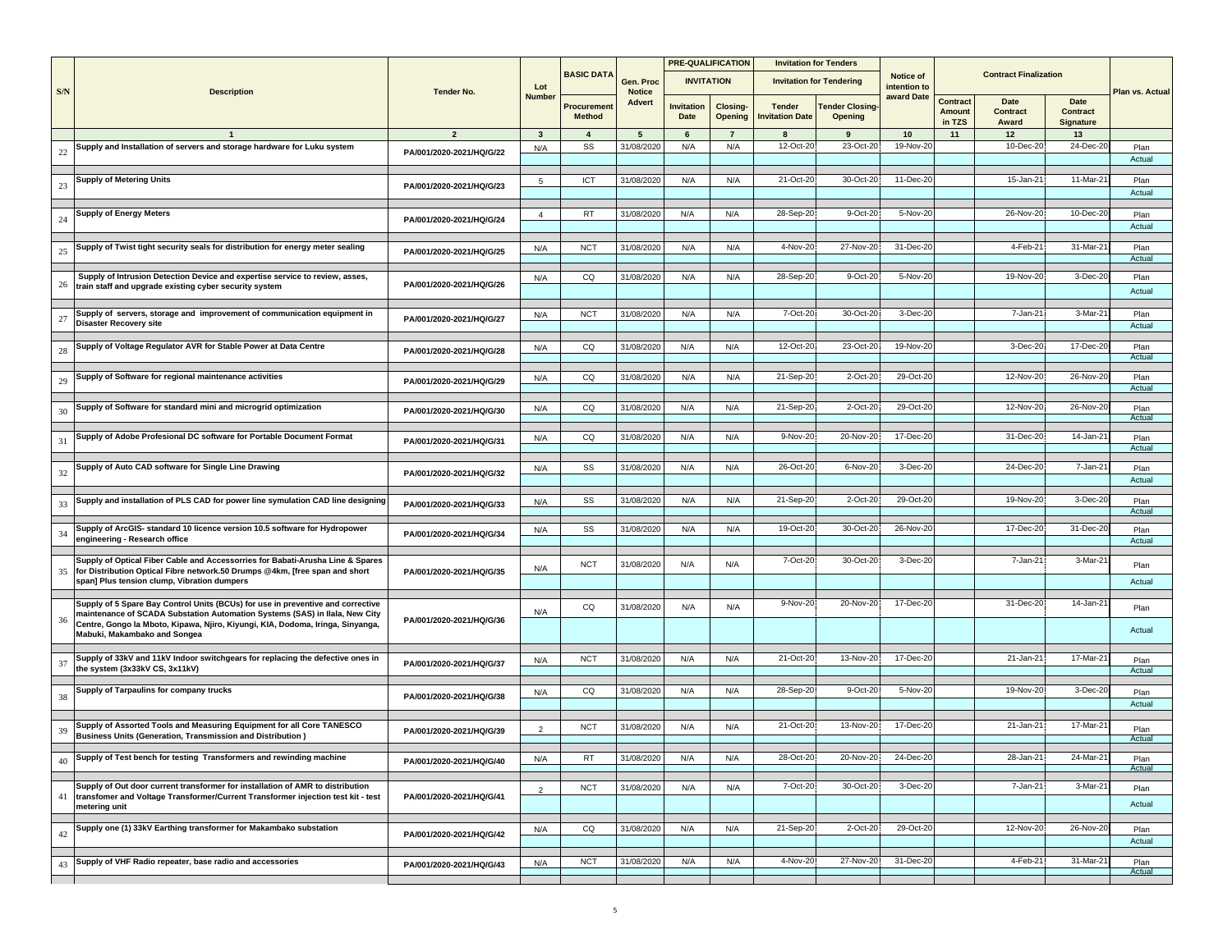|     |                                                                                                           |                          |                |                             |                         |                           | <b>PRE-QUALIFICATION</b>   |                                         | <b>Invitation for Tenders</b>    |                           |                                            |                                  |                                      |                 |
|-----|-----------------------------------------------------------------------------------------------------------|--------------------------|----------------|-----------------------------|-------------------------|---------------------------|----------------------------|-----------------------------------------|----------------------------------|---------------------------|--------------------------------------------|----------------------------------|--------------------------------------|-----------------|
|     |                                                                                                           |                          | Lot            | <b>BASIC DATA</b>           | Gen. Proc               |                           | <b>INVITATION</b>          |                                         | <b>Invitation for Tendering</b>  | Notice of<br>intention to |                                            | <b>Contract Finalization</b>     |                                      |                 |
| S/N | <b>Description</b>                                                                                        | <b>Tender No.</b>        | <b>Number</b>  | Procuremen<br><b>Method</b> | <b>Notice</b><br>Advert | <b>Invitation</b><br>Date | <b>Closing-</b><br>Opening | <b>Tender</b><br><b>Invitation Date</b> | <b>Tender Closing</b><br>Opening | award Date                | <b>Contract</b><br><b>Amount</b><br>in TZS | Date<br><b>Contract</b><br>Award | Date<br><b>Contract</b><br>Signature | Plan vs. Actual |
|     |                                                                                                           | $\overline{2}$           | $\mathbf{3}$   | $\overline{4}$              | $5\overline{5}$         | 6                         | $\overline{7}$             | 8                                       | 9                                | 10                        | 11                                         | 12                               | 13                                   |                 |
| 22  | Supply and Installation of servers and storage hardware for Luku system                                   | PA/001/2020-2021/HQ/G/22 | N/A            | SS                          | 31/08/202               | N/A                       | N/A                        | 12-Oct-20                               | 23-Oct-20                        | 19-Nov-20                 |                                            | 10-Dec-20                        | 24-Dec-2                             | Plan            |
|     |                                                                                                           |                          |                |                             |                         |                           |                            |                                         |                                  |                           |                                            |                                  |                                      | Actual          |
|     | <b>Supply of Metering Units</b>                                                                           |                          | 5              | ICT                         | 31/08/2020              | N/A                       | N/A                        | 21-Oct-20                               | 30-Oct-20                        | 11-Dec-20                 |                                            | 15-Jan-2                         | 11-Mar-2                             | Plan            |
| 23  |                                                                                                           | PA/001/2020-2021/HQ/G/23 |                |                             |                         |                           |                            |                                         |                                  |                           |                                            |                                  |                                      | Actual          |
|     |                                                                                                           |                          |                |                             | 31/08/2020              | N/A                       | N/A                        | 28-Sep-20                               | 9-Oct-20                         | 5-Nov-20                  |                                            | 26-Nov-20                        | 10-Dec-20                            |                 |
| 24  | <b>Supply of Energy Meters</b>                                                                            | PA/001/2020-2021/HQ/G/24 | $\overline{4}$ | RT                          |                         |                           |                            |                                         |                                  |                           |                                            |                                  |                                      | Plan<br>Actual  |
|     |                                                                                                           |                          |                |                             |                         |                           |                            | 4-Nov-20                                | 27-Nov-20                        | 31-Dec-20                 |                                            | 4-Feb-2                          | 31-Mar-2                             |                 |
| 25  | Supply of Twist tight security seals for distribution for energy meter sealing                            | PA/001/2020-2021/HQ/G/25 | N/A            | <b>NCT</b>                  | 31/08/202               | N/A                       | N/A                        |                                         |                                  |                           |                                            |                                  |                                      | Plan<br>Actual  |
|     | Supply of Intrusion Detection Device and expertise service to review, asses,                              |                          | N/A            | CQ                          | 31/08/2020              | N/A                       | N/A                        | 28-Sep-20                               | 9-Oct-20                         | 5-Nov-20                  |                                            | 19-Nov-20                        | 3-Dec-20                             | Plan            |
| 26  | train staff and upgrade existing cyber security system                                                    | PA/001/2020-2021/HQ/G/26 |                |                             |                         |                           |                            |                                         |                                  |                           |                                            |                                  |                                      | Actual          |
|     |                                                                                                           |                          |                |                             |                         |                           |                            |                                         |                                  |                           |                                            |                                  |                                      |                 |
| 27  | Supply of servers, storage and improvement of communication equipment in<br><b>Disaster Recovery site</b> | PA/001/2020-2021/HQ/G/27 | N/A            | <b>NCT</b>                  | 31/08/2020              | N/A                       | N/A                        | 7-Oct-20                                | 30-Oct-20                        | 3-Dec-20                  |                                            | 7-Jan-21                         | 3-Mar-2                              | Plan<br>Actual  |
|     |                                                                                                           |                          |                |                             |                         |                           |                            |                                         |                                  |                           |                                            |                                  |                                      |                 |
| 28  | Supply of Voltage Regulator AVR for Stable Power at Data Centre                                           | PA/001/2020-2021/HQ/G/28 | N/A            | CQ                          | 31/08/2020              | N/A                       | N/A                        | 12-Oct-20                               | 23-Oct-20                        | 19-Nov-20                 |                                            | 3-Dec-20                         | 17-Dec-2                             | Plan            |
|     |                                                                                                           |                          |                |                             |                         |                           |                            |                                         |                                  |                           |                                            |                                  |                                      | Actual          |
| 29  | Supply of Software for regional maintenance activities                                                    | PA/001/2020-2021/HQ/G/29 | N/A            | CQ                          | 31/08/2020              | N/A                       | N/A                        | 21-Sep-20                               | 2-Oct-20                         | 29-Oct-20                 |                                            | 12-Nov-20                        | 26-Nov-20                            | Plan            |
|     |                                                                                                           |                          |                |                             |                         |                           |                            |                                         |                                  |                           |                                            |                                  |                                      | Actual          |
|     | Supply of Software for standard mini and microgrid optimization                                           |                          | N/A            | CQ                          | 31/08/2020              | N/A                       | N/A                        | 21-Sep-20                               | 2-Oct-20                         | 29-Oct-20                 |                                            | 12-Nov-20                        | 26-Nov-2                             | Plan            |
| 30  |                                                                                                           | PA/001/2020-2021/HQ/G/30 |                |                             |                         |                           |                            |                                         |                                  |                           |                                            |                                  |                                      | Actual          |
|     | Supply of Adobe Profesional DC software for Portable Document Format                                      |                          | N/A            | CQ                          | 31/08/202               | N/A                       | N/A                        | 9-Nov-20                                | 20-Nov-20                        | 17-Dec-20                 |                                            | 31-Dec-20                        | $14$ -Jan-2                          | Plan            |
| 31  |                                                                                                           | PA/001/2020-2021/HQ/G/31 |                |                             |                         |                           |                            |                                         |                                  |                           |                                            |                                  |                                      | Actual          |
|     |                                                                                                           |                          |                |                             |                         |                           |                            |                                         |                                  |                           |                                            |                                  |                                      |                 |
| 32  | Supply of Auto CAD software for Single Line Drawing                                                       | PA/001/2020-2021/HQ/G/32 | N/A            | SS                          | 31/08/2020              | N/A                       | N/A                        | 26-Oct-20                               | 6-Nov-20                         | 3-Dec-20                  |                                            | 24-Dec-20                        | 7-Jan-2                              | Plan            |
|     |                                                                                                           |                          |                |                             |                         |                           |                            |                                         |                                  |                           |                                            |                                  |                                      | Actual          |
| 33  | Supply and installation of PLS CAD for power line symulation CAD line designing                           | PA/001/2020-2021/HQ/G/33 | N/A            | SS                          | 31/08/2020              | N/A                       | N/A                        | 21-Sep-20                               | 2-Oct-20                         | 29-Oct-20                 |                                            | 19-Nov-20                        | 3-Dec-2                              | Plan            |
|     |                                                                                                           |                          |                |                             |                         |                           |                            |                                         |                                  |                           |                                            |                                  |                                      | Actual          |
| 34  | Supply of ArcGIS- standard 10 licence version 10.5 software for Hydropower                                | PA/001/2020-2021/HQ/G/34 | N/A            | SS                          | 31/08/202               | N/A                       | N/A                        | 19-Oct-20                               | 30-Oct-20                        | 26-Nov-20                 |                                            | 17-Dec-20                        | 31-Dec-2                             | Plan            |
|     | engineering - Research office                                                                             |                          |                |                             |                         |                           |                            |                                         |                                  |                           |                                            |                                  |                                      | Actual          |
|     | Supply of Optical Fiber Cable and Accessorries for Babati-Arusha Line & Spares                            |                          |                |                             |                         |                           |                            | 7-Oct-20                                | 30-Oct-20                        | 3-Dec-20                  |                                            | 7-Jan-21                         | 3-Mar-2                              |                 |
| 35  | for Distribution Optical Fibre network.50 Drumps @4km, [free span and short                               | PA/001/2020-2021/HQ/G/35 | N/A            | <b>NCT</b>                  | 31/08/2020              | N/A                       | N/A                        |                                         |                                  |                           |                                            |                                  |                                      | Plan            |
|     | span] Plus tension clump, Vibration dumpers                                                               |                          |                |                             |                         |                           |                            |                                         |                                  |                           |                                            |                                  |                                      | Actual          |
|     | Supply of 5 Spare Bay Control Units (BCUs) for use in preventive and corrective                           |                          |                |                             |                         |                           |                            | 9-Nov-20                                | 20-Nov-20                        | 17-Dec-20                 |                                            | 31-Dec-20                        | 14-Jan-2                             |                 |
|     | maintenance of SCADA Substation Automation Systems (SAS) in Ilala, New City                               |                          | N/A            | CQ                          | 31/08/2020              | N/A                       | N/A                        |                                         |                                  |                           |                                            |                                  |                                      | Plan            |
| 36  | Centre, Gongo la Mboto, Kipawa, Njiro, Kiyungi, KIA, Dodoma, Iringa, Sinyanga,                            | PA/001/2020-2021/HQ/G/36 |                |                             |                         |                           |                            |                                         |                                  |                           |                                            |                                  |                                      | Actual          |
|     | Mabuki, Makambako and Songea                                                                              |                          |                |                             |                         |                           |                            |                                         |                                  |                           |                                            |                                  |                                      |                 |
|     | Supply of 33kV and 11kV Indoor switchgears for replacing the defective ones in                            |                          | N/A            | <b>NCT</b>                  | 31/08/2020              | N/A                       | N/A                        | 21-Oct-20                               | 13-Nov-20                        | 17-Dec-20                 |                                            | 21-Jan-21                        | 17-Mar-2                             | Plan            |
| 37  | the system (3x33kV CS, 3x11kV)                                                                            | PA/001/2020-2021/HQ/G/37 |                |                             |                         |                           |                            |                                         |                                  |                           |                                            |                                  |                                      | Actual          |
|     | Supply of Tarpaulins for company trucks                                                                   |                          |                | CQ                          | 31/08/2020              | N/A                       | N/A                        | 28-Sep-20                               | 9-Oct-20                         | 5-Nov-20                  |                                            | 19-Nov-20                        | 3-Dec-2                              |                 |
| 38  |                                                                                                           | PA/001/2020-2021/HQ/G/38 | N/A            |                             |                         |                           |                            |                                         |                                  |                           |                                            |                                  |                                      | Plan<br>Actual  |
|     |                                                                                                           |                          |                |                             |                         |                           |                            |                                         |                                  |                           |                                            |                                  |                                      |                 |
| 39  | Supply of Assorted Tools and Measuring Equipment for all Core TANESCO                                     | PA/001/2020-2021/HQ/G/39 | $\overline{2}$ | <b>NCT</b>                  | 31/08/2020              | N/A                       | N/A                        | 21-Oct-20                               | 13-Nov-20                        | 17-Dec-20                 |                                            | 21-Jan-21                        | 17-Mar-2                             | Plan            |
|     | <b>Business Units (Generation, Transmission and Distribution)</b>                                         |                          |                |                             |                         |                           |                            |                                         |                                  |                           |                                            |                                  |                                      | Actual          |
| 40  | Supply of Test bench for testing Transformers and rewinding machine                                       | PA/001/2020-2021/HQ/G/40 | N/A            | RT                          | 31/08/2020              | N/A                       | N/A                        | 28-Oct-20                               | 20-Nov-20                        | 24-Dec-20                 |                                            | 28-Jan-21                        | 24-Mar-2                             | Plan            |
|     |                                                                                                           |                          |                |                             |                         |                           |                            |                                         |                                  |                           |                                            |                                  |                                      | Actual          |
|     | Supply of Out door current transformer for installation of AMR to distribution                            |                          | $\overline{2}$ | <b>NCT</b>                  | 31/08/2020              | N/A                       | N/A                        | 7-Oct-20                                | 30-Oct-20                        | 3-Dec-20                  |                                            | $7 - Jan-2$                      | 3-Mar-2                              | Plan            |
| 41  | transfomer and Voltage Transformer/Current Transformer injection test kit - test                          | PA/001/2020-2021/HQ/G/41 |                |                             |                         |                           |                            |                                         |                                  |                           |                                            |                                  |                                      | Actual          |
|     | metering unit                                                                                             |                          |                |                             |                         |                           |                            |                                         |                                  |                           |                                            |                                  |                                      |                 |
|     | Supply one (1) 33kV Earthing transformer for Makambako substation                                         |                          | N/A            | CQ                          | 31/08/2020              | N/A                       | N/A                        | 21-Sep-20                               | 2-Oct-20                         | 29-Oct-20                 |                                            | 12-Nov-20                        | 26-Nov-20                            | Plan            |
| 42  |                                                                                                           | PA/001/2020-2021/HQ/G/42 |                |                             |                         |                           |                            |                                         |                                  |                           |                                            |                                  |                                      | Actual          |
|     | Supply of VHF Radio repeater, base radio and accessories                                                  |                          |                |                             | 31/08/2020              | N/A                       | N/A                        | 4-Nov-20                                | 27-Nov-20                        | 31-Dec-20                 |                                            | 4-Feb-2                          | 31-Mar-2                             |                 |
| 43  |                                                                                                           | PA/001/2020-2021/HQ/G/43 | N/A            | <b>NCT</b>                  |                         |                           |                            |                                         |                                  |                           |                                            |                                  |                                      | Plan<br>Actual  |
|     |                                                                                                           |                          |                |                             |                         |                           |                            |                                         |                                  |                           |                                            |                                  |                                      |                 |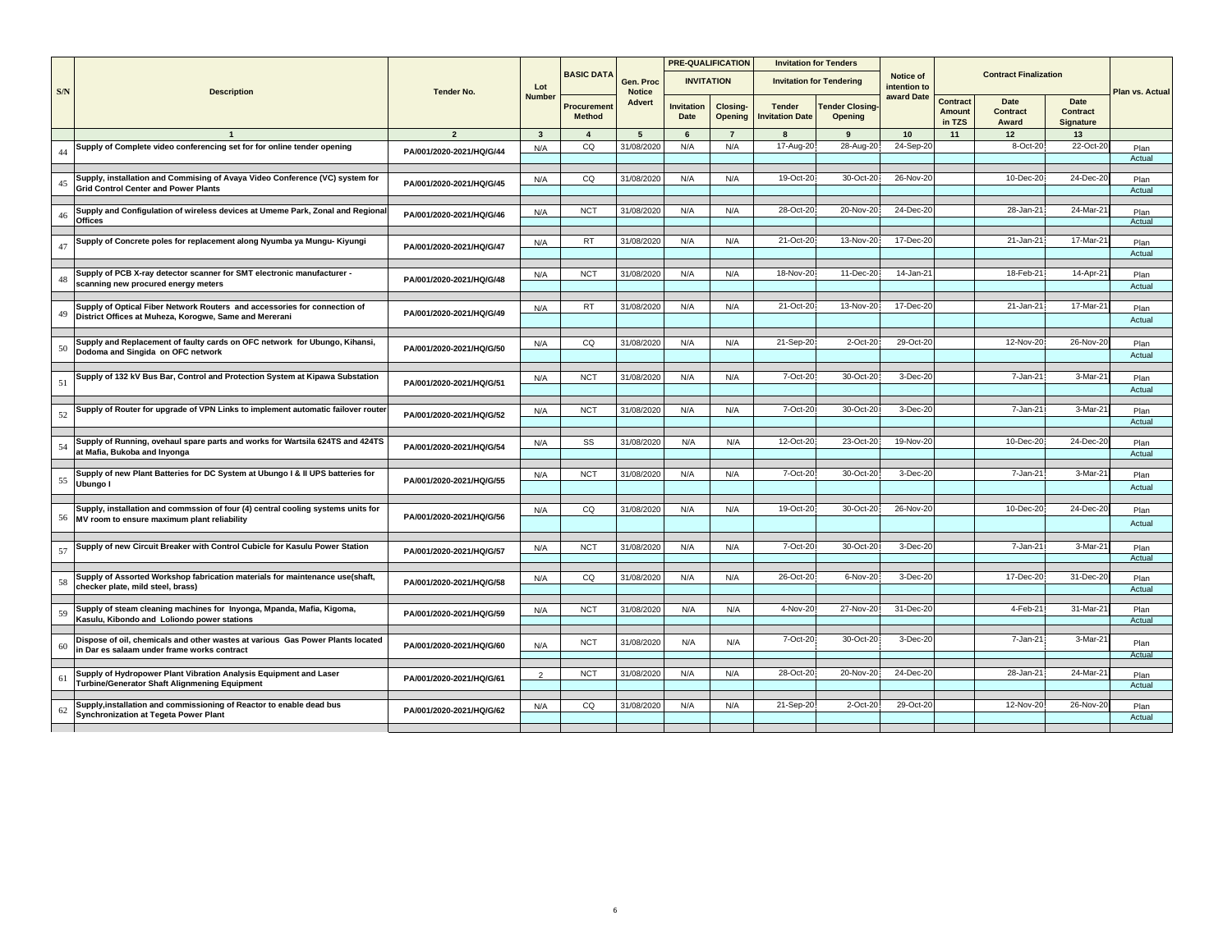|     |                                                                                                               |                          |               |                              |                            | <b>PRE-QUALIFICATION</b> |                                   | <b>Invitation for Tenders</b>           |                                   |                           |                              |                              |                                      |                 |
|-----|---------------------------------------------------------------------------------------------------------------|--------------------------|---------------|------------------------------|----------------------------|--------------------------|-----------------------------------|-----------------------------------------|-----------------------------------|---------------------------|------------------------------|------------------------------|--------------------------------------|-----------------|
| S/N | <b>Description</b>                                                                                            | <b>Tender No.</b>        | Lot           | <b>BASIC DATA</b>            | Gen. Proc<br><b>Notice</b> | <b>INVITATION</b>        |                                   |                                         | <b>Invitation for Tendering</b>   | Notice of<br>intention to |                              | <b>Contract Finalization</b> |                                      | Plan vs. Actual |
|     |                                                                                                               |                          | <b>Number</b> | Procurement<br><b>Method</b> | <b>Advert</b>              | Invitation<br>Date       | <b>Closing-</b><br><b>Opening</b> | <b>Tender</b><br><b>Invitation Date</b> | <b>Tender Closing-</b><br>Opening | award Date                | Contract<br>Amount<br>in TZS | Date<br>Contract<br>Award    | Date<br>Contract<br><b>Signature</b> |                 |
|     |                                                                                                               | $\overline{2}$           | $\mathbf{3}$  | $\overline{4}$               | 5                          | 6                        | $\overline{7}$                    | 8                                       | 9                                 | 10                        | 11                           | 12                           | 13                                   |                 |
|     | Supply of Complete video conferencing set for for online tender opening                                       | PA/001/2020-2021/HQ/G/44 | N/A           | CQ                           | 31/08/2020                 | N/A                      | N/A                               | 17-Aug-20                               | 28-Aug-20                         | 24-Sep-20                 |                              | 8-Oct-20                     | 22-Oct-20                            | Plan            |
|     |                                                                                                               |                          |               |                              |                            |                          |                                   |                                         |                                   |                           |                              |                              |                                      | Actual          |
| 45  | Supply, installation and Commising of Avaya Video Conference (VC) system for                                  |                          | N/A           | CQ                           | 31/08/2020                 | N/A                      | N/A                               | 19-Oct-20                               | 30-Oct-20                         | 26-Nov-20                 |                              | 10-Dec-20                    | 24-Dec-2                             | Plan            |
|     | <b>Grid Control Center and Power Plants</b>                                                                   | PA/001/2020-2021/HQ/G/45 |               |                              |                            |                          |                                   |                                         |                                   |                           |                              |                              |                                      | Actual          |
|     |                                                                                                               |                          |               |                              |                            |                          |                                   |                                         |                                   |                           |                              |                              |                                      |                 |
|     | Supply and Configulation of wireless devices at Umeme Park, Zonal and Regiona<br>Offices                      | PA/001/2020-2021/HQ/G/46 | N/A           | <b>NCT</b>                   | 31/08/2020                 | N/A                      | N/A                               | 28-Oct-20                               | 20-Nov-20                         | 24-Dec-20                 |                              | 28-Jan-21                    | 24-Mar-21                            | Plan<br>Actual  |
|     |                                                                                                               |                          |               |                              |                            |                          |                                   |                                         |                                   |                           |                              |                              |                                      |                 |
|     | Supply of Concrete poles for replacement along Nyumba ya Mungu- Kiyungi                                       | PA/001/2020-2021/HQ/G/47 | N/A           | RT                           | 31/08/2020                 | N/A                      | N/A                               | 21-Oct-20                               | 13-Nov-20                         | 17-Dec-20                 |                              | 21-Jan-21                    | 17-Mar-2                             | Plan            |
|     |                                                                                                               |                          |               |                              |                            |                          |                                   |                                         |                                   |                           |                              |                              |                                      | Actual          |
|     | Supply of PCB X-ray detector scanner for SMT electronic manufacturer -                                        |                          |               | <b>NCT</b>                   | 31/08/2020                 | N/A                      | N/A                               | 18-Nov-20                               | 11-Dec-20                         | 14-Jan-21                 |                              | 18-Feb-21                    | 14-Apr-2                             |                 |
|     | scanning new procured energy meters                                                                           | PA/001/2020-2021/HQ/G/48 | N/A           |                              |                            |                          |                                   |                                         |                                   |                           |                              |                              |                                      | Plan<br>Actual  |
|     |                                                                                                               |                          |               |                              |                            |                          |                                   |                                         |                                   |                           |                              |                              |                                      |                 |
|     | Supply of Optical Fiber Network Routers and accessories for connection of                                     |                          | N/A           | RT                           | 31/08/2020                 | N/A                      | N/A                               | 21-Oct-20                               | 13-Nov-20                         | 17-Dec-20                 |                              | $21$ -Jan-2                  | 17-Mar-2                             | Plan            |
|     | District Offices at Muheza, Korogwe, Same and Mererani                                                        | PA/001/2020-2021/HQ/G/49 |               |                              |                            |                          |                                   |                                         |                                   |                           |                              |                              |                                      | Actual          |
|     |                                                                                                               |                          |               |                              |                            |                          |                                   |                                         |                                   |                           |                              |                              |                                      |                 |
|     | Supply and Replacement of faulty cards on OFC network for Ubungo, Kihansi,                                    | PA/001/2020-2021/HQ/G/50 | N/A           | CQ                           | 31/08/2020                 | N/A                      | N/A                               | 21-Sep-20                               | $2$ -Oct- $2$                     | 29-Oct-20                 |                              | 12-Nov-20                    | 26-Nov-20                            | Plan            |
|     | Dodoma and Singida on OFC network                                                                             |                          |               |                              |                            |                          |                                   |                                         |                                   |                           |                              |                              |                                      | Actual          |
|     | Supply of 132 kV Bus Bar, Control and Protection System at Kipawa Substation                                  |                          |               | <b>NCT</b>                   | 31/08/2020                 | N/A                      | N/A                               | 7-Oct-20                                | 30-Oct-20                         | 3-Dec-20                  |                              | 7-Jan-21                     | 3-Mar-2                              |                 |
|     |                                                                                                               | PA/001/2020-2021/HQ/G/51 | N/A           |                              |                            |                          |                                   |                                         |                                   |                           |                              |                              |                                      | Plan<br>Actual  |
|     |                                                                                                               |                          |               |                              |                            |                          |                                   |                                         |                                   |                           |                              |                              |                                      |                 |
|     | Supply of Router for upgrade of VPN Links to implement automatic failover route                               | PA/001/2020-2021/HQ/G/52 | N/A           | <b>NCT</b>                   | 31/08/2020                 | N/A                      | N/A                               | 7-Oct-20                                | 30-Oct-20                         | 3-Dec-20                  |                              | 7-Jan-21                     | 3-Mar-2                              | Plan            |
|     |                                                                                                               |                          |               |                              |                            |                          |                                   |                                         |                                   |                           |                              |                              |                                      | Actual          |
|     |                                                                                                               |                          |               |                              |                            |                          |                                   | 12-Oct-20                               | 23-Oct-20                         | 19-Nov-20                 |                              | 10-Dec-20                    | 24-Dec-2                             |                 |
|     | Supply of Running, ovehaul spare parts and works for Wartsila 624TS and 424TS<br>at Mafia, Bukoba and Inyonga | PA/001/2020-2021/HQ/G/54 | N/A           | SS                           | 31/08/2020                 | N/A                      | N/A                               |                                         |                                   |                           |                              |                              |                                      | Plan<br>Actual  |
|     |                                                                                                               |                          |               |                              |                            |                          |                                   |                                         |                                   |                           |                              |                              |                                      |                 |
|     | Supply of new Plant Batteries for DC System at Ubungo I & II UPS batteries for                                |                          | N/A           | <b>NCT</b>                   | 31/08/2020                 | N/A                      | N/A                               | 7-Oct-20                                | 30-Oct-2                          | 3-Dec-20                  |                              | 7-Jan-2                      | 3-Mar-2                              | Plan            |
|     | Ubungo I                                                                                                      | PA/001/2020-2021/HQ/G/55 |               |                              |                            |                          |                                   |                                         |                                   |                           |                              |                              |                                      | Actual          |
|     |                                                                                                               |                          |               |                              |                            |                          |                                   |                                         |                                   |                           |                              |                              |                                      |                 |
|     | Supply, installation and commssion of four (4) central cooling systems units for                              | PA/001/2020-2021/HQ/G/56 | N/A           | CQ                           | 31/08/2020                 | N/A                      | N/A                               | 19-Oct-20                               | 30-Oct-20                         | 26-Nov-20                 |                              | 10-Dec-20                    | 24-Dec-20                            | Plan            |
|     | MV room to ensure maximum plant reliability                                                                   |                          |               |                              |                            |                          |                                   |                                         |                                   |                           |                              |                              |                                      | Actual          |
|     |                                                                                                               |                          |               |                              |                            |                          |                                   |                                         |                                   |                           |                              |                              |                                      |                 |
|     | Supply of new Circuit Breaker with Control Cubicle for Kasulu Power Station                                   | PA/001/2020-2021/HQ/G/57 | N/A           | <b>NCT</b>                   | 31/08/2020                 | N/A                      | N/A                               | 7-Oct-20                                | 30-Oct-20                         | 3-Dec-20                  |                              | 7-Jan-2                      | 3-Mar-2                              | Plan<br>Actual  |
|     |                                                                                                               |                          |               |                              |                            |                          |                                   |                                         |                                   |                           |                              |                              |                                      |                 |
|     | Supply of Assorted Workshop fabrication materials for maintenance use(shaft,                                  | PA/001/2020-2021/HQ/G/58 | N/A           | CQ                           | 31/08/2020                 | N/A                      | N/A                               | 26-Oct-20                               | 6-Nov-20                          | 3-Dec-20                  |                              | 17-Dec-20                    | 31-Dec-20                            | Plan            |
|     | checker plate, mild steel, brass)                                                                             |                          |               |                              |                            |                          |                                   |                                         |                                   |                           |                              |                              |                                      | Actual          |
|     | Supply of steam cleaning machines for Inyonga, Mpanda, Mafia, Kigoma,                                         |                          | N/A           | <b>NCT</b>                   | 31/08/2020                 | N/A                      | N/A                               | 4-Nov-20                                | 27-Nov-20                         | 31-Dec-20                 |                              | 4-Feb-2                      | 31-Mar-2                             | Plan            |
|     | Kasulu, Kibondo and Loliondo power stations                                                                   | PA/001/2020-2021/HQ/G/59 |               |                              |                            |                          |                                   |                                         |                                   |                           |                              |                              |                                      | Actual          |
|     |                                                                                                               |                          |               |                              |                            |                          |                                   |                                         |                                   |                           |                              |                              |                                      |                 |
|     | Dispose of oil, chemicals and other wastes at various Gas Power Plants located                                | PA/001/2020-2021/HQ/G/60 | N/A           | <b>NCT</b>                   | 31/08/2020                 | N/A                      | N/A                               | 7-Oct-20                                | 30-Oct-20                         | 3-Dec-20                  |                              | 7-Jan-21                     | 3-Mar-2                              | Plan            |
|     | in Dar es salaam under frame works contract                                                                   |                          |               |                              |                            |                          |                                   |                                         |                                   |                           |                              |                              |                                      | Actual          |
|     | Supply of Hydropower Plant Vibration Analysis Equipment and Laser                                             |                          | 2             | <b>NCT</b>                   | 31/08/2020                 | N/A                      | N/A                               | 28-Oct-20                               | 20-Nov-20                         | 24-Dec-20                 |                              | 28-Jan-21                    | 24-Mar-2                             | Plan            |
|     | Turbine/Generator Shaft Alignmening Equipment                                                                 | PA/001/2020-2021/HQ/G/61 |               |                              |                            |                          |                                   |                                         |                                   |                           |                              |                              |                                      | Actual          |
|     |                                                                                                               |                          |               |                              |                            |                          |                                   |                                         |                                   |                           |                              |                              |                                      |                 |
|     | Supply, installation and commissioning of Reactor to enable dead bus                                          | PA/001/2020-2021/HQ/G/62 | N/A           | CQ                           | 31/08/2020                 | N/A                      | N/A                               | 21-Sep-20                               | 2-Oct-20                          | 29-Oct-20                 |                              | 12-Nov-20                    | 26-Nov-20                            | Plan            |
|     | <b>Synchronization at Tegeta Power Plant</b>                                                                  |                          |               |                              |                            |                          |                                   |                                         |                                   |                           |                              |                              |                                      | Actual          |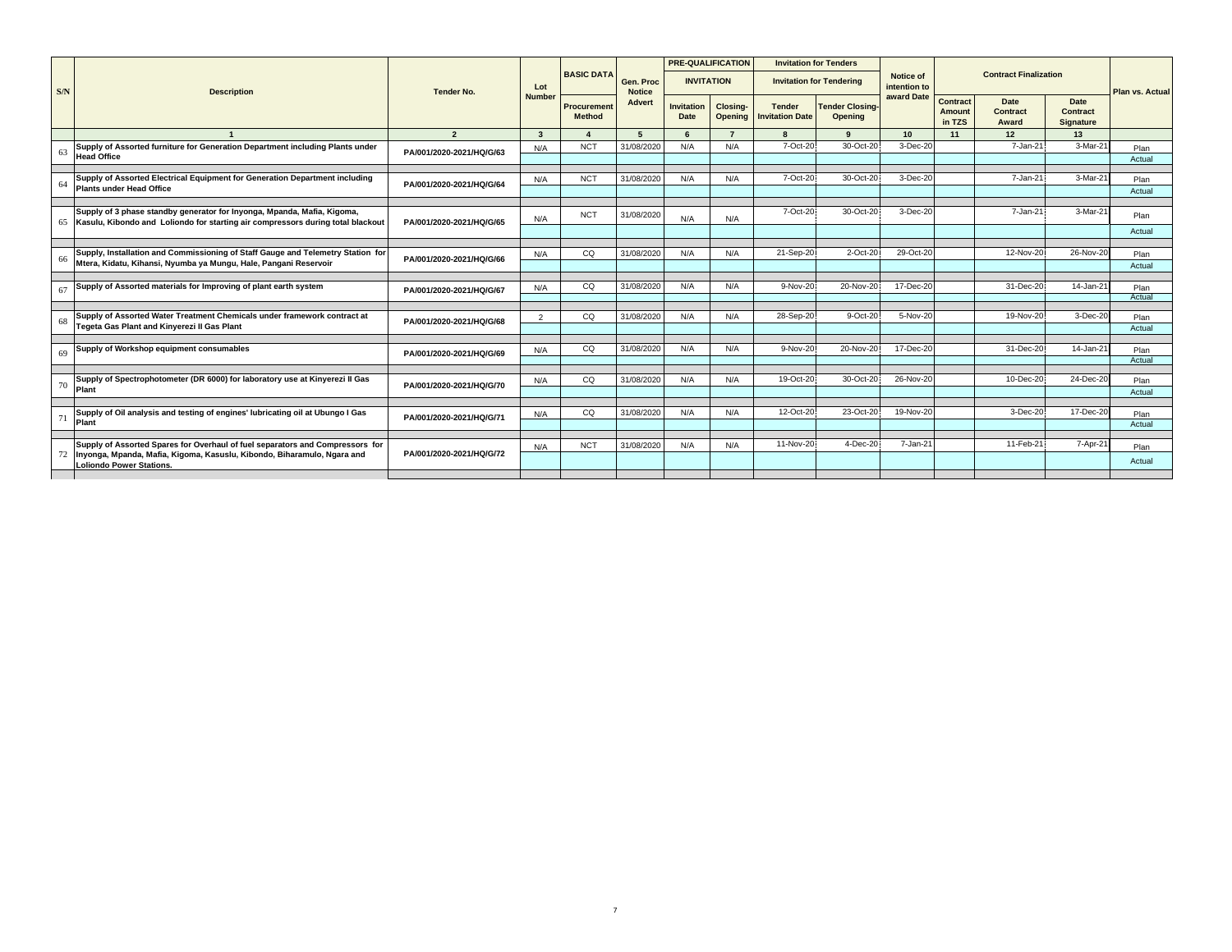|     |                                                                                                                                                               |                          |                |                                     |                            | <b>PRE-QUALIFICATION</b> |                     | <b>Invitation for Tenders</b>           |                                   |                                  |                              |                              |                                      |                        |
|-----|---------------------------------------------------------------------------------------------------------------------------------------------------------------|--------------------------|----------------|-------------------------------------|----------------------------|--------------------------|---------------------|-----------------------------------------|-----------------------------------|----------------------------------|------------------------------|------------------------------|--------------------------------------|------------------------|
| S/N | <b>Description</b>                                                                                                                                            | <b>Tender No.</b>        | Lot            | <b>BASIC DATA</b>                   | Gen. Proc<br><b>Notice</b> | <b>INVITATION</b>        |                     |                                         | <b>Invitation for Tendering</b>   | <b>Notice of</b><br>intention to |                              | <b>Contract Finalization</b> |                                      | <b>Plan vs. Actual</b> |
|     |                                                                                                                                                               |                          | <b>Number</b>  | <b>Procurement</b><br><b>Method</b> | <b>Advert</b>              | Invitation<br>Date       | Closing-<br>Opening | <b>Tender</b><br><b>Invitation Date</b> | <b>Tender Closing-</b><br>Opening | award Date                       | Contract<br>Amount<br>in TZS | Date<br>Contract<br>Award    | Date<br>Contract<br><b>Signature</b> |                        |
|     |                                                                                                                                                               | $\overline{2}$           | $\mathbf{3}$   |                                     | 5                          | $6\overline{6}$          | $\overline{7}$      |                                         | $\alpha$                          | 10                               | 11                           | 12                           | 13                                   |                        |
| 63  | Supply of Assorted furniture for Generation Department including Plants under<br><b>Head Office</b>                                                           | PA/001/2020-2021/HQ/G/63 | N/A            | <b>NCT</b>                          | 31/08/2020                 | N/A                      | N/A                 | 7-Oct-20                                | 30-Oct-20                         | 3-Dec-20                         |                              | 7-Jan-21                     | 3-Mar-21                             | Plan<br>Actual         |
|     |                                                                                                                                                               |                          |                |                                     |                            |                          |                     |                                         |                                   |                                  |                              |                              |                                      |                        |
| 64  | Supply of Assorted Electrical Equipment for Generation Department including<br><b>Plants under Head Office</b>                                                | PA/001/2020-2021/HQ/G/64 | N/A            | <b>NCT</b>                          | 31/08/2020                 | N/A                      | N/A                 | 7-Oct-20                                | 30-Oct-20                         | 3-Dec-20                         |                              | 7-Jan-21                     | 3-Mar-21                             | Plan<br>Actual         |
|     |                                                                                                                                                               |                          |                |                                     |                            |                          |                     |                                         |                                   |                                  |                              |                              |                                      |                        |
|     | Supply of 3 phase standby generator for Inyonga, Mpanda, Mafia, Kigoma,<br>65 Kasulu, Kibondo and Loliondo for starting air compressors during total blackout | PA/001/2020-2021/HQ/G/65 | N/A            | <b>NCT</b>                          | 31/08/2020                 | N/A                      | N/A                 | 7-Oct-20                                | 30-Oct-20                         | 3-Dec-20                         |                              | 7-Jan-21                     | 3-Mar-21                             | Plan                   |
|     |                                                                                                                                                               |                          |                |                                     |                            |                          |                     |                                         |                                   |                                  |                              |                              |                                      | Actual                 |
|     | Supply, Installation and Commissioning of Staff Gauge and Telemetry Station for                                                                               |                          | N/A            | CO                                  | 31/08/2020                 | N/A                      | N/A                 | 21-Sep-20                               | 2-Oct-20                          | 29-Oct-20                        |                              | 12-Nov-20                    | 26-Nov-20                            | Plan                   |
| 66  | Mtera, Kidatu, Kihansi, Nyumba va Mungu, Hale, Pangani Reservoir                                                                                              | PA/001/2020-2021/HQ/G/66 |                |                                     |                            |                          |                     |                                         |                                   |                                  |                              |                              |                                      | Actual                 |
|     | Supply of Assorted materials for Improving of plant earth system                                                                                              |                          |                |                                     | 31/08/2020                 | N/A                      | N/A                 | 9-Nov-20                                | 20-Nov-20                         | 17-Dec-20                        |                              | 31-Dec-20                    | 14-Jan-21                            |                        |
| 67  |                                                                                                                                                               | PA/001/2020-2021/HQ/G/67 | N/A            | CQ                                  |                            |                          |                     |                                         |                                   |                                  |                              |                              |                                      | Plan<br>Actual         |
|     |                                                                                                                                                               |                          |                |                                     |                            |                          |                     |                                         |                                   |                                  |                              |                              |                                      |                        |
| 68  | Supply of Assorted Water Treatment Chemicals under framework contract at<br>Tegeta Gas Plant and Kinyerezi II Gas Plant                                       | PA/001/2020-2021/HQ/G/68 | $\overline{2}$ | CQ                                  | 31/08/2020                 | N/A                      | N/A                 | 28-Sep-20                               | 9-Oct-20                          | 5-Nov-20                         |                              | 19-Nov-20                    | 3-Dec-20                             | Plan<br>Actual         |
|     |                                                                                                                                                               |                          |                |                                     |                            |                          |                     |                                         |                                   |                                  |                              |                              |                                      |                        |
| 69  | Supply of Workshop equipment consumables                                                                                                                      | PA/001/2020-2021/HQ/G/69 | N/A            | CO                                  | 31/08/2020                 | N/A                      | N/A                 | 9-Nov-20                                | 20-Nov-20                         | 17-Dec-20                        |                              | 31-Dec-20                    | 14-Jan-21                            | Plan                   |
|     |                                                                                                                                                               |                          |                |                                     |                            |                          |                     |                                         |                                   |                                  |                              |                              |                                      | Actual                 |
| 70  | Supply of Spectrophotometer (DR 6000) for laboratory use at Kinyerezi II Gas<br>Plant                                                                         | PA/001/2020-2021/HQ/G/70 | N/A            | CQ                                  | 31/08/2020                 | N/A                      | N/A                 | 19-Oct-20                               | 30-Oct-20                         | 26-Nov-20                        |                              | 10-Dec-20                    | 24-Dec-20                            | Plan                   |
|     |                                                                                                                                                               |                          |                |                                     |                            |                          |                     |                                         |                                   |                                  |                              |                              |                                      | Actual                 |
|     | Supply of Oil analysis and testing of engines' lubricating oil at Ubungo I Gas                                                                                |                          | N/A            | CQ                                  | 31/08/2020                 | N/A                      | N/A                 | 12-Oct-20                               | 23-Oct-20                         | 19-Nov-20                        |                              | 3-Dec-20                     | 17-Dec-20                            | Plan                   |
| 71  | Plant                                                                                                                                                         | PA/001/2020-2021/HQ/G/71 |                |                                     |                            |                          |                     |                                         |                                   |                                  |                              |                              |                                      | Actual                 |
|     | Supply of Assorted Spares for Overhaul of fuel separators and Compressors for                                                                                 |                          |                | <b>NCT</b>                          | 31/08/2020                 | N/A                      | N/A                 | 11-Nov-20                               | 4-Dec-20                          | 7-Jan-21                         |                              | 11-Feb-21                    | 7-Apr-21                             |                        |
| 72  | Inyonga, Mpanda, Mafia, Kigoma, Kasuslu, Kibondo, Biharamulo, Ngara and<br><b>Loliondo Power Stations.</b>                                                    | PA/001/2020-2021/HQ/G/72 | N/A            |                                     |                            |                          |                     |                                         |                                   |                                  |                              |                              |                                      | Plan<br>Actual         |
|     |                                                                                                                                                               |                          |                |                                     |                            |                          |                     |                                         |                                   |                                  |                              |                              |                                      |                        |
|     |                                                                                                                                                               |                          |                |                                     |                            |                          |                     |                                         |                                   |                                  |                              |                              |                                      |                        |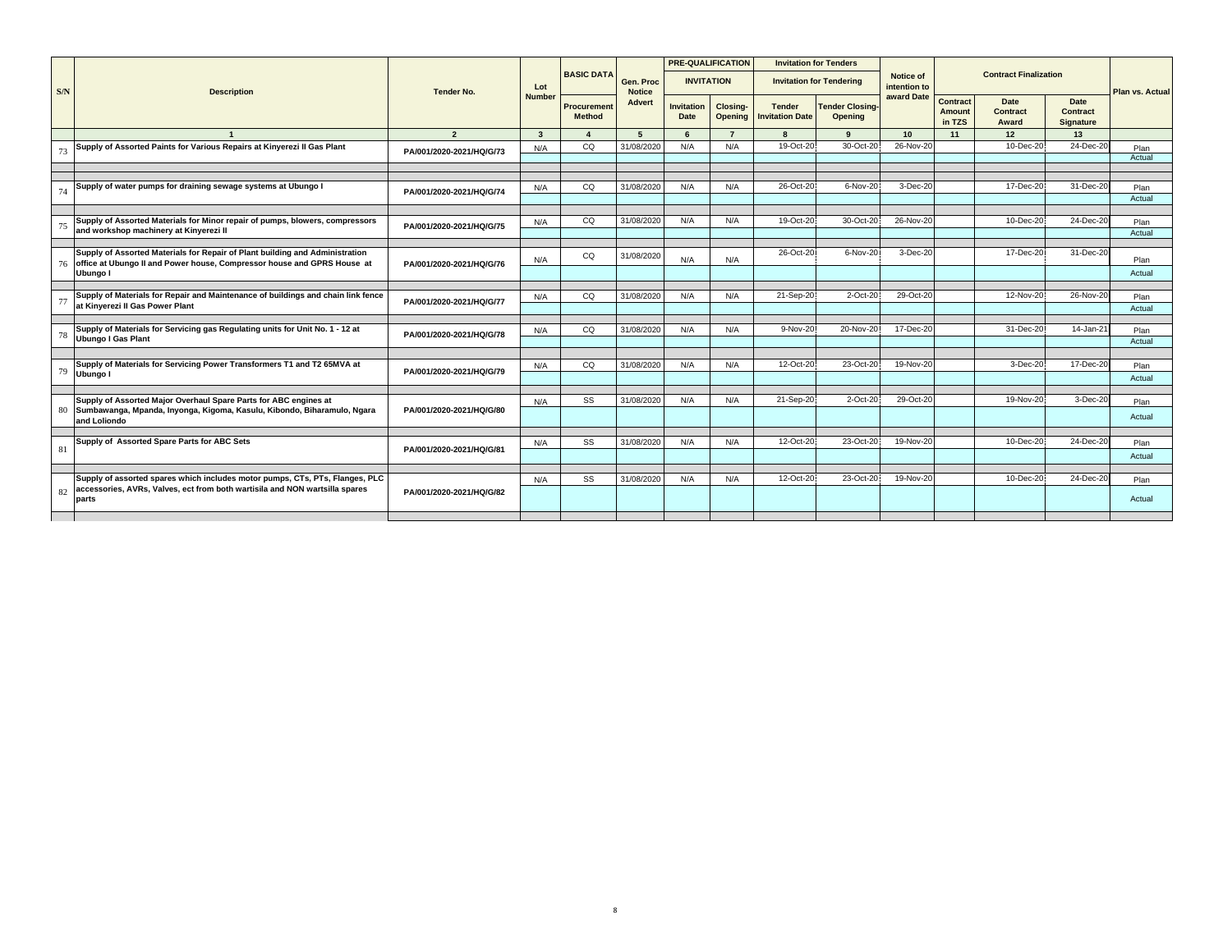|     |                                                                                                                                                         |                          |                         | <b>BASIC DATA</b>            |                            | <b>PRE-QUALIFICATION</b>         |                            |                                         | <b>Invitation for Tenders</b>     | <b>Notice of</b> |                                            | <b>Contract Finalization</b>            |                                             |                        |
|-----|---------------------------------------------------------------------------------------------------------------------------------------------------------|--------------------------|-------------------------|------------------------------|----------------------------|----------------------------------|----------------------------|-----------------------------------------|-----------------------------------|------------------|--------------------------------------------|-----------------------------------------|---------------------------------------------|------------------------|
| S/N | <b>Description</b>                                                                                                                                      | <b>Tender No.</b>        | Lot                     |                              | Gen. Proc<br><b>Notice</b> | <b>INVITATION</b>                |                            |                                         | <b>Invitation for Tendering</b>   | intention to     |                                            |                                         |                                             | <b>Plan vs. Actual</b> |
|     |                                                                                                                                                         |                          | <b>Number</b>           | Procurement<br><b>Method</b> | <b>Advert</b>              | <b>Invitation</b><br><b>Date</b> | Closing-<br><b>Opening</b> | <b>Tender</b><br><b>Invitation Date</b> | <b>Tender Closing-</b><br>Opening | award Date       | <b>Contract</b><br><b>Amount</b><br>in TZS | <b>Date</b><br><b>Contract</b><br>Award | <b>Date</b><br><b>Contract</b><br>Signature |                        |
|     |                                                                                                                                                         | $\overline{2}$           | $\overline{\mathbf{3}}$ |                              | 5                          | 6                                | $\overline{7}$             |                                         | $\Omega$                          | 10               | 11                                         | 12                                      | 13                                          |                        |
|     | Supply of Assorted Paints for Various Repairs at Kinyerezi II Gas Plant                                                                                 | PA/001/2020-2021/HQ/G/73 | N/A                     | CQ                           | 31/08/2020                 | N/A                              | N/A                        | 19-Oct-20                               | 30-Oct-20                         | 26-Nov-20        |                                            | 10-Dec-20                               | 24-Dec-20                                   | Plan                   |
|     |                                                                                                                                                         |                          |                         |                              |                            |                                  |                            |                                         |                                   |                  |                                            |                                         |                                             | Actual                 |
|     |                                                                                                                                                         |                          |                         |                              |                            |                                  |                            |                                         |                                   |                  |                                            |                                         |                                             |                        |
|     | Supply of water pumps for draining sewage systems at Ubungo I                                                                                           |                          | N/A                     | CQ                           | 31/08/2020                 | N/A                              | N/A                        | 26-Oct-20                               | 6-Nov-20                          | 3-Dec-20         |                                            | 17-Dec-20                               | 31-Dec-20                                   | Plan                   |
| 74  |                                                                                                                                                         | PA/001/2020-2021/HQ/G/74 |                         |                              |                            |                                  |                            |                                         |                                   |                  |                                            |                                         |                                             | Actual                 |
|     |                                                                                                                                                         |                          |                         |                              |                            |                                  |                            |                                         |                                   |                  |                                            |                                         |                                             |                        |
| 75  | Supply of Assorted Materials for Minor repair of pumps, blowers, compressors                                                                            | PA/001/2020-2021/HQ/G/75 | N/A                     | CQ                           | 31/08/2020                 | N/A                              | N/A                        | 19-Oct-20                               | 30-Oct-20                         | 26-Nov-20        |                                            | 10-Dec-20                               | 24-Dec-20                                   | Plan                   |
|     | and workshop machinery at Kinyerezi II                                                                                                                  |                          |                         |                              |                            |                                  |                            |                                         |                                   |                  |                                            |                                         |                                             | Actual                 |
|     |                                                                                                                                                         |                          |                         |                              |                            |                                  |                            |                                         |                                   |                  |                                            |                                         |                                             |                        |
| 76  | Supply of Assorted Materials for Repair of Plant building and Administration<br>office at Ubungo II and Power house, Compressor house and GPRS House at | PA/001/2020-2021/HQ/G/76 | N/A                     | CQ                           | 31/08/2020                 | N/A                              | N/A                        | 26-Oct-20                               | 6-Nov-20                          | 3-Dec-20         |                                            | 17-Dec-20                               | 31-Dec-20                                   | Plan                   |
|     | Ubungo I                                                                                                                                                |                          |                         |                              |                            |                                  |                            |                                         |                                   |                  |                                            |                                         |                                             | Actual                 |
|     |                                                                                                                                                         |                          |                         |                              |                            |                                  |                            |                                         |                                   |                  |                                            |                                         |                                             |                        |
|     | Supply of Materials for Repair and Maintenance of buildings and chain link fence                                                                        |                          | N/A                     | CQ                           | 31/08/2020                 | N/A                              | N/A                        | 21-Sep-20                               | 2-Oct-20                          | 29-Oct-20        |                                            | 12-Nov-20                               | 26-Nov-20                                   | Plan                   |
| 77  | at Kinverezi II Gas Power Plant                                                                                                                         | PA/001/2020-2021/HQ/G/77 |                         |                              |                            |                                  |                            |                                         |                                   |                  |                                            |                                         |                                             | Actual                 |
|     |                                                                                                                                                         |                          |                         |                              |                            |                                  |                            |                                         |                                   |                  |                                            |                                         |                                             |                        |
| 78  | Supply of Materials for Servicing gas Regulating units for Unit No. 1 - 12 at                                                                           | PA/001/2020-2021/HQ/G/78 | N/A                     | CQ                           | 31/08/2020                 | N/A                              | N/A                        | 9-Nov-20                                | 20-Nov-20                         | 17-Dec-20        |                                            | 31-Dec-20                               | 14-Jan-21                                   | Plan                   |
|     | <b>Ubungo I Gas Plant</b>                                                                                                                               |                          |                         |                              |                            |                                  |                            |                                         |                                   |                  |                                            |                                         |                                             | Actual                 |
|     |                                                                                                                                                         |                          |                         |                              |                            |                                  |                            |                                         |                                   |                  |                                            |                                         |                                             |                        |
| 79  | Supply of Materials for Servicing Power Transformers T1 and T2 65MVA at                                                                                 | PA/001/2020-2021/HQ/G/79 | N/A                     | CQ                           | 31/08/2020                 | N/A                              | N/A                        | 12-Oct-20                               | 23-Oct-20                         | 19-Nov-20        |                                            | 3-Dec-20                                | 17-Dec-20                                   | Plan                   |
|     | Ubungo I                                                                                                                                                |                          |                         |                              |                            |                                  |                            |                                         |                                   |                  |                                            |                                         |                                             | Actual                 |
|     |                                                                                                                                                         |                          |                         |                              |                            |                                  |                            |                                         |                                   |                  |                                            |                                         |                                             |                        |
|     | Supply of Assorted Major Overhaul Spare Parts for ABC engines at                                                                                        |                          | N/A                     | SS                           | 31/08/2020                 | N/A                              | N/A                        | 21-Sep-20                               | 2-Oct-20                          | 29-Oct-20        |                                            | 19-Nov-20                               | 3-Dec-20                                    | Plan                   |
| 80  | Sumbawanga, Mpanda, Inyonga, Kigoma, Kasulu, Kibondo, Biharamulo, Ngara<br>and Loliondo                                                                 | PA/001/2020-2021/HQ/G/80 |                         |                              |                            |                                  |                            |                                         |                                   |                  |                                            |                                         |                                             | Actual                 |
|     |                                                                                                                                                         |                          |                         |                              |                            |                                  |                            |                                         |                                   |                  |                                            |                                         |                                             |                        |
|     | Supply of Assorted Spare Parts for ABC Sets                                                                                                             |                          | N/A                     | SS                           | 31/08/2020                 | N/A                              | N/A                        | 12-Oct-20                               | 23-Oct-20                         | 19-Nov-20        |                                            | 10-Dec-20                               | 24-Dec-20                                   | Plan                   |
| 81  |                                                                                                                                                         | PA/001/2020-2021/HQ/G/81 |                         |                              |                            |                                  |                            |                                         |                                   |                  |                                            |                                         |                                             | Actual                 |
|     |                                                                                                                                                         |                          |                         |                              |                            |                                  |                            |                                         |                                   |                  |                                            |                                         |                                             |                        |
|     | Supply of assorted spares which includes motor pumps, CTs, PTs, Flanges, PLC                                                                            |                          | N/A                     | SS                           | 31/08/2020                 | N/A                              | N/A                        | 12-Oct-20                               | 23-Oct-20                         | 19-Nov-20        |                                            | 10-Dec-20                               | 24-Dec-20                                   | Plan                   |
| 82  | accessories, AVRs, Valves, ect from both wartisila and NON wartsilla spares                                                                             | PA/001/2020-2021/HQ/G/82 |                         |                              |                            |                                  |                            |                                         |                                   |                  |                                            |                                         |                                             | Actual                 |
|     | parts                                                                                                                                                   |                          |                         |                              |                            |                                  |                            |                                         |                                   |                  |                                            |                                         |                                             |                        |
|     |                                                                                                                                                         |                          |                         |                              |                            |                                  |                            |                                         |                                   |                  |                                            |                                         |                                             |                        |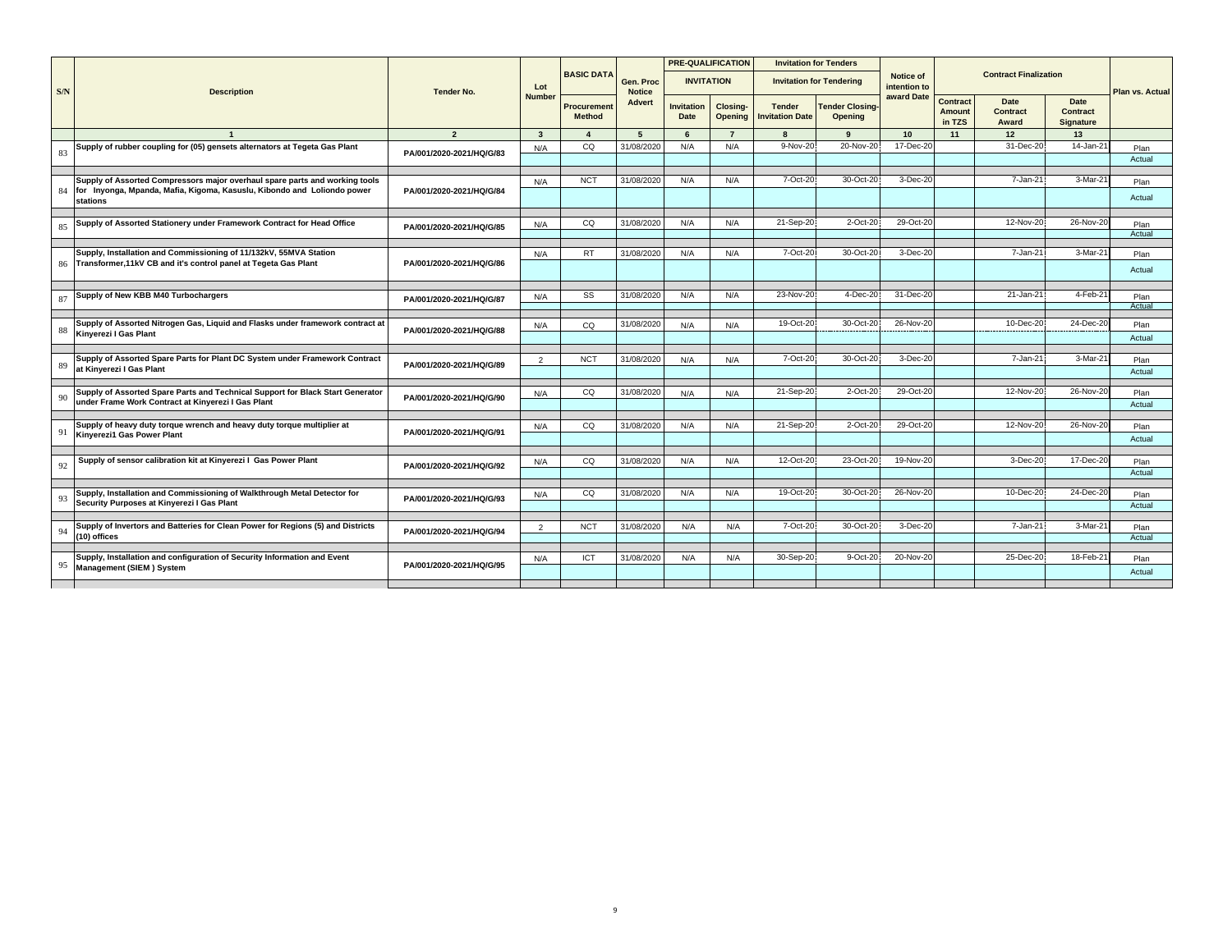|     |                                                                                                         |                          |                         |                              |                            |                           | <b>PRE-QUALIFICATION</b>          |                                         | <b>Invitation for Tenders</b>            |                           |                                     |                                  |                                      |                        |
|-----|---------------------------------------------------------------------------------------------------------|--------------------------|-------------------------|------------------------------|----------------------------|---------------------------|-----------------------------------|-----------------------------------------|------------------------------------------|---------------------------|-------------------------------------|----------------------------------|--------------------------------------|------------------------|
| S/N | <b>Description</b>                                                                                      | <b>Tender No.</b>        | Lot                     | <b>BASIC DATA</b>            | Gen. Proc<br><b>Notice</b> | <b>INVITATION</b>         |                                   |                                         | <b>Invitation for Tendering</b>          | Notice of<br>intention to |                                     | <b>Contract Finalization</b>     |                                      | <b>Plan vs. Actual</b> |
|     |                                                                                                         |                          | <b>Number</b>           | Procurement<br><b>Method</b> | Advert                     | <b>Invitation</b><br>Date | <b>Closing-</b><br><b>Opening</b> | <b>Tender</b><br><b>Invitation Date</b> | <b>Tender Closing-</b><br><b>Opening</b> | award Date                | Contract<br><b>Amount</b><br>in TZS | <b>Date</b><br>Contract<br>Award | <b>Date</b><br>Contract<br>Signature |                        |
|     |                                                                                                         | $\overline{\phantom{a}}$ | $\overline{\mathbf{3}}$ |                              | 5                          | 6                         | $\overline{7}$                    |                                         | $\mathbf{q}$                             | 10                        | 11                                  | 12                               | 13                                   |                        |
| 83  | Supply of rubber coupling for (05) gensets alternators at Tegeta Gas Plant                              | PA/001/2020-2021/HQ/G/83 | N/A                     | CQ                           | 31/08/2020                 | N/A                       | N/A                               | 9-Nov-20                                | 20-Nov-20                                | 17-Dec-20                 |                                     | 31-Dec-20                        | $14$ -Jan-21                         | Plan                   |
|     |                                                                                                         |                          |                         |                              |                            |                           |                                   |                                         |                                          |                           |                                     |                                  |                                      | Actual                 |
|     | Supply of Assorted Compressors major overhaul spare parts and working tools                             |                          |                         | <b>NCT</b>                   | 31/08/2020                 | N/A                       | N/A                               | 7-Oct-20                                | 30-Oct-20                                | 3-Dec-20                  |                                     | 7-Jan-21                         | 3-Mar-21                             |                        |
|     | 84 for Inyonga, Mpanda, Mafia, Kigoma, Kasuslu, Kibondo and Loliondo power<br>stations                  | PA/001/2020-2021/HQ/G/84 | N/A                     |                              |                            |                           |                                   |                                         |                                          |                           |                                     |                                  |                                      | Plan<br>Actual         |
|     |                                                                                                         |                          |                         |                              |                            |                           |                                   |                                         |                                          |                           |                                     |                                  |                                      |                        |
| 85  | Supply of Assorted Stationery under Framework Contract for Head Office                                  | PA/001/2020-2021/HQ/G/85 | N/A                     | CQ                           | 31/08/2020                 | N/A                       | N/A                               | 21-Sep-20                               | 2-Oct-20                                 | 29-Oct-20                 |                                     | 12-Nov-20                        | 26-Nov-20                            | Plan                   |
|     |                                                                                                         |                          |                         |                              |                            |                           |                                   |                                         |                                          |                           |                                     |                                  |                                      | Actual                 |
|     | Supply, Installation and Commissioning of 11/132kV, 55MVA Station                                       |                          | N/A                     | <b>RT</b>                    | 31/08/2020                 | N/A                       | N/A                               | 7-Oct-20                                | 30-Oct-20                                | 3-Dec-20                  |                                     | 7-Jan-21                         | 3-Mar-21                             | Plan                   |
|     | 86 Transformer, 11kV CB and it's control panel at Tegeta Gas Plant                                      | PA/001/2020-2021/HQ/G/86 |                         |                              |                            |                           |                                   |                                         |                                          |                           |                                     |                                  |                                      | Actual                 |
|     | Supply of New KBB M40 Turbochargers                                                                     |                          |                         |                              |                            | N/A                       | N/A                               | 23-Nov-20                               | 4-Dec-20                                 | 31-Dec-20                 |                                     | 21-Jan-21                        | 4-Feb-21                             |                        |
| 87  |                                                                                                         | PA/001/2020-2021/HQ/G/87 | N/A                     | SS                           | 31/08/2020                 |                           |                                   |                                         |                                          |                           |                                     |                                  |                                      | Plan<br>Actual         |
|     |                                                                                                         |                          |                         |                              |                            |                           |                                   |                                         |                                          |                           |                                     |                                  |                                      |                        |
| 88  | Supply of Assorted Nitrogen Gas, Liquid and Flasks under framework contract at<br>Kinverezi I Gas Plant | PA/001/2020-2021/HQ/G/88 | N/A                     | CQ                           | 31/08/2020                 | N/A                       | N/A                               | 19-Oct-20                               | 30-Oct-20                                | 26-Nov-20                 |                                     | 10-Dec-20                        | 24-Dec-20                            | Plan                   |
|     |                                                                                                         |                          |                         |                              |                            |                           |                                   |                                         |                                          |                           |                                     |                                  |                                      | Actual                 |
|     |                                                                                                         |                          |                         |                              |                            |                           |                                   |                                         |                                          |                           |                                     |                                  |                                      |                        |
| 89  | Supply of Assorted Spare Parts for Plant DC System under Framework Contract<br>at Kinverezi I Gas Plant | PA/001/2020-2021/HQ/G/89 | $\overline{2}$          | <b>NCT</b>                   | 31/08/2020                 | N/A                       | N/A                               | 7-Oct-20                                | 30-Oct-20                                | 3-Dec-20                  |                                     | 7-Jan-21                         | 3-Mar-2                              | Plan                   |
|     |                                                                                                         |                          |                         |                              |                            |                           |                                   |                                         |                                          |                           |                                     |                                  |                                      | Actual                 |
|     | Supply of Assorted Spare Parts and Technical Support for Black Start Generator                          |                          | N/A                     | CQ                           | 31/08/2020                 | N/A                       | N/A                               | 21-Sep-20                               | 2-Oct-20                                 | 29-Oct-20                 |                                     | 12-Nov-20                        | 26-Nov-20                            | Plan                   |
| 90  | under Frame Work Contract at Kinyerezi I Gas Plant                                                      | PA/001/2020-2021/HQ/G/90 |                         |                              |                            |                           |                                   |                                         |                                          |                           |                                     |                                  |                                      | Actual                 |
|     |                                                                                                         |                          |                         |                              |                            |                           |                                   |                                         |                                          |                           |                                     |                                  |                                      |                        |
| 91  | Supply of heavy duty torque wrench and heavy duty torque multiplier at                                  | PA/001/2020-2021/HQ/G/91 | N/A                     | CQ                           | 31/08/2020                 | N/A                       | N/A                               | 21-Sep-20                               | 2-Oct-20                                 | 29-Oct-20                 |                                     | 12-Nov-20                        | 26-Nov-20                            | Plan                   |
|     | <b>Kinverezi1 Gas Power Plant</b>                                                                       |                          |                         |                              |                            |                           |                                   |                                         |                                          |                           |                                     |                                  |                                      | Actual                 |
|     | Supply of sensor calibration kit at Kinyerezi I Gas Power Plant                                         |                          |                         | CQ                           | 31/08/2020                 | N/A                       | N/A                               | 12-Oct-20                               | 23-Oct-20                                | 19-Nov-20                 |                                     | 3-Dec-20                         | 17-Dec-20                            |                        |
| 92  |                                                                                                         | PA/001/2020-2021/HQ/G/92 | N/A                     |                              |                            |                           |                                   |                                         |                                          |                           |                                     |                                  |                                      | Plan<br>Actual         |
|     |                                                                                                         |                          |                         |                              |                            |                           |                                   |                                         |                                          |                           |                                     |                                  |                                      |                        |
|     | Supply, Installation and Commissioning of Walkthrough Metal Detector for                                | PA/001/2020-2021/HQ/G/93 | N/A                     | CQ                           | 31/08/2020                 | N/A                       | N/A                               | 19-Oct-20                               | 30-Oct-20                                | 26-Nov-20                 |                                     | 10-Dec-20                        | 24-Dec-20                            | Plan                   |
| 93  | Security Purposes at Kinyerezi I Gas Plant                                                              |                          |                         |                              |                            |                           |                                   |                                         |                                          |                           |                                     |                                  |                                      | Actual                 |
|     |                                                                                                         |                          |                         |                              |                            |                           |                                   |                                         |                                          |                           |                                     |                                  |                                      |                        |
| 94  | Supply of Invertors and Batteries for Clean Power for Regions (5) and Districts<br>(10) offices         | PA/001/2020-2021/HQ/G/94 | $\overline{2}$          | <b>NCT</b>                   | 31/08/2020                 | N/A                       | N/A                               | 7-Oct-20                                | 30-Oct-20                                | 3-Dec-20                  |                                     | 7-Jan-21                         | $3-Mar-2'$                           | Plan                   |
|     |                                                                                                         |                          |                         |                              |                            |                           |                                   |                                         |                                          |                           |                                     |                                  |                                      | Actual                 |
|     | Supply, Installation and configuration of Security Information and Event                                |                          | N/A                     | ICT                          | 31/08/2020                 | N/A                       | N/A                               | 30-Sep-20                               | 9-Oct-20                                 | 20-Nov-20                 |                                     | 25-Dec-20                        | 18-Feb-2                             | Plan                   |
|     | 95 Management (SIEM) System                                                                             | PA/001/2020-2021/HQ/G/95 |                         |                              |                            |                           |                                   |                                         |                                          |                           |                                     |                                  |                                      | Actual                 |
|     |                                                                                                         |                          |                         |                              |                            |                           |                                   |                                         |                                          |                           |                                     |                                  |                                      |                        |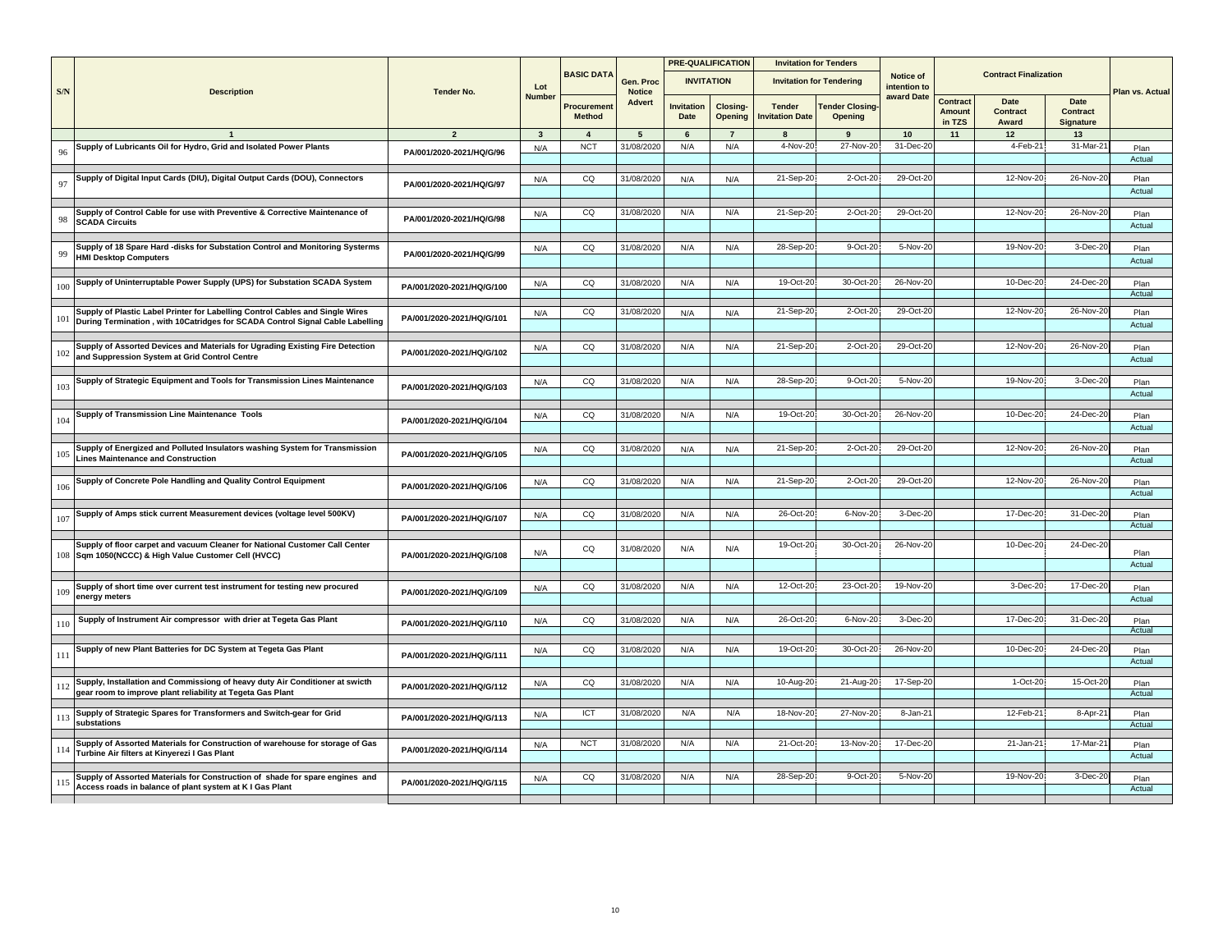|     |                                                                                                                                |                           |                         |                              |                            |                           | <b>PRE-QUALIFICATION</b>   |                                         | <b>Invitation for Tenders</b>     |                           |                              |                              |                                      |                 |
|-----|--------------------------------------------------------------------------------------------------------------------------------|---------------------------|-------------------------|------------------------------|----------------------------|---------------------------|----------------------------|-----------------------------------------|-----------------------------------|---------------------------|------------------------------|------------------------------|--------------------------------------|-----------------|
| S/N | <b>Description</b>                                                                                                             | <b>Tender No.</b>         | Lot                     | <b>BASIC DATA</b>            | Gen. Proc<br><b>Notice</b> | <b>INVITATION</b>         |                            |                                         | <b>Invitation for Tendering</b>   | Notice of<br>intention to |                              | <b>Contract Finalization</b> |                                      | Plan vs. Actual |
|     |                                                                                                                                |                           | <b>Number</b>           | Procurement<br><b>Method</b> | Advert                     | <b>Invitation</b><br>Date | Closing-<br><b>Opening</b> | <b>Tender</b><br><b>Invitation Date</b> | <b>Tender Closing-</b><br>Opening | award Date                | Contract<br>Amount<br>in TZS | Date<br>Contract<br>Award    | <b>Date</b><br>Contract<br>Signature |                 |
|     |                                                                                                                                | $\overline{2}$            | $\overline{\mathbf{3}}$ | $\overline{4}$               | 5                          | 6                         | $\overline{7}$             | 8                                       | 9                                 | 10                        | 11                           | 12                           | 13                                   |                 |
|     | Supply of Lubricants Oil for Hydro, Grid and Isolated Power Plants                                                             |                           | N/A                     | <b>NCT</b>                   | 31/08/2020                 | N/A                       | N/A                        | 4-Nov-20                                | 27-Nov-20                         | 31-Dec-20                 |                              | 4-Feb-21                     | 31-Mar-2                             | Plan            |
| 96  |                                                                                                                                | PA/001/2020-2021/HQ/G/96  |                         |                              |                            |                           |                            |                                         |                                   |                           |                              |                              |                                      | Actual          |
|     |                                                                                                                                |                           |                         |                              |                            |                           |                            |                                         |                                   |                           |                              |                              |                                      |                 |
| 97  | Supply of Digital Input Cards (DIU), Digital Output Cards (DOU), Connectors                                                    | PA/001/2020-2021/HQ/G/97  | N/A                     | CQ                           | 31/08/2020                 | N/A                       | N/A                        | 21-Sep-20                               | 2-Oct-20                          | 29-Oct-20                 |                              | 12-Nov-20                    | 26-Nov-2                             | Plan            |
|     |                                                                                                                                |                           |                         |                              |                            |                           |                            |                                         |                                   |                           |                              |                              |                                      | Actual          |
|     | Supply of Control Cable for use with Preventive & Corrective Maintenance of                                                    |                           | N/A                     | CQ                           | 31/08/2020                 | N/A                       | N/A                        | 21-Sep-20                               | 2-Oct-20                          | 29-Oct-20                 |                              | 12-Nov-20                    | 26-Nov-2                             | Plan            |
| 98  | <b>SCADA Circuits</b>                                                                                                          | PA/001/2020-2021/HQ/G/98  |                         |                              |                            |                           |                            |                                         |                                   |                           |                              |                              |                                      | Actual          |
|     |                                                                                                                                |                           |                         |                              |                            |                           |                            |                                         |                                   |                           |                              |                              |                                      |                 |
|     | Supply of 18 Spare Hard -disks for Substation Control and Monitoring Systerms                                                  |                           | N/A                     | CQ                           | 31/08/2020                 | N/A                       | N/A                        | 28-Sep-20                               | 9-Oct-20                          | 5-Nov-20                  |                              | 19-Nov-20                    | $3-Dec-2$                            | Plan            |
| 99  | <b>HMI Desktop Computers</b>                                                                                                   | PA/001/2020-2021/HQ/G/99  |                         |                              |                            |                           |                            |                                         |                                   |                           |                              |                              |                                      | Actual          |
|     |                                                                                                                                |                           |                         |                              |                            |                           |                            |                                         |                                   |                           |                              |                              |                                      |                 |
| 100 | Supply of Uninterruptable Power Supply (UPS) for Substation SCADA System                                                       | PA/001/2020-2021/HQ/G/100 | N/A                     | CQ                           | 31/08/2020                 | N/A                       | N/A                        | 19-Oct-20                               | 30-Oct-20                         | 26-Nov-20                 |                              | 10-Dec-20                    | 24-Dec-2                             | Plan            |
|     |                                                                                                                                |                           |                         |                              |                            |                           |                            |                                         |                                   |                           |                              |                              |                                      | Actual          |
|     | Supply of Plastic Label Printer for Labelling Control Cables and Single Wires                                                  | PA/001/2020-2021/HQ/G/101 | N/A                     | CQ                           | 31/08/2020                 | N/A                       | N/A                        | 21-Sep-20                               | 2-Oct-20                          | 29-Oct-20                 |                              | 12-Nov-20                    | 26-Nov-2                             | Plan            |
| 101 | During Termination, with 10Catridges for SCADA Control Signal Cable Labelling                                                  |                           |                         |                              |                            |                           |                            |                                         |                                   |                           |                              |                              |                                      | Actual          |
|     |                                                                                                                                |                           |                         |                              |                            |                           |                            |                                         |                                   |                           |                              |                              |                                      |                 |
| 102 | Supply of Assorted Devices and Materials for Ugrading Existing Fire Detection<br>and Suppression System at Grid Control Centre | PA/001/2020-2021/HQ/G/102 | N/A                     | CQ                           | 31/08/2020                 | N/A                       | N/A                        | 21-Sep-20                               | 2-Oct-20                          | 29-Oct-20                 |                              | 12-Nov-20                    | 26-Nov-2                             | Plan            |
|     |                                                                                                                                |                           |                         |                              |                            |                           |                            |                                         |                                   |                           |                              |                              |                                      | Actual          |
|     | Supply of Strategic Equipment and Tools for Transmission Lines Maintenance                                                     |                           | N/A                     | CQ                           | 31/08/2020                 | N/A                       | N/A                        | 28-Sep-20                               | 9-Oct-20                          | 5-Nov-20                  |                              | 19-Nov-20                    | $3-Dec-2$                            | Plan            |
| 103 |                                                                                                                                | PA/001/2020-2021/HQ/G/103 |                         |                              |                            |                           |                            |                                         |                                   |                           |                              |                              |                                      | Actual          |
|     |                                                                                                                                |                           |                         |                              |                            |                           |                            |                                         |                                   |                           |                              |                              |                                      |                 |
| 104 | Supply of Transmission Line Maintenance Tools                                                                                  | PA/001/2020-2021/HQ/G/104 | N/A                     | CQ                           | 31/08/2020                 | N/A                       | N/A                        | 19-Oct-20                               | 30-Oct-20                         | 26-Nov-20                 |                              | 10-Dec-20                    | 24-Dec-2                             | Plan            |
|     |                                                                                                                                |                           |                         |                              |                            |                           |                            |                                         |                                   |                           |                              |                              |                                      | Actual          |
|     |                                                                                                                                |                           |                         |                              |                            |                           |                            |                                         |                                   |                           |                              |                              |                                      |                 |
| 105 | Supply of Energized and Polluted Insulators washing System for Transmission<br><b>Lines Maintenance and Construction</b>       | PA/001/2020-2021/HQ/G/105 | N/A                     | CQ                           | 31/08/2020                 | N/A                       | N/A                        | 21-Sep-20                               | 2-Oct-20                          | 29-Oct-20                 |                              | 12-Nov-20                    | 26-Nov-2                             | Plan            |
|     |                                                                                                                                |                           |                         |                              |                            |                           |                            |                                         |                                   |                           |                              |                              |                                      | Actual          |
|     | Supply of Concrete Pole Handling and Quality Control Equipment                                                                 |                           | N/A                     | CQ                           | 31/08/2020                 | N/A                       | N/A                        | 21-Sep-20                               | 2-Oct-20                          | 29-Oct-20                 |                              | 12-Nov-20                    | 26-Nov-2                             | Plan            |
| 106 |                                                                                                                                | PA/001/2020-2021/HQ/G/106 |                         |                              |                            |                           |                            |                                         |                                   |                           |                              |                              |                                      | Actual          |
|     |                                                                                                                                |                           |                         |                              |                            |                           |                            |                                         |                                   |                           |                              |                              |                                      |                 |
| 107 | Supply of Amps stick current Measurement devices (voltage level 500KV)                                                         | PA/001/2020-2021/HQ/G/107 | N/A                     | CQ                           | 31/08/2020                 | N/A                       | N/A                        | 26-Oct-20                               | 6-Nov-20                          | 3-Dec-20                  |                              | 17-Dec-20                    | 31-Dec-2                             | Plan<br>Actual  |
|     |                                                                                                                                |                           |                         |                              |                            |                           |                            |                                         |                                   |                           |                              |                              |                                      |                 |
|     | Supply of floor carpet and vacuum Cleaner for National Customer Call Center                                                    |                           |                         | CQ                           | 31/08/2020                 | N/A                       | N/A                        | 19-Oct-20                               | 30-Oct-20                         | 26-Nov-20                 |                              | 10-Dec-20                    | 24-Dec-20                            |                 |
|     | 108 Sqm 1050(NCCC) & High Value Customer Cell (HVCC)                                                                           | PA/001/2020-2021/HQ/G/108 | N/A                     |                              |                            |                           |                            |                                         |                                   |                           |                              |                              |                                      | Plan            |
|     |                                                                                                                                |                           |                         |                              |                            |                           |                            |                                         |                                   |                           |                              |                              |                                      | Actual          |
|     | Supply of short time over current test instrument for testing new procured                                                     |                           | N/A                     | CQ                           | 31/08/2020                 | N/A                       | N/A                        | 12-Oct-20                               | 23-Oct-20                         | 19-Nov-20                 |                              | 3-Dec-20                     | 17-Dec-2                             | Plan            |
| 109 | energy meters                                                                                                                  | PA/001/2020-2021/HQ/G/109 |                         |                              |                            |                           |                            |                                         |                                   |                           |                              |                              |                                      | Actual          |
|     |                                                                                                                                |                           |                         |                              |                            |                           |                            |                                         |                                   |                           |                              |                              |                                      |                 |
| 110 | Supply of Instrument Air compressor with drier at Tegeta Gas Plant                                                             | PA/001/2020-2021/HQ/G/110 | N/A                     | CQ                           | 31/08/2020                 | N/A                       | N/A                        | 26-Oct-20                               | 6-Nov-20                          | 3-Dec-20                  |                              | 17-Dec-20                    | 31-Dec-2                             | Plan            |
|     |                                                                                                                                |                           |                         |                              |                            |                           |                            |                                         |                                   |                           |                              |                              |                                      | Actual          |
| 111 | Supply of new Plant Batteries for DC System at Tegeta Gas Plant                                                                | PA/001/2020-2021/HQ/G/111 | N/A                     | CQ                           | 31/08/2020                 | N/A                       | N/A                        | 19-Oct-20                               | 30-Oct-20                         | 26-Nov-20                 |                              | 10-Dec-20                    | 24-Dec-2                             | Plan            |
|     |                                                                                                                                |                           |                         |                              |                            |                           |                            |                                         |                                   |                           |                              |                              |                                      | Actual          |
|     | Supply, Installation and Commissiong of heavy duty Air Conditioner at swicth                                                   |                           |                         |                              |                            |                           |                            |                                         |                                   | 17-Sep-20                 |                              | $1-Oct-20$                   | 15-Oct-2                             |                 |
| 112 | gear room to improve plant reliability at Tegeta Gas Plant                                                                     | PA/001/2020-2021/HQ/G/112 | N/A                     | CQ                           | 31/08/2020                 | N/A                       | N/A                        | $10-Aug-20$                             | 21-Aug-20                         |                           |                              |                              |                                      | Plan<br>Actual  |
|     |                                                                                                                                |                           |                         |                              |                            |                           |                            |                                         |                                   |                           |                              |                              |                                      |                 |
| 113 | Supply of Strategic Spares for Transformers and Switch-gear for Grid                                                           | PA/001/2020-2021/HQ/G/113 | N/A                     | ICT                          | 31/08/2020                 | N/A                       | N/A                        | 18-Nov-20                               | 27-Nov-20                         | 8-Jan-21                  |                              | 12-Feb-21                    | 8-Apr-2                              | Plan            |
|     | substations                                                                                                                    |                           |                         |                              |                            |                           |                            |                                         |                                   |                           |                              |                              |                                      | Actual          |
|     | Supply of Assorted Materials for Construction of warehouse for storage of Gas                                                  |                           | N/A                     | <b>NCT</b>                   | 31/08/2020                 | N/A                       | N/A                        | 21-Oct-20                               | 13-Nov-20                         | 17-Dec-20                 |                              | 21-Jan-21                    | 17-Mar-2                             | Plan            |
| 114 | Turbine Air filters at Kinyerezi I Gas Plant                                                                                   | PA/001/2020-2021/HQ/G/114 |                         |                              |                            |                           |                            |                                         |                                   |                           |                              |                              |                                      | Actual          |
|     |                                                                                                                                |                           |                         |                              |                            |                           |                            |                                         |                                   |                           |                              |                              |                                      |                 |
| 115 | Supply of Assorted Materials for Construction of shade for spare engines and                                                   | PA/001/2020-2021/HQ/G/115 | N/A                     | CQ                           | 31/08/2020                 | N/A                       | N/A                        | 28-Sep-20                               | 9-Oct-20                          | 5-Nov-20                  |                              | 19-Nov-20                    | 3-Dec-2                              | Plan            |
|     | Access roads in balance of plant system at K I Gas Plant                                                                       |                           |                         |                              |                            |                           |                            |                                         |                                   |                           |                              |                              |                                      | Actual          |
|     |                                                                                                                                |                           |                         |                              |                            |                           |                            |                                         |                                   |                           |                              |                              |                                      |                 |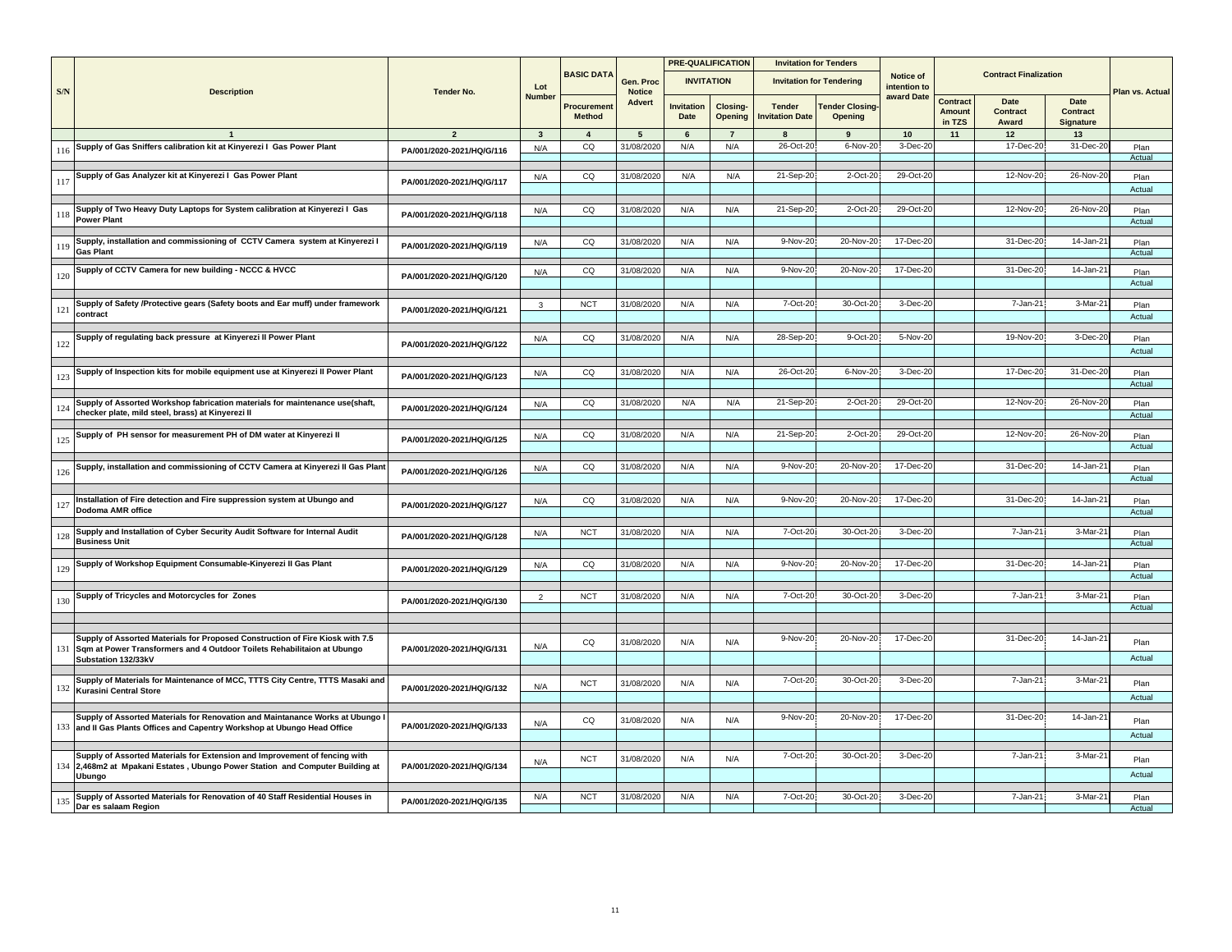|     |                                                                                                  |                           |                |                              |                            |                           | <b>PRE-QUALIFICATION</b>   |                                         | <b>Invitation for Tenders</b>     |                           |                              |                                  |                               |                 |
|-----|--------------------------------------------------------------------------------------------------|---------------------------|----------------|------------------------------|----------------------------|---------------------------|----------------------------|-----------------------------------------|-----------------------------------|---------------------------|------------------------------|----------------------------------|-------------------------------|-----------------|
| S/N | <b>Description</b>                                                                               | <b>Tender No.</b>         | Lot            | <b>BASIC DATA</b>            | Gen. Proc<br><b>Notice</b> | <b>INVITATION</b>         |                            |                                         | <b>Invitation for Tendering</b>   | Notice of<br>intention to |                              | <b>Contract Finalization</b>     |                               | Plan vs. Actual |
|     |                                                                                                  |                           | <b>Number</b>  | Procurement<br><b>Method</b> | <b>Advert</b>              | <b>Invitation</b><br>Date | <b>Closing-</b><br>Opening | <b>Tender</b><br><b>Invitation Date</b> | <b>Tender Closing-</b><br>Opening | award Date                | Contract<br>Amount<br>in TZS | Date<br><b>Contract</b><br>Award | Date<br>Contract<br>Signature |                 |
|     |                                                                                                  | $\overline{2}$            | $\mathbf{3}$   | $\overline{\mathbf{4}}$      | 5                          | 6                         | $\overline{7}$             | 8                                       | 9                                 | 10                        | 11                           | 12                               | 13                            |                 |
|     | Supply of Gas Sniffers calibration kit at Kinyerezi I Gas Power Plant                            |                           | N/A            | CQ                           | 31/08/2020                 | N/A                       | N/A                        | 26-Oct-20                               | $6-Nov-20$                        | 3-Dec-20                  |                              | 17-Dec-20                        | 31-Dec-2                      | Plan            |
| 116 |                                                                                                  | PA/001/2020-2021/HQ/G/116 |                |                              |                            |                           |                            |                                         |                                   |                           |                              |                                  |                               | Actual          |
|     |                                                                                                  |                           |                |                              |                            |                           |                            |                                         |                                   |                           |                              |                                  |                               |                 |
| 117 | Supply of Gas Analyzer kit at Kinyerezi I Gas Power Plant                                        | PA/001/2020-2021/HQ/G/117 | N/A            | CQ                           | 31/08/2020                 | N/A                       | N/A                        | 21-Sep-20                               | 2-Oct-20                          | 29-Oct-20                 |                              | 12-Nov-20                        | 26-Nov-2                      | Plan            |
|     |                                                                                                  |                           |                |                              |                            |                           |                            |                                         |                                   |                           |                              |                                  |                               | Actual          |
|     |                                                                                                  |                           |                |                              |                            |                           |                            |                                         |                                   |                           |                              |                                  |                               |                 |
| 118 | Supply of Two Heavy Duty Laptops for System calibration at Kinyerezi I Gas<br><b>Power Plant</b> | PA/001/2020-2021/HQ/G/118 | N/A            | CQ                           | 31/08/2020                 | N/A                       | N/A                        | 21-Sep-20                               | 2-Oct-20                          | 29-Oct-20                 |                              | 12-Nov-20                        | 26-Nov-2                      | Plan            |
|     |                                                                                                  |                           |                |                              |                            |                           |                            |                                         |                                   |                           |                              |                                  |                               | Actual          |
|     | Supply, installation and commissioning of CCTV Camera system at Kinyerezi I                      |                           | N/A            | CQ                           | 31/08/2020                 | N/A                       | N/A                        | 9-Nov-20                                | 20-Nov-20                         | 17-Dec-20                 |                              | 31-Dec-20                        | 14-Jan-2                      | Plan            |
| 119 | <b>Gas Plant</b>                                                                                 | PA/001/2020-2021/HQ/G/119 |                |                              |                            |                           |                            |                                         |                                   |                           |                              |                                  |                               | Actual          |
|     |                                                                                                  |                           |                |                              |                            |                           |                            |                                         |                                   |                           |                              |                                  |                               |                 |
| 120 | Supply of CCTV Camera for new building - NCCC & HVCC                                             | PA/001/2020-2021/HQ/G/120 | N/A            | CQ                           | 31/08/2020                 | N/A                       | N/A                        | 9-Nov-20                                | 20-Nov-20                         | 17-Dec-20                 |                              | 31-Dec-20                        | 14-Jan-2                      | Plan            |
|     |                                                                                                  |                           |                |                              |                            |                           |                            |                                         |                                   |                           |                              |                                  |                               | Actual          |
|     | Supply of Safety /Protective gears (Safety boots and Ear muff) under framework                   |                           | $\mathbf{3}$   | <b>NCT</b>                   | 31/08/2020                 | N/A                       | N/A                        | 7-Oct-20                                | 30-Oct-20                         | 3-Dec-20                  |                              | 7-Jan-21                         | 3-Mar-2                       | Plan            |
| 121 | contract                                                                                         | PA/001/2020-2021/HQ/G/121 |                |                              |                            |                           |                            |                                         |                                   |                           |                              |                                  |                               | Actual          |
|     |                                                                                                  |                           |                |                              |                            |                           |                            |                                         |                                   |                           |                              |                                  |                               |                 |
|     | Supply of regulating back pressure at Kinyerezi II Power Plant                                   |                           | N/A            | CQ                           | 31/08/2020                 | N/A                       | N/A                        | 28-Sep-20                               | 9-Oct-20                          | 5-Nov-20                  |                              | 19-Nov-20                        | $3-Dec-2$                     | Plan            |
| 122 |                                                                                                  | PA/001/2020-2021/HQ/G/122 |                |                              |                            |                           |                            |                                         |                                   |                           |                              |                                  |                               | Actual          |
|     |                                                                                                  |                           |                |                              |                            |                           |                            |                                         |                                   |                           |                              |                                  |                               |                 |
| 123 | Supply of Inspection kits for mobile equipment use at Kinyerezi II Power Plant                   | PA/001/2020-2021/HQ/G/123 | N/A            | CQ                           | 31/08/2020                 | N/A                       | N/A                        | 26-Oct-20                               | 6-Nov-20                          | 3-Dec-20                  |                              | 17-Dec-20                        | 31-Dec-2                      | Plan            |
|     |                                                                                                  |                           |                |                              |                            |                           |                            |                                         |                                   |                           |                              |                                  |                               | Actual          |
|     |                                                                                                  |                           |                |                              |                            |                           |                            |                                         |                                   |                           |                              |                                  |                               |                 |
| 124 | Supply of Assorted Workshop fabrication materials for maintenance use(shaft,                     | PA/001/2020-2021/HQ/G/124 | N/A            | CQ                           | 31/08/2020                 | N/A                       | N/A                        | 21-Sep-20                               | 2-Oct-20                          | 29-Oct-20                 |                              | 12-Nov-20                        | 26-Nov-2                      | Plan            |
|     | checker plate, mild steel, brass) at Kinyerezi II                                                |                           |                |                              |                            |                           |                            |                                         |                                   |                           |                              |                                  |                               | Actual          |
|     | Supply of PH sensor for measurement PH of DM water at Kinyerezi II                               |                           | N/A            | CQ                           | 31/08/2020                 | N/A                       | N/A                        | 21-Sep-20                               | 2-Oct-20                          | 29-Oct-20                 |                              | 12-Nov-20                        | 26-Nov-2                      | Plan            |
| 125 |                                                                                                  | PA/001/2020-2021/HQ/G/125 |                |                              |                            |                           |                            |                                         |                                   |                           |                              |                                  |                               | Actual          |
|     |                                                                                                  |                           |                |                              |                            |                           |                            |                                         |                                   |                           |                              |                                  |                               |                 |
| 126 | Supply, installation and commissioning of CCTV Camera at Kinyerezi II Gas Plant                  | PA/001/2020-2021/HQ/G/126 | N/A            | CQ                           | 31/08/2020                 | N/A                       | N/A                        | 9-Nov-20                                | 20-Nov-20                         | 17-Dec-20                 |                              | 31-Dec-20                        | $14$ -Jan-2                   | Plan            |
|     |                                                                                                  |                           |                |                              |                            |                           |                            |                                         |                                   |                           |                              |                                  |                               | Actual          |
|     |                                                                                                  |                           |                |                              |                            |                           |                            |                                         |                                   |                           |                              |                                  |                               |                 |
| 127 | nstallation of Fire detection and Fire suppression system at Ubungo and                          | PA/001/2020-2021/HQ/G/127 | N/A            | CQ                           | 31/08/2020                 | N/A                       | N/A                        | 9-Nov-20                                | 20-Nov-20                         | 17-Dec-20                 |                              | 31-Dec-20                        | $14$ -Jan-2                   | Plan            |
|     | Dodoma AMR office                                                                                |                           |                |                              |                            |                           |                            |                                         |                                   |                           |                              |                                  |                               | Actual          |
|     | Supply and Installation of Cyber Security Audit Software for Internal Audit                      |                           |                | <b>NCT</b>                   | 31/08/2020                 | N/A                       | N/A                        | 7-Oct-20                                | 30-Oct-20                         | 3-Dec-20                  |                              | 7-Jan-21                         | 3-Mar-2                       |                 |
| 128 | <b>Business Unit</b>                                                                             | PA/001/2020-2021/HQ/G/128 | N/A            |                              |                            |                           |                            |                                         |                                   |                           |                              |                                  |                               | Plan<br>Actual  |
|     |                                                                                                  |                           |                |                              |                            |                           |                            |                                         |                                   |                           |                              |                                  |                               |                 |
|     | Supply of Workshop Equipment Consumable-Kinyerezi II Gas Plant                                   |                           | N/A            | CQ                           | 31/08/2020                 | N/A                       | N/A                        | 9-Nov-20                                | 20-Nov-20                         | 17-Dec-20                 |                              | 31-Dec-20                        | 14-Jan-2                      | Plan            |
| 129 |                                                                                                  | PA/001/2020-2021/HQ/G/129 |                |                              |                            |                           |                            |                                         |                                   |                           |                              |                                  |                               | Actual          |
|     |                                                                                                  |                           |                |                              |                            |                           |                            |                                         |                                   |                           |                              |                                  |                               |                 |
| 130 | Supply of Tricycles and Motorcycles for Zones                                                    | PA/001/2020-2021/HQ/G/130 | $\overline{2}$ | <b>NCT</b>                   | 31/08/2020                 | N/A                       | N/A                        | 7-Oct-20                                | 30-Oct-20                         | 3-Dec-20                  |                              | 7-Jan-21                         | 3-Mar-2                       | Plan            |
|     |                                                                                                  |                           |                |                              |                            |                           |                            |                                         |                                   |                           |                              |                                  |                               | Actual          |
|     |                                                                                                  |                           |                |                              |                            |                           |                            |                                         |                                   |                           |                              |                                  |                               |                 |
|     | Supply of Assorted Materials for Proposed Construction of Fire Kiosk with 7.5                    |                           |                | CQ                           | 31/08/2020                 | N/A                       | N/A                        | 9-Nov-20                                | 20-Nov-20                         | 17-Dec-20                 |                              | 31-Dec-20                        | 14-Jan-2                      | Plan            |
| 131 | Sqm at Power Transformers and 4 Outdoor Toilets Rehabilitaion at Ubungo                          | PA/001/2020-2021/HQ/G/131 | N/A            |                              |                            |                           |                            |                                         |                                   |                           |                              |                                  |                               |                 |
|     | Substation 132/33kV                                                                              |                           |                |                              |                            |                           |                            |                                         |                                   |                           |                              |                                  |                               | Actual          |
|     | Supply of Materials for Maintenance of MCC, TTTS City Centre, TTTS Masaki and                    |                           |                |                              |                            |                           |                            | 7-Oct-20                                | 30-Oct-20                         | 3-Dec-20                  |                              | 7-Jan-21                         | 3-Mar-2                       |                 |
|     | 132 Kurasini Central Store                                                                       | PA/001/2020-2021/HQ/G/132 | N/A            | <b>NCT</b>                   | 31/08/2020                 | N/A                       | N/A                        |                                         |                                   |                           |                              |                                  |                               | Plan            |
|     |                                                                                                  |                           |                |                              |                            |                           |                            |                                         |                                   |                           |                              |                                  |                               | Actual          |
|     | Supply of Assorted Materials for Renovation and Maintanance Works at Ubungo                      |                           |                |                              |                            |                           |                            | 9-Nov-20                                | 20-Nov-20                         | 17-Dec-20                 |                              | 31-Dec-20                        | 14-Jan-2                      |                 |
| 133 | and II Gas Plants Offices and Capentry Workshop at Ubungo Head Office                            | PA/001/2020-2021/HQ/G/133 | N/A            | CQ                           | 31/08/2020                 | N/A                       | N/A                        |                                         |                                   |                           |                              |                                  |                               | Plan            |
|     |                                                                                                  |                           |                |                              |                            |                           |                            |                                         |                                   |                           |                              |                                  |                               | Actual          |
|     |                                                                                                  |                           |                |                              |                            |                           |                            |                                         |                                   |                           |                              |                                  |                               |                 |
| 134 | Supply of Assorted Materials for Extension and Improvement of fencing with                       | PA/001/2020-2021/HQ/G/134 | N/A            | <b>NCT</b>                   | 31/08/2020                 | N/A                       | N/A                        | 7-Oct-20                                | 30-Oct-20                         | 3-Dec-20                  |                              | 7-Jan-21                         | 3-Mar-2                       | Plan            |
|     | 2,468m2 at Mpakani Estates, Ubungo Power Station and Computer Building at<br>Ubungo              |                           |                |                              |                            |                           |                            |                                         |                                   |                           |                              |                                  |                               | Actual          |
|     |                                                                                                  |                           |                |                              |                            |                           |                            |                                         |                                   |                           |                              |                                  |                               |                 |
| 135 | Supply of Assorted Materials for Renovation of 40 Staff Residential Houses in                    | PA/001/2020-2021/HQ/G/135 | N/A            | <b>NCT</b>                   | 31/08/2020                 | N/A                       | N/A                        | 7-Oct-20                                | 30-Oct-20                         | 3-Dec-20                  |                              | $7 - Jan-2$                      | 3-Mar-2                       | Plan            |
|     | Dar es salaam Region                                                                             |                           |                |                              |                            |                           |                            |                                         |                                   |                           |                              |                                  |                               | Actual          |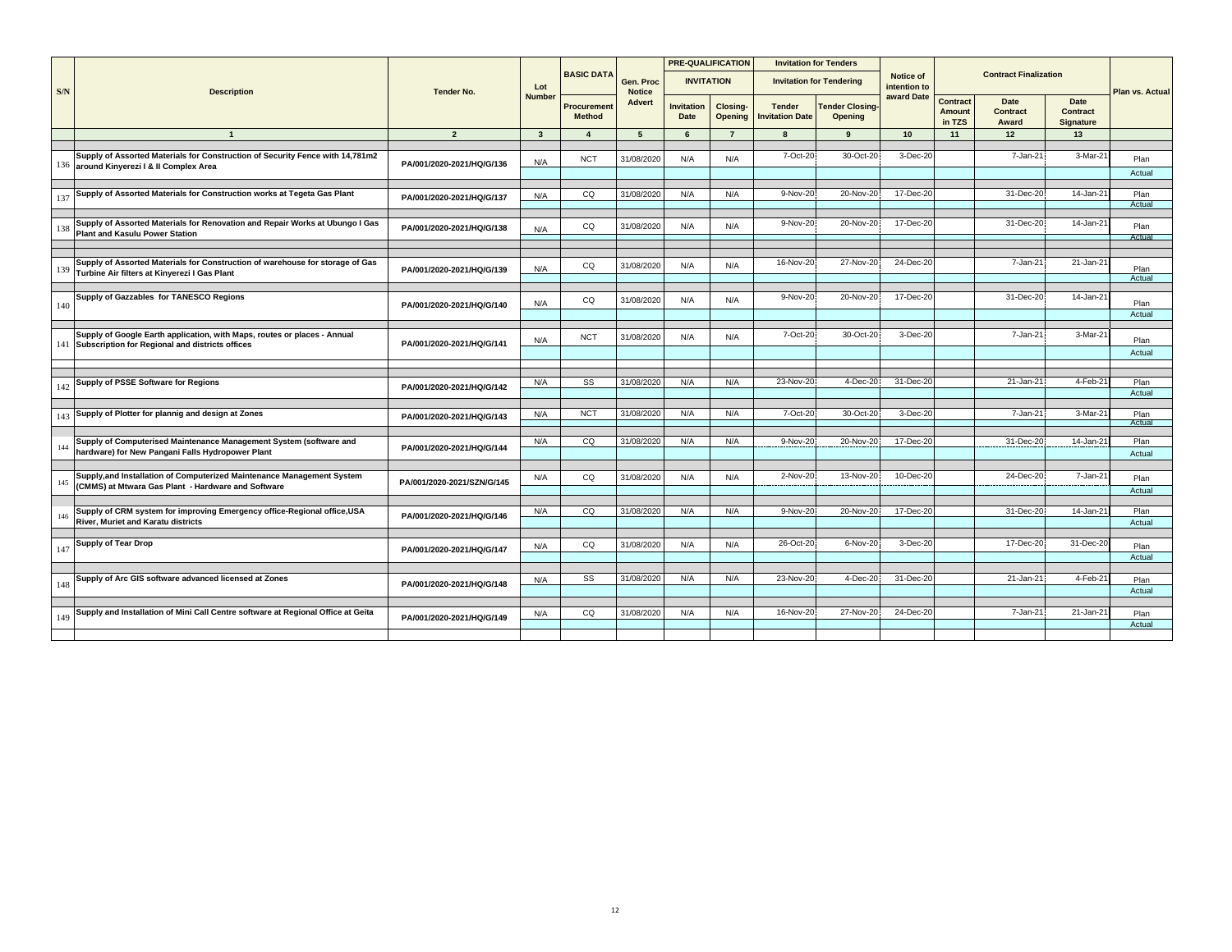|     |                                                                                                                               |                            |               |                              |                            |                           | <b>PRE-QUALIFICATION</b> |                                         | <b>Invitation for Tenders</b>     |                           |                                            |                                  |                                      |                 |
|-----|-------------------------------------------------------------------------------------------------------------------------------|----------------------------|---------------|------------------------------|----------------------------|---------------------------|--------------------------|-----------------------------------------|-----------------------------------|---------------------------|--------------------------------------------|----------------------------------|--------------------------------------|-----------------|
| S/N | <b>Description</b>                                                                                                            | <b>Tender No.</b>          | Lot           | <b>BASIC DATA</b>            | Gen. Proc<br><b>Notice</b> | <b>INVITATION</b>         |                          |                                         | <b>Invitation for Tendering</b>   | Notice of<br>intention to |                                            | <b>Contract Finalization</b>     |                                      | Plan vs. Actual |
|     |                                                                                                                               |                            | <b>Number</b> | Procurement<br><b>Method</b> | <b>Advert</b>              | <b>Invitation</b><br>Date | Closing-<br>Opening      | <b>Tender</b><br><b>Invitation Date</b> | <b>Tender Closing-</b><br>Opening | award Date                | <b>Contract</b><br><b>Amount</b><br>in TZS | Date<br><b>Contract</b><br>Award | Date<br>Contract<br><b>Signature</b> |                 |
|     | $\mathbf{1}$                                                                                                                  | $\overline{2}$             | $\mathbf{3}$  | $\overline{4}$               | $5\overline{5}$            | 6                         | $\overline{7}$           | 8                                       | 9                                 | 10 <sup>1</sup>           | 11                                         | 12                               | 13                                   |                 |
|     |                                                                                                                               |                            |               |                              |                            |                           |                          |                                         |                                   |                           |                                            |                                  |                                      |                 |
| 136 | Supply of Assorted Materials for Construction of Security Fence with 14,781m2<br>around Kinyerezi I & II Complex Area         | PA/001/2020-2021/HQ/G/136  | N/A           | <b>NCT</b>                   | 31/08/2020                 | N/A                       | N/A                      | 7-Oct-20                                | 30-Oct-20                         | 3-Dec-20                  |                                            | 7-Jan-21                         | $3-Mar-2'$                           | Plan<br>Actual  |
|     |                                                                                                                               |                            |               |                              |                            |                           |                          |                                         |                                   |                           |                                            |                                  |                                      |                 |
| 137 | Supply of Assorted Materials for Construction works at Tegeta Gas Plant                                                       | PA/001/2020-2021/HQ/G/137  | N/A           | CQ                           | 31/08/2020                 | N/A                       | N/A                      | 9-Nov-20                                | 20-Nov-20                         | 17-Dec-20                 |                                            | 31-Dec-20                        | $14$ -Jan-2 $'$                      | Plan<br>Actual  |
|     |                                                                                                                               |                            |               |                              |                            |                           |                          |                                         |                                   |                           |                                            |                                  |                                      |                 |
| 138 | Supply of Assorted Materials for Renovation and Repair Works at Ubungo I Gas<br><b>Plant and Kasulu Power Station</b>         | PA/001/2020-2021/HQ/G/138  | N/A           | CQ                           | 31/08/2020                 | N/A                       | N/A                      | 9-Nov-20                                | 20-Nov-20                         | 17-Dec-20                 |                                            | 31-Dec-20                        | 14-Jan-21                            | Plan<br>Actual  |
|     |                                                                                                                               |                            |               |                              |                            |                           |                          |                                         |                                   |                           |                                            |                                  |                                      |                 |
| 139 | Supply of Assorted Materials for Construction of warehouse for storage of Gas<br>Turbine Air filters at Kinyerezi I Gas Plant | PA/001/2020-2021/HQ/G/139  | N/A           | CQ                           | 31/08/2020                 | N/A                       | N/A                      | 16-Nov-20                               | 27-Nov-20                         | 24-Dec-20                 |                                            | 7-Jan-21                         | 21-Jan-21                            | Plan            |
|     |                                                                                                                               |                            |               |                              |                            |                           |                          |                                         |                                   |                           |                                            |                                  |                                      | Actual          |
|     |                                                                                                                               |                            |               |                              |                            |                           |                          |                                         |                                   | 17-Dec-20                 |                                            | 31-Dec-20                        | 14-Jan-21                            |                 |
| 140 | Supply of Gazzables for TANESCO Regions                                                                                       | PA/001/2020-2021/HQ/G/140  | N/A           | CQ                           | 31/08/2020                 | N/A                       | N/A                      | 9-Nov-20                                | 20-Nov-20                         |                           |                                            |                                  |                                      | Plan<br>Actual  |
|     |                                                                                                                               |                            |               |                              |                            |                           |                          |                                         |                                   |                           |                                            |                                  |                                      |                 |
| 141 | Supply of Google Earth application, with Maps, routes or places - Annual<br>Subscription for Regional and districts offices   | PA/001/2020-2021/HQ/G/141  | N/A           | <b>NCT</b>                   | 31/08/2020                 | N/A                       | N/A                      | 7-Oct-20                                | 30-Oct-20                         | 3-Dec-20                  |                                            | 7-Jan-21                         | $3-Mar-2'$                           | Plan            |
|     |                                                                                                                               |                            |               |                              |                            |                           |                          |                                         |                                   |                           |                                            |                                  |                                      | Actual          |
|     |                                                                                                                               |                            |               |                              |                            |                           |                          |                                         |                                   |                           |                                            |                                  |                                      |                 |
| 142 | Supply of PSSE Software for Regions                                                                                           | PA/001/2020-2021/HQ/G/142  | N/A           | SS                           | 31/08/2020                 | N/A                       | N/A                      | 23-Nov-20                               | 4-Dec-20                          | 31-Dec-20                 |                                            | 21-Jan-21                        | 4-Feb-21                             | Plan<br>Actual  |
|     |                                                                                                                               |                            |               |                              |                            |                           |                          |                                         |                                   |                           |                                            |                                  |                                      |                 |
| 143 | Supply of Plotter for plannig and design at Zones                                                                             | PA/001/2020-2021/HQ/G/143  | N/A           | <b>NCT</b>                   | 31/08/2020                 | N/A                       | N/A                      | 7-Oct-20                                | 30-Oct-20                         | 3-Dec-20                  |                                            | 7-Jan-21                         | $3-Mar-2$                            | Plan<br>Actual  |
|     |                                                                                                                               |                            |               |                              |                            |                           |                          |                                         |                                   |                           |                                            |                                  |                                      |                 |
| 144 | Supply of Computerised Maintenance Management System (software and<br>hardware) for New Pangani Falls Hydropower Plant        | PA/001/2020-2021/HQ/G/144  | N/A           | CQ                           | 31/08/2020                 | N/A                       | N/A                      | 9-Nov-20                                | 20-Nov-20                         | 17-Dec-20                 |                                            | 31-Dec-20                        | 14-Jan-21                            | Plan<br>Actual  |
|     |                                                                                                                               |                            |               |                              |                            |                           |                          |                                         |                                   |                           |                                            |                                  |                                      |                 |
| 145 | Supply, and Installation of Computerized Maintenance Management System<br>(CMMS) at Mtwara Gas Plant - Hardware and Software  | PA/001/2020-2021/SZN/G/145 | N/A           | CQ                           | 31/08/2020                 | N/A                       | N/A                      | 2-Nov-20                                | 13-Nov-20                         | 10-Dec-20                 |                                            | 24-Dec-20                        | 7-Jan-21                             | Plan<br>Actual  |
|     |                                                                                                                               |                            |               |                              |                            |                           |                          |                                         |                                   |                           |                                            |                                  |                                      |                 |
| 146 | Supply of CRM system for improving Emergency office-Regional office, USA<br><b>River. Muriet and Karatu districts</b>         | PA/001/2020-2021/HQ/G/146  | N/A           | CQ                           | 31/08/2020                 | N/A                       | N/A                      | 9-Nov-20                                | 20-Nov-20                         | 17-Dec-20                 |                                            | 31-Dec-20                        | 14-Jan-21                            | Plan<br>Actual  |
|     |                                                                                                                               |                            |               |                              |                            |                           |                          |                                         |                                   |                           |                                            |                                  |                                      |                 |
| 147 | Supply of Tear Drop                                                                                                           | PA/001/2020-2021/HQ/G/147  | N/A           | CQ                           | 31/08/202                  | N/A                       | N/A                      | 26-Oct-20                               | 6-Nov-20                          | 3-Dec-20                  |                                            | 17-Dec-20                        | 31-Dec-20                            | Plan<br>Actual  |
|     |                                                                                                                               |                            |               |                              |                            |                           |                          |                                         |                                   |                           |                                            |                                  |                                      |                 |
| 148 | Supply of Arc GIS software advanced licensed at Zones                                                                         | PA/001/2020-2021/HQ/G/148  | N/A           | SS                           | 31/08/2020                 | N/A                       | N/A                      | 23-Nov-20                               | 4-Dec-20                          | 31-Dec-20                 |                                            | 21-Jan-21                        | 4-Feb-21                             | Plan            |
|     |                                                                                                                               |                            |               |                              |                            |                           |                          |                                         |                                   |                           |                                            |                                  |                                      | Actual          |
| 149 | Supply and Installation of Mini Call Centre software at Regional Office at Geita                                              | PA/001/2020-2021/HQ/G/149  | N/A           | CQ                           | 31/08/2020                 | N/A                       | N/A                      | 16-Nov-20                               | 27-Nov-20                         | 24-Dec-20                 |                                            | 7-Jan-21                         | 21-Jan-2                             | Plan            |
|     |                                                                                                                               |                            |               |                              |                            |                           |                          |                                         |                                   |                           |                                            |                                  |                                      | Actual          |
|     |                                                                                                                               |                            |               |                              |                            |                           |                          |                                         |                                   |                           |                                            |                                  |                                      |                 |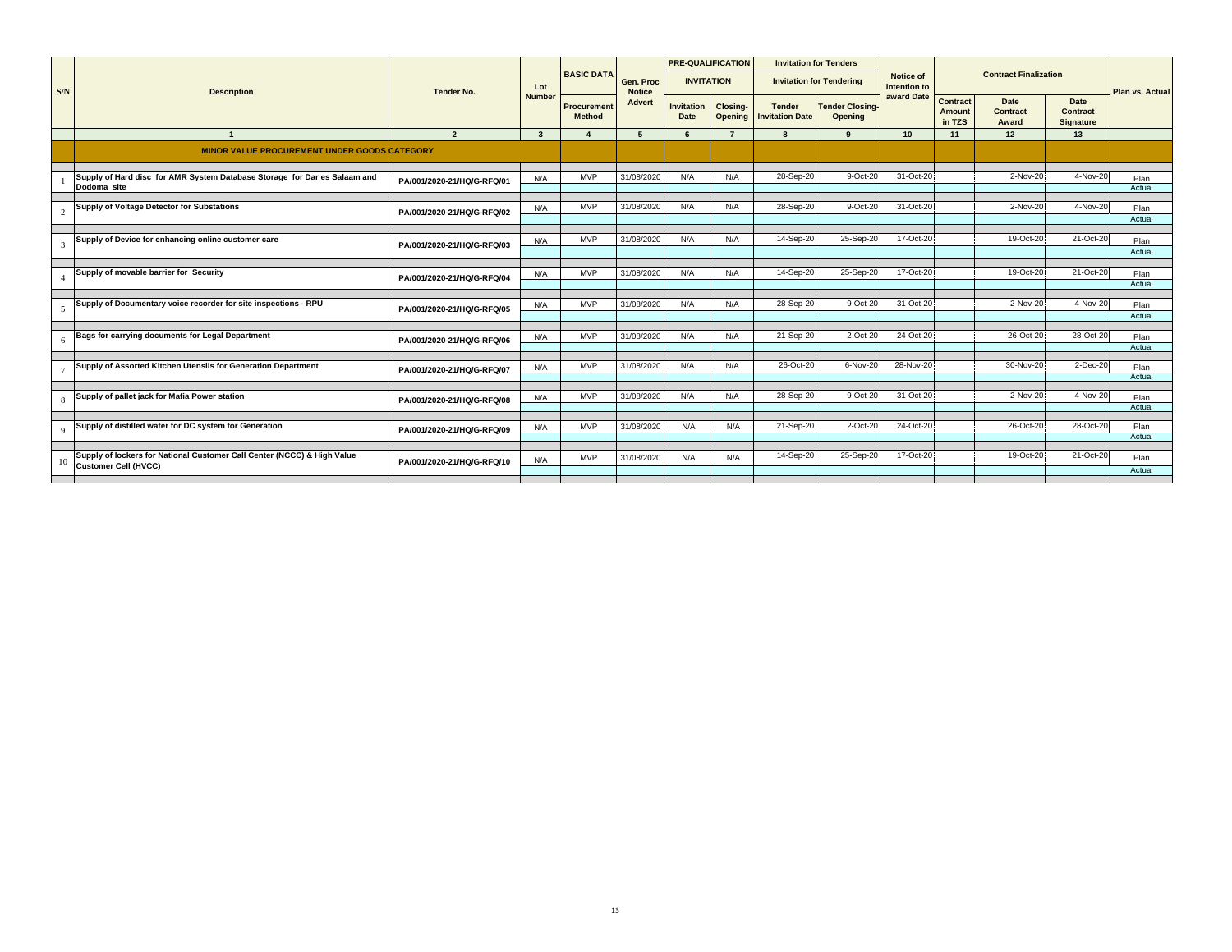|             |                                                                                                        | <b>Tender No.</b>          | Lot<br><b>Number</b> |                                     |                            |                           | <b>PRE-QUALIFICATION</b> |                                         | <b>Invitation for Tenders</b>            |                                  |                                            |                              |                                      |                        |
|-------------|--------------------------------------------------------------------------------------------------------|----------------------------|----------------------|-------------------------------------|----------------------------|---------------------------|--------------------------|-----------------------------------------|------------------------------------------|----------------------------------|--------------------------------------------|------------------------------|--------------------------------------|------------------------|
| S/N         | <b>Description</b>                                                                                     |                            |                      | <b>BASIC DATA</b>                   | Gen. Proc<br><b>Notice</b> | <b>INVITATION</b>         |                          |                                         | <b>Invitation for Tendering</b>          | <b>Notice of</b><br>intention to |                                            | <b>Contract Finalization</b> |                                      | <b>Plan vs. Actual</b> |
|             |                                                                                                        |                            |                      | <b>Procurement</b><br><b>Method</b> | <b>Advert</b>              | <b>Invitation</b><br>Date | Closing-<br>Opening      | <b>Tender</b><br><b>Invitation Date</b> | <b>Tender Closing-</b><br><b>Opening</b> | award Date                       | <b>Contract</b><br><b>Amount</b><br>in TZS | Date<br>Contract<br>Award    | Date<br>Contract<br><b>Signature</b> |                        |
|             | $\mathbf{1}$                                                                                           | $\overline{2}$             | $\mathbf{3}$         |                                     | 5                          | 6                         | $\overline{7}$           |                                         | $\mathbf{q}$                             | 10 <sup>1</sup>                  | 11                                         | 12                           | 13                                   |                        |
|             | <b>MINOR VALUE PROCUREMENT UNDER GOODS CATEGORY</b>                                                    |                            |                      |                                     |                            |                           |                          |                                         |                                          |                                  |                                            |                              |                                      |                        |
|             | Supply of Hard disc for AMR System Database Storage for Dar es Salaam and<br>Dodoma site               | PA/001/2020-21/HQ/G-RFQ/01 | N/A                  | <b>MVP</b>                          | 31/08/2020                 | N/A                       | N/A                      | 28-Sep-20                               | 9-Oct-20                                 | 31-Oct-20                        |                                            | 2-Nov-20                     | 4-Nov-20                             | Plan<br>Actual         |
|             | Supply of Voltage Detector for Substations                                                             | PA/001/2020-21/HQ/G-RFQ/02 | N/A                  | <b>MVP</b>                          | 31/08/2020                 | N/A                       | N/A                      | 28-Sep-20                               | 9-Oct-20                                 | 31-Oct-20                        |                                            | 2-Nov-20                     | 4-Nov-20                             | Plan<br>Actual         |
| 3           | Supply of Device for enhancing online customer care                                                    | PA/001/2020-21/HQ/G-RFQ/03 | N/A                  | <b>MVP</b>                          | 31/08/2020                 | N/A                       | N/A                      | 14-Sep-20                               | 25-Sep-20                                | 17-Oct-20                        |                                            | 19-Oct-20                    | 21-Oct-20                            | Plan<br>Actual         |
|             |                                                                                                        |                            |                      |                                     |                            |                           |                          |                                         |                                          |                                  |                                            |                              |                                      |                        |
|             | Supply of movable barrier for Security                                                                 | PA/001/2020-21/HQ/G-RFQ/04 | N/A                  | <b>MVP</b>                          | 31/08/2020                 | N/A                       | N/A                      | 14-Sep-20                               | 25-Sep-20                                | 17-Oct-20                        |                                            | 19-Oct-20                    | 21-Oct-20                            | Plan<br>Actual         |
|             |                                                                                                        |                            |                      |                                     |                            |                           |                          |                                         |                                          |                                  |                                            |                              |                                      |                        |
|             | Supply of Documentary voice recorder for site inspections - RPU                                        | PA/001/2020-21/HQ/G-RFQ/05 | N/A                  | <b>MVP</b>                          | 31/08/2020                 | N/A                       | N/A                      | 28-Sep-20                               | 9-Oct-20                                 | 31-Oct-20                        |                                            | 2-Nov-20                     | 4-Nov-20                             | Plan<br>Actual         |
| 6           | Bags for carrying documents for Legal Department                                                       | PA/001/2020-21/HQ/G-RFQ/06 | N/A                  | <b>MVP</b>                          | 31/08/2020                 | N/A                       | N/A                      | 21-Sep-20                               | 2-Oct-20                                 | 24-Oct-20                        |                                            | 26-Oct-20                    | 28-Oct-20                            | Plan                   |
|             |                                                                                                        |                            |                      |                                     |                            |                           |                          |                                         |                                          |                                  |                                            |                              |                                      | Actual                 |
|             | Supply of Assorted Kitchen Utensils for Generation Department                                          | PA/001/2020-21/HQ/G-RFQ/07 | N/A                  | <b>MVP</b>                          | 31/08/2020                 | N/A                       | N/A                      | 26-Oct-20                               | 6-Nov-20                                 | 28-Nov-20                        |                                            | 30-Nov-20                    | 2-Dec-20                             | Plan<br>Actual         |
|             |                                                                                                        |                            |                      |                                     |                            |                           |                          |                                         |                                          |                                  |                                            |                              |                                      |                        |
| 8           | Supply of pallet jack for Mafia Power station                                                          | PA/001/2020-21/HQ/G-RFQ/08 | N/A                  | <b>MVP</b>                          | 31/08/2020                 | N/A                       | N/A                      | 28-Sep-20                               | 9-Oct-20                                 | 31-Oct-20                        |                                            | 2-Nov-20                     | 4-Nov-20                             | Plan<br>Actual         |
|             |                                                                                                        |                            |                      |                                     |                            |                           |                          |                                         |                                          |                                  |                                            |                              |                                      |                        |
| $\mathbf Q$ | Supply of distilled water for DC system for Generation                                                 | PA/001/2020-21/HQ/G-RFQ/09 | N/A                  | <b>MVP</b>                          | 31/08/2020                 | N/A                       | N/A                      | 21-Sep-20                               | 2-Oct-20                                 | 24-Oct-20                        |                                            | 26-Oct-20                    | 28-Oct-20                            | Plan<br>Actual         |
|             |                                                                                                        |                            |                      |                                     |                            |                           |                          |                                         |                                          |                                  |                                            |                              |                                      |                        |
|             | Supply of lockers for National Customer Call Center (NCCC) & High Value<br><b>Customer Cell (HVCC)</b> | PA/001/2020-21/HQ/G-RFQ/10 | N/A                  | <b>MVP</b>                          | 31/08/2020                 | N/A                       | N/A                      | 14-Sep-20                               | 25-Sep-20                                | 17-Oct-20                        |                                            | 19-Oct-20                    | 21-Oct-20                            | Plan<br>Actual         |
|             |                                                                                                        |                            |                      |                                     |                            |                           |                          |                                         |                                          |                                  |                                            |                              |                                      |                        |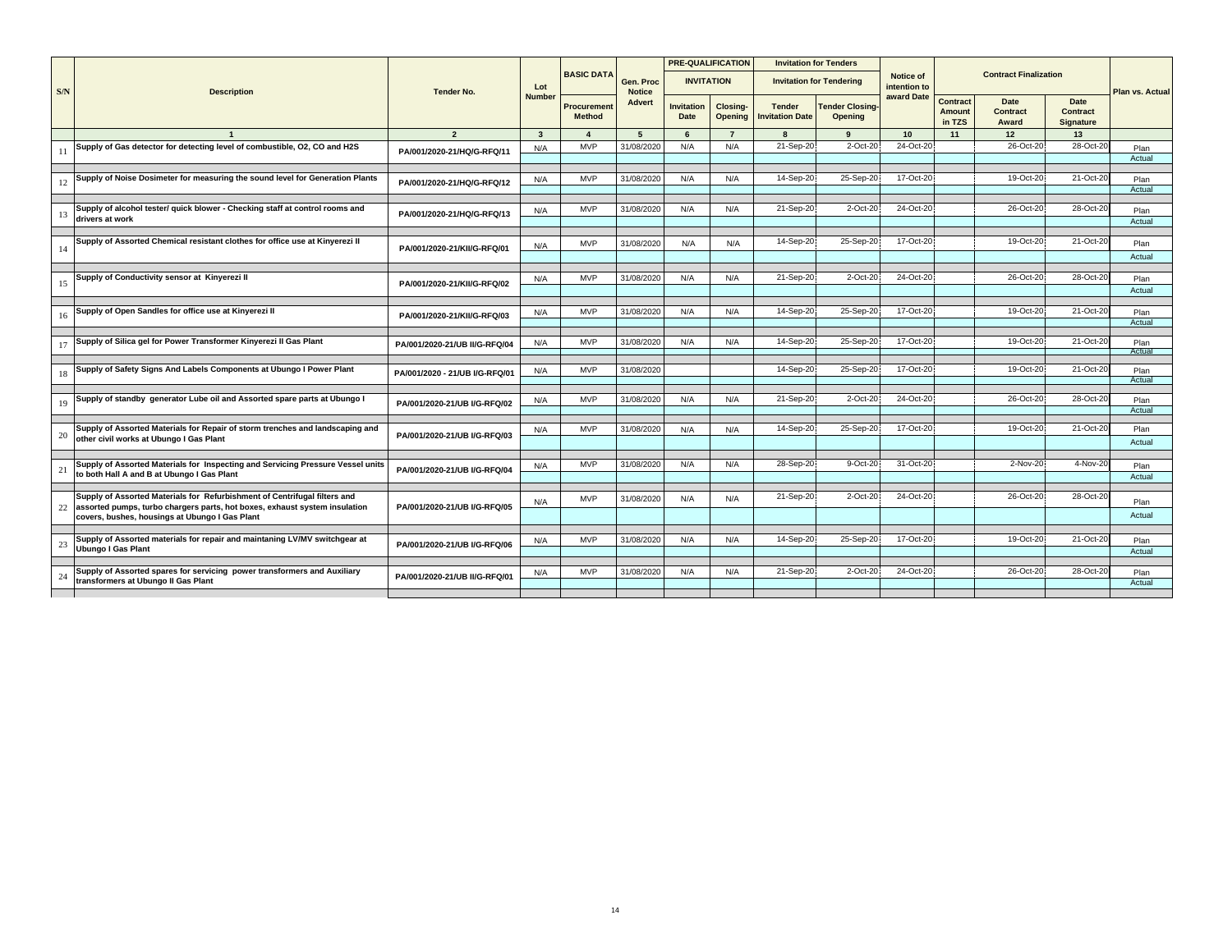|     |                                                                                                                                                         | <b>Tender No.</b>              |                         |                              |                            |                                  | <b>PRE-QUALIFICATION</b> |                                         | <b>Invitation for Tenders</b>            |                           |                                     |                                  |                                             |                 |
|-----|---------------------------------------------------------------------------------------------------------------------------------------------------------|--------------------------------|-------------------------|------------------------------|----------------------------|----------------------------------|--------------------------|-----------------------------------------|------------------------------------------|---------------------------|-------------------------------------|----------------------------------|---------------------------------------------|-----------------|
| S/N | <b>Description</b>                                                                                                                                      |                                | Lot                     | <b>BASIC DATA</b>            | Gen. Proc<br><b>Notice</b> |                                  | <b>INVITATION</b>        |                                         | <b>Invitation for Tendering</b>          | Notice of<br>intention to |                                     | <b>Contract Finalization</b>     |                                             | Plan vs. Actual |
|     |                                                                                                                                                         |                                | <b>Number</b>           | Procurement<br><b>Method</b> | <b>Advert</b>              | <b>Invitation</b><br><b>Date</b> | Closing-<br>Opening      | <b>Tender</b><br><b>Invitation Date</b> | <b>Tender Closing-</b><br><b>Opening</b> | award Date                | Contract<br><b>Amount</b><br>in TZS | Date<br><b>Contract</b><br>Award | <b>Date</b><br><b>Contract</b><br>Signature |                 |
|     |                                                                                                                                                         | $\overline{2}$                 | $\overline{\mathbf{3}}$ |                              | 5                          | -6                               | $\overline{7}$           | $\mathbf{R}$                            | $\mathbf{q}$                             | 10                        | 11                                  | 12                               | 13                                          |                 |
| 11  | Supply of Gas detector for detecting level of combustible, O2, CO and H2S                                                                               | PA/001/2020-21/HQ/G-RFQ/11     | N/A                     | <b>MVP</b>                   | 31/08/2020                 | N/A                              | N/A                      | 21-Sep-20                               | 2-Oct-20                                 | 24-Oct-20                 |                                     | 26-Oct-20                        | 28-Oct-20                                   | Plan<br>Actual  |
|     |                                                                                                                                                         |                                |                         |                              |                            |                                  |                          |                                         |                                          |                           |                                     |                                  |                                             |                 |
| 12  | Supply of Noise Dosimeter for measuring the sound level for Generation Plants                                                                           | PA/001/2020-21/HQ/G-RFQ/12     | N/A                     | <b>MVP</b>                   | 31/08/2020                 | N/A                              | N/A                      | 14-Sep-20                               | 25-Sep-20                                | 17-Oct-20                 |                                     | 19-Oct-20                        | 21-Oct-20                                   | Plan<br>Actual  |
| 13  | Supply of alcohol tester/ quick blower - Checking staff at control rooms and                                                                            | PA/001/2020-21/HQ/G-RFQ/13     | N/A                     | <b>MVP</b>                   | 31/08/2020                 | N/A                              | N/A                      | 21-Sep-20                               | $2$ -Oct- $20$                           | 24-Oct-20                 |                                     | 26-Oct-20                        | 28-Oct-20                                   | Plan            |
|     | drivers at work                                                                                                                                         |                                |                         |                              |                            |                                  |                          |                                         |                                          |                           |                                     |                                  |                                             | Actual          |
| 14  | Supply of Assorted Chemical resistant clothes for office use at Kinyerezi II                                                                            | PA/001/2020-21/KII/G-RFQ/01    | N/A                     | <b>MVP</b>                   | 31/08/2020                 | N/A                              | N/A                      | 14-Sep-20                               | 25-Sep-20                                | 17-Oct-20                 |                                     | 19-Oct-20                        | 21-Oct-20                                   | Plan            |
|     |                                                                                                                                                         |                                |                         |                              |                            |                                  |                          |                                         |                                          |                           |                                     |                                  |                                             | Actual          |
|     | Supply of Conductivity sensor at Kinyerezi II                                                                                                           |                                |                         | <b>MVP</b>                   | 31/08/2020                 | N/A                              | N/A                      | 21-Sep-20                               | $2$ -Oct-2                               | 24-Oct-20                 |                                     | 26-Oct-20                        | 28-Oct-20                                   |                 |
| 15  |                                                                                                                                                         | PA/001/2020-21/KII/G-RFQ/02    | N/A                     |                              |                            |                                  |                          |                                         |                                          |                           |                                     |                                  |                                             | Plan<br>Actual  |
|     | Supply of Open Sandles for office use at Kinyerezi II                                                                                                   |                                |                         |                              |                            |                                  |                          | 14-Sep-20                               | 25-Sep-20                                | 17-Oct-20                 |                                     | 19-Oct-20                        | 21-Oct-20                                   |                 |
| 16  |                                                                                                                                                         | PA/001/2020-21/KII/G-RFQ/03    | N/A                     | <b>MVP</b>                   | 31/08/2020                 | N/A                              | N/A                      |                                         |                                          |                           |                                     |                                  |                                             | Plan<br>Actual  |
|     | Supply of Silica gel for Power Transformer Kinyerezi II Gas Plant                                                                                       |                                |                         | <b>MVP</b>                   | 31/08/2020                 | N/A                              | N/A                      | 14-Sep-20                               | 25-Sep-20                                | 17-Oct-20                 |                                     | 19-Oct-20                        | 21-Oct-20                                   |                 |
| 17  |                                                                                                                                                         | PA/001/2020-21/UB II/G-RFQ/04  | N/A                     |                              |                            |                                  |                          |                                         |                                          |                           |                                     |                                  |                                             | Plan<br>Actual  |
|     | Supply of Safety Signs And Labels Components at Ubungo I Power Plant                                                                                    |                                |                         | <b>MVP</b>                   |                            |                                  |                          | 14-Sep-20                               | 25-Sep-20                                | 17-Oct-20                 |                                     | 19-Oct-20                        | 21-Oct-20                                   |                 |
| 18  |                                                                                                                                                         | PA/001/2020 - 21/UB I/G-RFQ/01 | N/A                     |                              | 31/08/2020                 |                                  |                          |                                         |                                          |                           |                                     |                                  |                                             | Plan<br>Actual  |
|     |                                                                                                                                                         |                                |                         |                              |                            |                                  |                          |                                         |                                          |                           |                                     |                                  |                                             |                 |
| 19  | Supply of standby generator Lube oil and Assorted spare parts at Ubungo I                                                                               | PA/001/2020-21/UB I/G-RFQ/02   | N/A                     | <b>MVP</b>                   | 31/08/2020                 | N/A                              | N/A                      | 21-Sep-20                               | 2-Oct-20                                 | 24-Oct-20                 |                                     | 26-Oct-20                        | 28-Oct-20                                   | Plan<br>Actual  |
|     |                                                                                                                                                         |                                |                         |                              |                            |                                  |                          |                                         |                                          |                           |                                     |                                  |                                             |                 |
| 20  | Supply of Assorted Materials for Repair of storm trenches and landscaping and<br>other civil works at Ubungo I Gas Plant                                | PA/001/2020-21/UB I/G-RFQ/03   | N/A                     | <b>MVP</b>                   | 31/08/2020                 | N/A                              | N/A                      | 14-Sep-20                               | 25-Sep-20                                | 17-Oct-20                 |                                     | 19-Oct-20                        | 21-Oct-20                                   | Plan            |
|     |                                                                                                                                                         |                                |                         |                              |                            |                                  |                          |                                         |                                          |                           |                                     |                                  |                                             | Actual          |
|     | Supply of Assorted Materials for Inspecting and Servicing Pressure Vessel units                                                                         |                                | N/A                     | <b>MVP</b>                   | 31/08/2020                 | N/A                              | N/A                      | 28-Sep-20                               | 9-Oct-20                                 | 31-Oct-20                 |                                     | 2-Nov-20                         | 4-Nov-20                                    | Plan            |
| 21  | to both Hall A and B at Ubungo I Gas Plant                                                                                                              | PA/001/2020-21/UB I/G-RFQ/04   |                         |                              |                            |                                  |                          |                                         |                                          |                           |                                     |                                  |                                             | Actual          |
|     |                                                                                                                                                         |                                |                         |                              |                            |                                  |                          |                                         |                                          |                           |                                     |                                  |                                             |                 |
| 22  | Supply of Assorted Materials for Refurbishment of Centrifugal filters and<br>assorted pumps, turbo chargers parts, hot boxes, exhaust system insulation | PA/001/2020-21/UB I/G-RFQ/05   | N/A                     | <b>MVP</b>                   | 31/08/2020                 | N/A                              | N/A                      | 21-Sep-20                               | 2-Oct-20                                 | 24-Oct-20                 |                                     | 26-Oct-20                        | 28-Oct-20                                   | Plan            |
|     | covers, bushes, housings at Ubungo I Gas Plant                                                                                                          |                                |                         |                              |                            |                                  |                          |                                         |                                          |                           |                                     |                                  |                                             | Actual          |
|     | Supply of Assorted materials for repair and maintaning LV/MV switchgear at                                                                              |                                | N/A                     | <b>MVP</b>                   | 31/08/2020                 | N/A                              | N/A                      | 14-Sep-20                               | 25-Sep-20                                | 17-Oct-20                 |                                     | 19-Oct-20                        | 21-Oct-20                                   | Plan            |
| 23  | <b>Ubungo I Gas Plant</b>                                                                                                                               | PA/001/2020-21/UB I/G-RFQ/06   |                         |                              |                            |                                  |                          |                                         |                                          |                           |                                     |                                  |                                             | Actual          |
|     | Supply of Assorted spares for servicing power transformers and Auxiliary                                                                                |                                |                         | <b>MVP</b>                   | 31/08/2020                 | N/A                              | N/A                      | 21-Sep-20                               | 2-Oct-20                                 | 24-Oct-20                 |                                     | 26-Oct-20                        | 28-Oct-20                                   |                 |
| 24  | transformers at Ubungo II Gas Plant                                                                                                                     | PA/001/2020-21/UB II/G-RFQ/01  | N/A                     |                              |                            |                                  |                          |                                         |                                          |                           |                                     |                                  |                                             | Plan<br>Actual  |
|     |                                                                                                                                                         |                                |                         |                              |                            |                                  |                          |                                         |                                          |                           |                                     |                                  |                                             |                 |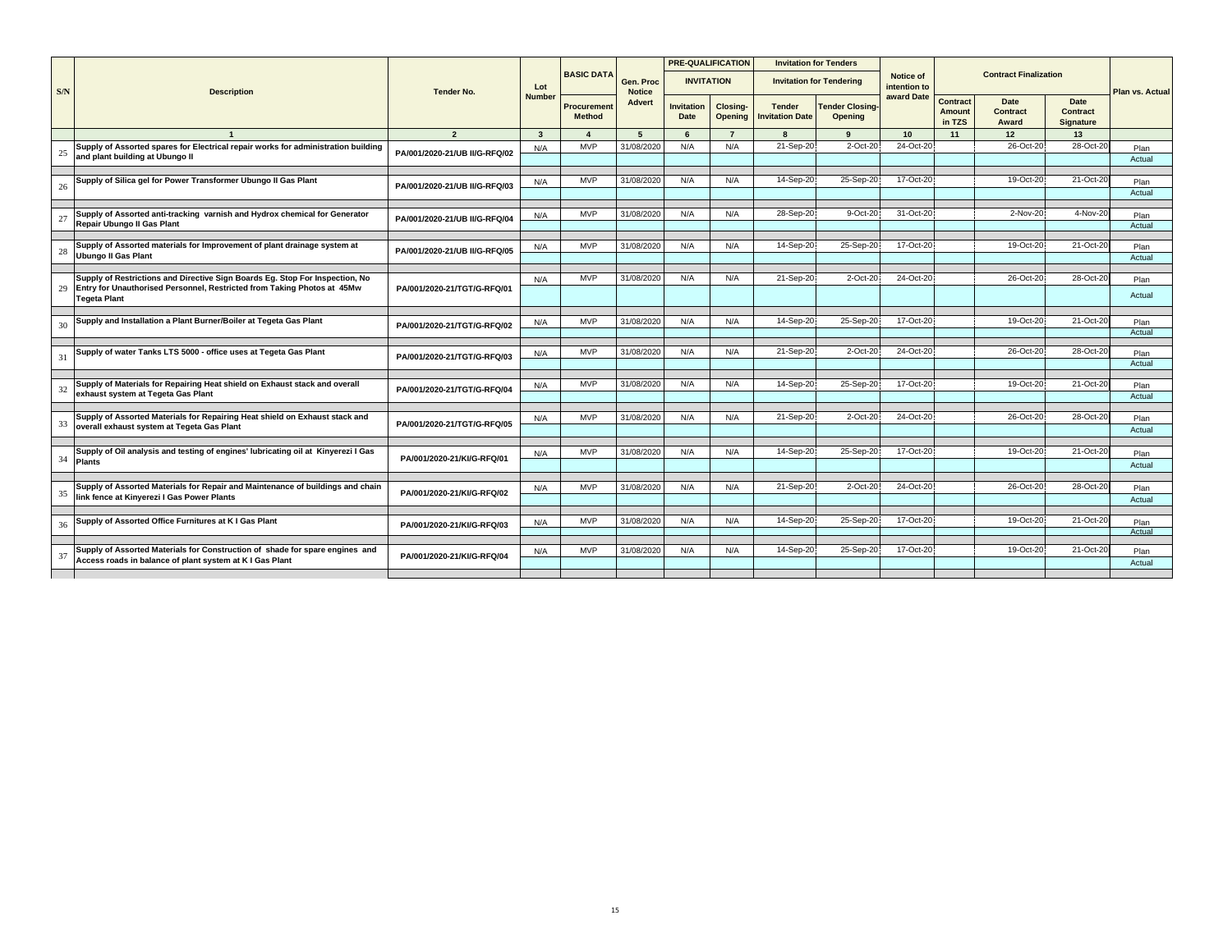|     |                                                                                                                                                         | <b>Tender No.</b>             | Lot                     |                                    |                            |                           | <b>PRE-QUALIFICATION</b>   |                                         | <b>Invitation for Tenders</b>            |                                  |                                     |                                         |                                                    |                 |
|-----|---------------------------------------------------------------------------------------------------------------------------------------------------------|-------------------------------|-------------------------|------------------------------------|----------------------------|---------------------------|----------------------------|-----------------------------------------|------------------------------------------|----------------------------------|-------------------------------------|-----------------------------------------|----------------------------------------------------|-----------------|
| S/N | <b>Description</b>                                                                                                                                      |                               |                         | <b>BASIC DATA</b>                  | Gen. Proc<br><b>Notice</b> |                           | <b>INVITATION</b>          |                                         | <b>Invitation for Tendering</b>          | <b>Notice of</b><br>intention to |                                     | <b>Contract Finalization</b>            |                                                    | Plan vs. Actual |
|     |                                                                                                                                                         |                               | <b>Number</b>           | <b>Procuremen</b><br><b>Method</b> | Advert                     | <b>Invitation</b><br>Date | <b>Closing-</b><br>Opening | <b>Tender</b><br><b>Invitation Date</b> | <b>Tender Closing-</b><br><b>Opening</b> | award Date                       | Contract<br><b>Amount</b><br>in TZS | <b>Date</b><br><b>Contract</b><br>Award | <b>Date</b><br><b>Contract</b><br><b>Signature</b> |                 |
|     |                                                                                                                                                         | $\overline{2}$                | $\overline{\mathbf{3}}$ | $\overline{a}$                     | 5                          | 6                         | $\overline{7}$             |                                         | $\mathbf{q}$                             | 10                               | 11                                  | 12                                      | 13                                                 |                 |
| 25  | Supply of Assorted spares for Electrical repair works for administration building<br>and plant building at Ubungo II                                    | PA/001/2020-21/UB II/G-RFQ/02 | N/A                     | <b>MVP</b>                         | 31/08/2020                 | N/A                       | N/A                        | 21-Sep-20                               | $2$ -Oct- $20$                           | 24-Oct-20                        |                                     | 26-Oct-20                               | 28-Oct-20                                          | Plan<br>Actual  |
|     |                                                                                                                                                         |                               |                         |                                    |                            |                           |                            |                                         |                                          |                                  |                                     |                                         |                                                    |                 |
| 26  | Supply of Silica gel for Power Transformer Ubungo II Gas Plant                                                                                          | PA/001/2020-21/UB II/G-RFQ/03 | N/A                     | <b>MVP</b>                         | 31/08/2020                 | N/A                       | N/A                        | 14-Sep-20                               | 25-Sep-20                                | 17-Oct-20                        |                                     | 19-Oct-20                               | 21-Oct-20                                          | Plan<br>Actual  |
|     |                                                                                                                                                         |                               |                         |                                    |                            |                           |                            |                                         |                                          |                                  |                                     |                                         |                                                    |                 |
| 27  | Supply of Assorted anti-tracking varnish and Hydrox chemical for Generator<br>Repair Ubungo II Gas Plant                                                | PA/001/2020-21/UB II/G-RFQ/04 | N/A                     | <b>MVP</b>                         | 31/08/2020                 | N/A                       | N/A                        | 28-Sep-20                               | 9-Oct-20                                 | 31-Oct-20                        |                                     | 2-Nov-20                                | 4-Nov-20                                           | Plan<br>Actual  |
|     |                                                                                                                                                         |                               |                         |                                    |                            |                           |                            |                                         |                                          |                                  |                                     |                                         |                                                    |                 |
| 28  | Supply of Assorted materials for Improvement of plant drainage system at<br><b>Ubungo II Gas Plant</b>                                                  | PA/001/2020-21/UB II/G-RFQ/05 | N/A                     | <b>MVP</b>                         | 31/08/2020                 | N/A                       | N/A                        | 14-Sep-20                               | 25-Sep-20                                | 17-Oct-20                        |                                     | 19-Oct-20                               | 21-Oct-20                                          | Plan<br>Actual  |
|     |                                                                                                                                                         |                               |                         |                                    |                            |                           |                            |                                         |                                          |                                  |                                     |                                         |                                                    |                 |
| 29  | Supply of Restrictions and Directive Sign Boards Eg. Stop For Inspection, No<br>Entry for Unauthorised Personnel, Restricted from Taking Photos at 45Mw | PA/001/2020-21/TGT/G-RFQ/01   | N/A                     | <b>MVP</b>                         | 31/08/2020                 | N/A                       | N/A                        | 21-Sep-20                               | 2-Oct-20                                 | 24-Oct-20                        |                                     | 26-Oct-20                               | 28-Oct-2                                           | Plan            |
|     | <b>Tegeta Plant</b>                                                                                                                                     |                               |                         |                                    |                            |                           |                            |                                         |                                          |                                  |                                     |                                         |                                                    | Actual          |
|     | Supply and Installation a Plant Burner/Boiler at Tegeta Gas Plant                                                                                       |                               |                         | <b>MVP</b>                         | 31/08/2020                 | N/A                       | N/A                        | 14-Sep-20                               | 25-Sep-20                                | 17-Oct-20                        |                                     | 19-Oct-20                               | 21-Oct-20                                          |                 |
| 30  |                                                                                                                                                         | PA/001/2020-21/TGT/G-RFQ/02   | N/A                     |                                    |                            |                           |                            |                                         |                                          |                                  |                                     |                                         |                                                    | Plan<br>Actual  |
|     | Supply of water Tanks LTS 5000 - office uses at Tegeta Gas Plant                                                                                        |                               |                         |                                    | 31/08/2020                 |                           |                            | 21-Sep-20                               | 2-Oct-20                                 | 24-Oct-20                        |                                     | 26-Oct-20                               | 28-Oct-20                                          |                 |
| 31  |                                                                                                                                                         | PA/001/2020-21/TGT/G-RFQ/03   | N/A                     | <b>MVP</b>                         |                            | N/A                       | N/A                        |                                         |                                          |                                  |                                     |                                         |                                                    | Plan<br>Actual  |
|     |                                                                                                                                                         |                               |                         |                                    |                            |                           |                            |                                         |                                          |                                  |                                     |                                         |                                                    |                 |
| 32  | Supply of Materials for Repairing Heat shield on Exhaust stack and overall                                                                              | PA/001/2020-21/TGT/G-RFQ/04   | N/A                     | <b>MVP</b>                         | 31/08/2020                 | N/A                       | N/A                        | 14-Sep-20                               | 25-Sep-20                                | 17-Oct-20                        |                                     | 19-Oct-20                               | 21-Oct-20                                          | Plan            |
|     | exhaust system at Tegeta Gas Plant                                                                                                                      |                               |                         |                                    |                            |                           |                            |                                         |                                          |                                  |                                     |                                         |                                                    | Actual          |
|     | Supply of Assorted Materials for Repairing Heat shield on Exhaust stack and                                                                             |                               | N/A                     | <b>MVP</b>                         | 31/08/2020                 | N/A                       | N/A                        | 21-Sep-20                               | 2-Oct-20                                 | 24-Oct-20                        |                                     | 26-Oct-20                               | 28-Oct-20                                          | Plan            |
| 33  | overall exhaust system at Tegeta Gas Plant                                                                                                              | PA/001/2020-21/TGT/G-RFQ/05   |                         |                                    |                            |                           |                            |                                         |                                          |                                  |                                     |                                         |                                                    | Actual          |
|     |                                                                                                                                                         |                               |                         |                                    |                            |                           |                            |                                         |                                          |                                  |                                     |                                         |                                                    |                 |
| 34  | Supply of Oil analysis and testing of engines' lubricating oil at Kinyerezi I Gas                                                                       | PA/001/2020-21/KI/G-RFQ/01    | N/A                     | <b>MVP</b>                         | 31/08/2020                 | N/A                       | N/A                        | 14-Sep-20                               | 25-Sep-20                                | 17-Oct-20                        |                                     | 19-Oct-20                               | 21-Oct-20                                          | Plan            |
|     | <b>Plants</b>                                                                                                                                           |                               |                         |                                    |                            |                           |                            |                                         |                                          |                                  |                                     |                                         |                                                    | Actual          |
|     |                                                                                                                                                         |                               |                         |                                    |                            |                           |                            |                                         |                                          |                                  |                                     |                                         |                                                    |                 |
| 35  | Supply of Assorted Materials for Repair and Maintenance of buildings and chain<br>link fence at Kinyerezi I Gas Power Plants                            | PA/001/2020-21/KI/G-RFQ/02    | N/A                     | <b>MVP</b>                         | 31/08/2020                 | N/A                       | N/A                        | 21-Sep-20                               | 2-Oct-20                                 | 24-Oct-20                        |                                     | 26-Oct-20                               | 28-Oct-20                                          | Plan            |
|     |                                                                                                                                                         |                               |                         |                                    |                            |                           |                            |                                         |                                          |                                  |                                     |                                         |                                                    | Actual          |
| 36  | Supply of Assorted Office Furnitures at K I Gas Plant                                                                                                   |                               | N/A                     | <b>MVP</b>                         | 31/08/2020                 | N/A                       | N/A                        | 14-Sep-20                               | 25-Sep-20                                | 17-Oct-20                        |                                     | 19-Oct-20                               | 21-Oct-20                                          | Plan            |
|     |                                                                                                                                                         | PA/001/2020-21/KI/G-RFQ/03    |                         |                                    |                            |                           |                            |                                         |                                          |                                  |                                     |                                         |                                                    | Actual          |
|     |                                                                                                                                                         |                               |                         |                                    |                            |                           |                            |                                         |                                          |                                  |                                     |                                         |                                                    |                 |
| 37  | Supply of Assorted Materials for Construction of shade for spare engines and<br>Access roads in balance of plant system at K I Gas Plant                | PA/001/2020-21/KI/G-RFQ/04    | N/A                     | <b>MVP</b>                         | 31/08/2020                 | N/A                       | N/A                        | 14-Sep-20                               | 25-Sep-20                                | 17-Oct-20                        |                                     | 19-Oct-20                               | 21-Oct-20                                          | Plan<br>Actual  |
|     |                                                                                                                                                         |                               |                         |                                    |                            |                           |                            |                                         |                                          |                                  |                                     |                                         |                                                    |                 |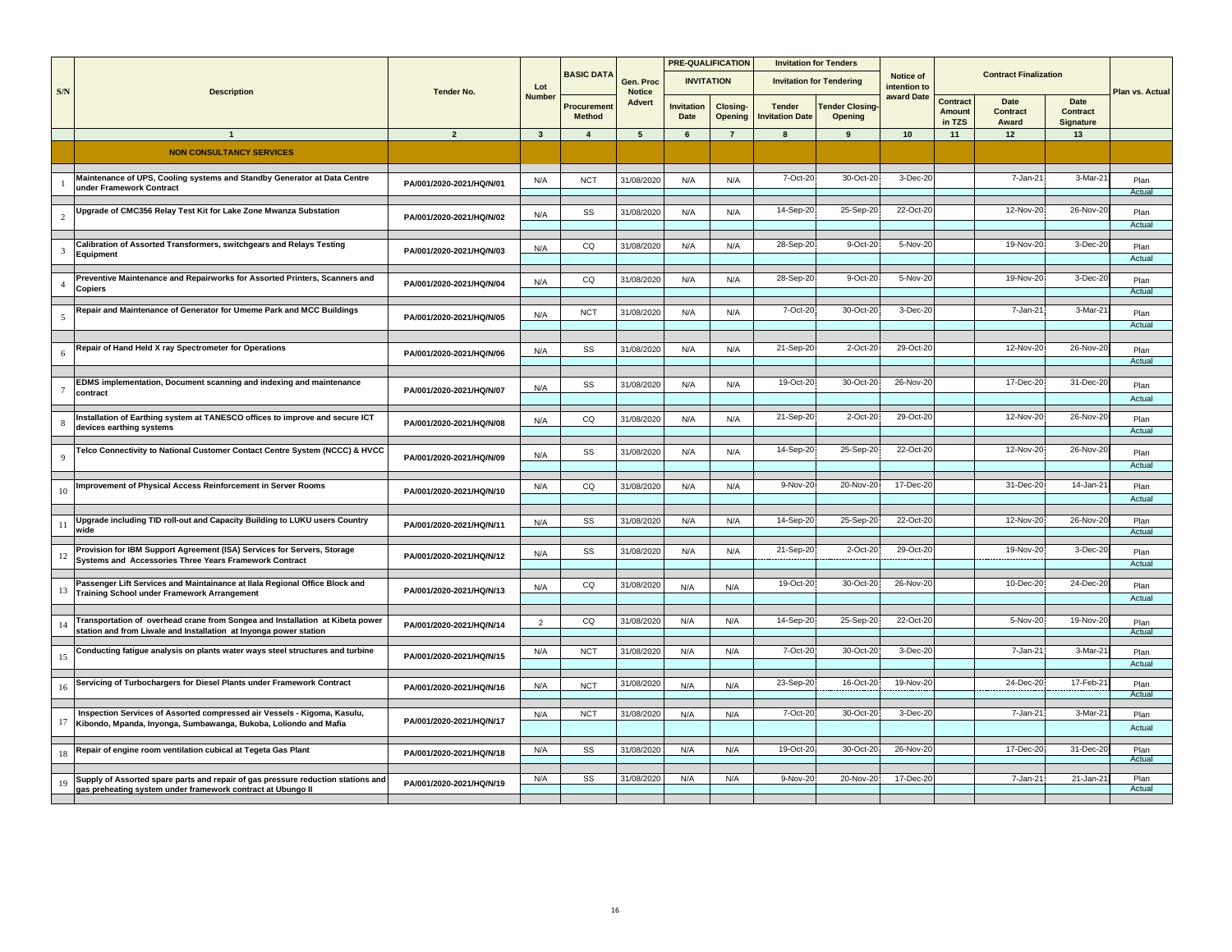|                | <b>Description</b>                                                                                                                           | <b>Tender No.</b>        |                |                              |                            |                           | <b>PRE-QUALIFICATION</b> |                                 | <b>Invitation for Tenders</b>    |                           |                                     |                              |                               |                 |
|----------------|----------------------------------------------------------------------------------------------------------------------------------------------|--------------------------|----------------|------------------------------|----------------------------|---------------------------|--------------------------|---------------------------------|----------------------------------|---------------------------|-------------------------------------|------------------------------|-------------------------------|-----------------|
| S/N            |                                                                                                                                              |                          | Lot            | <b>BASIC DATA</b>            | Gen. Proc<br><b>Notice</b> |                           | <b>INVITATION</b>        |                                 | <b>Invitation for Tendering</b>  | Notice of<br>intention to |                                     | <b>Contract Finalization</b> |                               | Plan vs. Actual |
|                |                                                                                                                                              |                          | <b>Number</b>  | Procurement<br><b>Method</b> | Advert                     | <b>Invitation</b><br>Date | Closing-<br>Opening      | <b>Tender</b><br>nvitation Date | <b>Tender Closing</b><br>Opening | award Date                | Contract<br><b>Amount</b><br>in TZS | Date<br>Contract<br>Award    | Date<br>Contract<br>Signature |                 |
|                | $\mathbf{1}$                                                                                                                                 | $\overline{2}$           | $\mathbf{3}$   | $\overline{4}$               | $5\overline{5}$            | 6                         | $\overline{7}$           | 8                               | 9                                | 10                        | 11                                  | 12                           | 13                            |                 |
|                | <b>NON CONSULTANCY SERVICES</b>                                                                                                              |                          |                |                              |                            |                           |                          |                                 |                                  |                           |                                     |                              |                               |                 |
|                |                                                                                                                                              |                          |                |                              |                            |                           |                          |                                 |                                  |                           |                                     |                              |                               |                 |
|                | Maintenance of UPS, Cooling systems and Standby Generator at Data Centre                                                                     |                          | N/A            | <b>NCT</b>                   | 31/08/2020                 | N/A                       | N/A                      | 7-Oct-20                        | 30-Oct-20                        | 3-Dec-20                  |                                     | 7-Jan-21                     | $3-Mar-2'$                    | Plan            |
|                | under Framework Contract                                                                                                                     | PA/001/2020-2021/HQ/N/01 |                |                              |                            |                           |                          |                                 |                                  |                           |                                     |                              |                               | Actual          |
|                |                                                                                                                                              |                          |                |                              |                            |                           |                          |                                 |                                  |                           |                                     |                              |                               |                 |
| $\overline{c}$ | Upgrade of CMC356 Relay Test Kit for Lake Zone Mwanza Substation                                                                             | PA/001/2020-2021/HQ/N/02 | N/A            | SS                           | 31/08/2020                 | N/A                       | N/A                      | 14-Sep-20                       | 25-Sep-20                        | 22-Oct-20                 |                                     | 12-Nov-20                    | 26-Nov-2                      | Plan            |
|                |                                                                                                                                              |                          |                |                              |                            |                           |                          |                                 |                                  |                           |                                     |                              |                               | Actual          |
| 3              | Calibration of Assorted Transformers, switchgears and Relays Testing                                                                         | PA/001/2020-2021/HQ/N/03 | N/A            | CQ                           | 31/08/2020                 | N/A                       | N/A                      | 28-Sep-20                       | 9-Oct-20                         | 5-Nov-20                  |                                     | 19-Nov-20                    | $3-Dec-2$                     | Plan            |
|                | Equipment                                                                                                                                    |                          |                |                              |                            |                           |                          |                                 |                                  |                           |                                     |                              |                               | Actual          |
|                | Preventive Maintenance and Repairworks for Assorted Printers, Scanners and                                                                   |                          |                | CO                           | 31/08/2020                 | N/A                       | N/A                      | 28-Sep-20                       | 9-Oct-20                         | 5-Nov-20                  |                                     | 19-Nov-20                    | 3-Dec-20                      | Plan            |
|                | Copiers                                                                                                                                      | PA/001/2020-2021/HQ/N/04 | N/A            |                              |                            |                           |                          |                                 |                                  |                           |                                     |                              |                               | Actual          |
|                |                                                                                                                                              |                          |                |                              |                            |                           |                          |                                 |                                  |                           |                                     |                              |                               |                 |
|                | Repair and Maintenance of Generator for Umeme Park and MCC Buildings                                                                         | PA/001/2020-2021/HQ/N/05 | N/A            | <b>NCT</b>                   | 31/08/2020                 | N/A                       | N/A                      | 7-Oct-20                        | 30-Oct-20                        | 3-Dec-20                  |                                     | 7-Jan-21                     | $3-Mar-2'$                    | Plan            |
|                |                                                                                                                                              |                          |                |                              |                            |                           |                          |                                 |                                  |                           |                                     |                              |                               | Actual          |
|                | Repair of Hand Held X ray Spectrometer for Operations                                                                                        |                          | N/A            | SS                           | 31/08/2020                 | N/A                       | N/A                      | 21-Sep-20                       | 2-Oct-20                         | 29-Oct-20                 |                                     | 12-Nov-20                    | 26-Nov-20                     | Plan            |
| 6              |                                                                                                                                              | PA/001/2020-2021/HQ/N/06 |                |                              |                            |                           |                          |                                 |                                  |                           |                                     |                              |                               | Actual          |
|                |                                                                                                                                              |                          |                |                              |                            |                           |                          |                                 |                                  |                           |                                     |                              |                               |                 |
|                | EDMS implementation, Document scanning and indexing and maintenance<br>contract                                                              | PA/001/2020-2021/HQ/N/07 | N/A            | SS                           | 31/08/2020                 | N/A                       | N/A                      | 19-Oct-20                       | 30-Oct-20                        | 26-Nov-20                 |                                     | 17-Dec-20                    | 31-Dec-2                      | Plan            |
|                |                                                                                                                                              |                          |                |                              |                            |                           |                          |                                 |                                  |                           |                                     |                              |                               | Actual          |
|                | Installation of Earthing system at TANESCO offices to improve and secure ICT                                                                 | PA/001/2020-2021/HQ/N/08 | N/A            | CQ                           | 31/08/2020                 | N/A                       | N/A                      | 21-Sep-20                       | 2-Oct-20                         | 29-Oct-20                 |                                     | 12-Nov-20                    | 26-Nov-2                      | Plan            |
|                | devices earthing systems                                                                                                                     |                          |                |                              |                            |                           |                          |                                 |                                  |                           |                                     |                              |                               | Actual          |
|                | Telco Connectivity to National Customer Contact Centre System (NCCC) & HVCC                                                                  |                          |                |                              | 31/08/2020                 | N/A                       | N/A                      | 14-Sep-20                       | 25-Sep-20                        | 22-Oct-20                 |                                     | 12-Nov-20                    | 26-Nov-20                     |                 |
|                |                                                                                                                                              | PA/001/2020-2021/HQ/N/09 | N/A            | SS                           |                            |                           |                          |                                 |                                  |                           |                                     |                              |                               | Plan<br>Actual  |
|                |                                                                                                                                              |                          |                |                              |                            |                           |                          |                                 |                                  |                           |                                     |                              |                               |                 |
|                | Improvement of Physical Access Reinforcement in Server Rooms                                                                                 | PA/001/2020-2021/HQ/N/10 | N/A            | CQ                           | 31/08/2020                 | N/A                       | N/A                      | 9-Nov-20                        | 20-Nov-20                        | 17-Dec-20                 |                                     | 31-Dec-20                    | $14$ -Jan- $2$                | Plan            |
|                |                                                                                                                                              |                          |                |                              |                            |                           |                          |                                 |                                  |                           |                                     |                              |                               | Actual          |
|                | Upgrade including TID roll-out and Capacity Building to LUKU users Country                                                                   |                          | N/A            | SS                           | 31/08/2020                 | N/A                       | N/A                      | 14-Sep-20                       | 25-Sep-20                        | 22-Oct-20                 |                                     | 12-Nov-20                    | 26-Nov-2                      | Plan            |
|                | wide                                                                                                                                         | PA/001/2020-2021/HQ/N/11 |                |                              |                            |                           |                          |                                 |                                  |                           |                                     |                              |                               | Actual          |
|                | Provision for IBM Support Agreement (ISA) Services for Servers, Storage                                                                      |                          |                | SS                           | 31/08/2020                 | N/A                       | N/A                      | 21-Sep-20                       | 2-Oct-20                         | 29-Oct-20                 |                                     | 19-Nov-20                    | 3-Dec-20                      | Plan            |
|                | Systems and Accessories Three Years Framework Contract                                                                                       | PA/001/2020-2021/HQ/N/12 | N/A            |                              |                            |                           |                          |                                 |                                  |                           |                                     |                              |                               | Actual          |
|                |                                                                                                                                              |                          |                |                              |                            |                           |                          |                                 |                                  |                           |                                     |                              |                               |                 |
| 13             | Passenger Lift Services and Maintainance at Ilala Regional Office Block and<br><b>Training School under Framework Arrangement</b>            | PA/001/2020-2021/HQ/N/13 | N/A            | CQ                           | 31/08/2020                 | N/A                       | N/A                      | 19-Oct-20                       | 30-Oct-20                        | 26-Nov-20                 |                                     | 10-Dec-20                    | 24-Dec-2                      | Plan            |
|                |                                                                                                                                              |                          |                |                              |                            |                           |                          |                                 |                                  |                           |                                     |                              |                               | Actual          |
|                | Transportation of overhead crane from Songea and Installation at Kibeta power                                                                | PA/001/2020-2021/HQ/N/14 | $\overline{2}$ | CO                           | 31/08/2020                 | N/A                       | N/A                      | 14-Sep-20                       | 25-Sep-20                        | 22-Oct-20                 |                                     | 5-Nov-20                     | 19-Nov-20                     | Plan            |
|                | station and from Liwale and Installation at Inyonga power station                                                                            |                          |                |                              |                            |                           |                          |                                 |                                  |                           |                                     |                              |                               | Actual          |
|                | Conducting fatigue analysis on plants water ways steel structures and turbine                                                                |                          | N/A            | <b>NCT</b>                   | 31/08/2020                 | N/A                       | N/A                      | 7-Oct-20                        | 30-Oct-20                        | 3-Dec-20                  |                                     | 7-Jan-21                     | 3-Mar-2                       | Plan            |
|                |                                                                                                                                              | PA/001/2020-2021/HQ/N/15 |                |                              |                            |                           |                          |                                 |                                  |                           |                                     |                              |                               | Actual          |
|                | Servicing of Turbochargers for Diesel Plants under Framework Contract                                                                        |                          |                |                              |                            |                           |                          | 23-Sep-20                       | 16-Oct-20                        | 19-Nov-20                 |                                     | 24-Dec-20                    | 17-Feb-21                     | Plan            |
|                |                                                                                                                                              | PA/001/2020-2021/HQ/N/16 | N/A            | <b>NCT</b>                   | 31/08/2020                 | N/A                       | N/A                      |                                 |                                  |                           |                                     |                              |                               | Actual          |
|                |                                                                                                                                              |                          |                |                              |                            |                           |                          |                                 |                                  |                           |                                     |                              |                               |                 |
| 17             | Inspection Services of Assorted compressed air Vessels - Kigoma, Kasulu,<br>Kibondo, Mpanda, Inyonga, Sumbawanga, Bukoba, Loliondo and Mafia | PA/001/2020-2021/HQ/N/17 | N/A            | <b>NCT</b>                   | 31/08/2020                 | N/A                       | N/A                      | 7-Oct-20                        | 30-Oct-20                        | 3-Dec-20                  |                                     | 7-Jan-21                     | $3-Mar-2'$                    | Plan            |
|                |                                                                                                                                              |                          |                |                              |                            |                           |                          |                                 |                                  |                           |                                     |                              |                               | Actual          |
|                | Repair of engine room ventilation cubical at Tegeta Gas Plant                                                                                | PA/001/2020-2021/HQ/N/18 | N/A            | SS                           | 31/08/2020                 | N/A                       | N/A                      | 19-Oct-20                       | 30-Oct-20                        | 26-Nov-20                 |                                     | 17-Dec-20                    | 31-Dec-20                     | Plan            |
|                |                                                                                                                                              |                          |                |                              |                            |                           |                          |                                 |                                  |                           |                                     |                              |                               | Actual          |
|                | Supply of Assorted spare parts and repair of gas pressure reduction stations and                                                             | PA/001/2020-2021/HQ/N/19 | N/A            | SS                           | 31/08/2020                 | N/A                       | N/A                      | 9-Nov-20                        | 20-Nov-20                        | 17-Dec-20                 |                                     | 7-Jan-21                     | $21$ -Jan-2                   | Plan            |
|                | gas preheating system under framework contract at Ubungo II                                                                                  |                          |                |                              |                            |                           |                          |                                 |                                  |                           |                                     |                              |                               | Actual          |
|                |                                                                                                                                              |                          |                |                              |                            |                           |                          |                                 |                                  |                           |                                     |                              |                               |                 |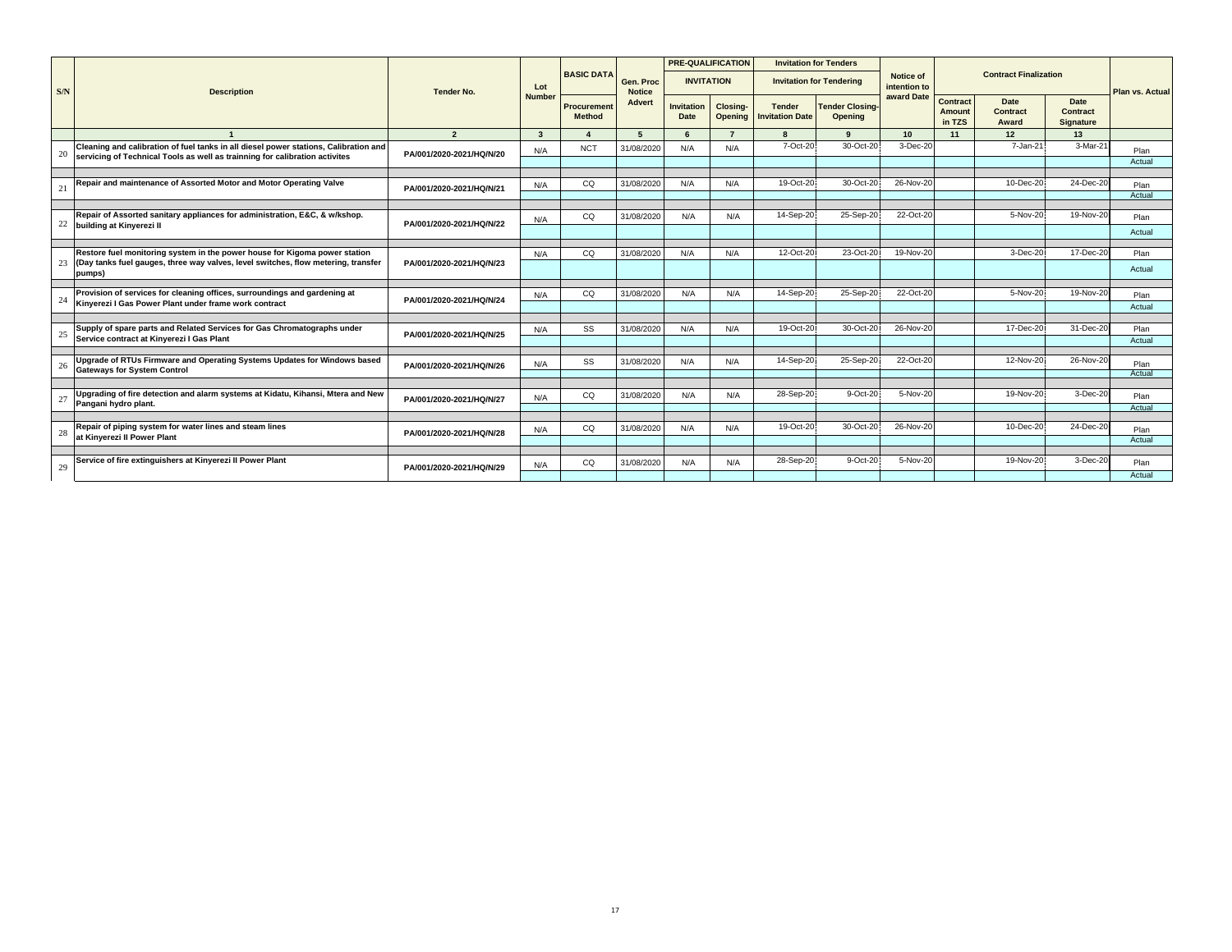|     |                                                                                                                                                                     | <b>Tender No.</b>        | Lot           |                                     |                            | <b>PRE-QUALIFICATION</b>  |                            |                                         | <b>Invitation for Tenders</b>            |                                  |                                            |                                         |                                             |                 |
|-----|---------------------------------------------------------------------------------------------------------------------------------------------------------------------|--------------------------|---------------|-------------------------------------|----------------------------|---------------------------|----------------------------|-----------------------------------------|------------------------------------------|----------------------------------|--------------------------------------------|-----------------------------------------|---------------------------------------------|-----------------|
| S/N | <b>Description</b>                                                                                                                                                  |                          |               | <b>BASIC DATA</b>                   | Gen. Proc<br><b>Notice</b> | <b>INVITATION</b>         |                            |                                         | <b>Invitation for Tendering</b>          | <b>Notice of</b><br>intention to |                                            | <b>Contract Finalization</b>            |                                             | Plan vs. Actual |
|     |                                                                                                                                                                     |                          | <b>Number</b> | <b>Procurement</b><br><b>Method</b> | <b>Advert</b>              | <b>Invitation</b><br>Date | Closing-<br><b>Opening</b> | <b>Tender</b><br><b>Invitation Date</b> | <b>Tender Closing-</b><br><b>Opening</b> | award Date                       | <b>Contract</b><br><b>Amount</b><br>in TZS | <b>Date</b><br><b>Contract</b><br>Award | Date<br><b>Contract</b><br><b>Signature</b> |                 |
|     |                                                                                                                                                                     | $\overline{2}$           | $\mathbf{3}$  |                                     | $\sqrt{2}$                 | $\epsilon$                | $\overline{z}$             |                                         | $\Omega$                                 | 10 <sup>1</sup>                  | 11                                         | 12                                      | 13                                          |                 |
| 20  | Cleaning and calibration of fuel tanks in all diesel power stations, Calibration and<br>servicing of Technical Tools as well as trainning for calibration activites | PA/001/2020-2021/HQ/N/20 | N/A           | <b>NCT</b>                          | 31/08/2020                 | N/A                       | N/A                        | 7-Oct-20                                | 30-Oct-20                                | 3-Dec-20                         |                                            | 7-Jan-21                                | 3-Mar-21                                    | Plan            |
|     |                                                                                                                                                                     |                          |               |                                     |                            |                           |                            |                                         |                                          |                                  |                                            |                                         |                                             | Actual          |
|     | Repair and maintenance of Assorted Motor and Motor Operating Valve                                                                                                  |                          | N/A           | CQ                                  | 31/08/2020                 | N/A                       | N/A                        | 19-Oct-20                               | 30-Oct-20                                | 26-Nov-20                        |                                            | 10-Dec-20                               | 24-Dec-20                                   | Plan            |
| 21  |                                                                                                                                                                     | PA/001/2020-2021/HQ/N/21 |               |                                     |                            |                           |                            |                                         |                                          |                                  |                                            |                                         |                                             | Actual          |
|     |                                                                                                                                                                     |                          |               |                                     |                            |                           |                            |                                         |                                          |                                  |                                            |                                         |                                             |                 |
|     | Repair of Assorted sanitary appliances for administration, E&C, & w/kshop.<br>22 building at Kinyerezi II                                                           | PA/001/2020-2021/HQ/N/22 | N/A           | CQ                                  | 31/08/2020                 | N/A                       | N/A                        | 14-Sep-20                               | 25-Sep-20                                | 22-Oct-20                        |                                            | $5-Nov-20$                              | 19-Nov-20                                   | Plan            |
|     |                                                                                                                                                                     |                          |               |                                     |                            |                           |                            |                                         |                                          |                                  |                                            |                                         |                                             | Actual          |
|     | Restore fuel monitoring system in the power house for Kigoma power station                                                                                          |                          |               | CQ                                  | 31/08/2020                 | N/A                       |                            | 12-Oct-20                               | 23-Oct-20                                | 19-Nov-20                        |                                            | 3-Dec-20                                | 17-Dec-20                                   |                 |
| 23  | (Day tanks fuel gauges, three way valves, level switches, flow metering, transfer<br>pumps)                                                                         | PA/001/2020-2021/HQ/N/23 | N/A           |                                     |                            |                           | N/A                        |                                         |                                          |                                  |                                            |                                         |                                             | Plan<br>Actual  |
|     |                                                                                                                                                                     |                          |               |                                     |                            |                           |                            |                                         |                                          |                                  |                                            |                                         |                                             |                 |
| 24  | Provision of services for cleaning offices, surroundings and gardening at<br>Kinyerezi I Gas Power Plant under frame work contract                                  | PA/001/2020-2021/HQ/N/24 | N/A           | CO                                  | 31/08/2020                 | N/A                       | N/A                        | 14-Sep-20                               | 25-Sep-20                                | 22-Oct-20                        |                                            | 5-Nov-20                                | 19-Nov-20                                   | Plan            |
|     |                                                                                                                                                                     |                          |               |                                     |                            |                           |                            |                                         |                                          |                                  |                                            |                                         |                                             | Actual          |
|     | Supply of spare parts and Related Services for Gas Chromatographs under                                                                                             |                          | N/A           | SS.                                 | 31/08/2020                 | N/A                       | N/A                        | 19-Oct-20                               | 30-Oct-20                                | 26-Nov-20                        |                                            | 17-Dec-20                               | 31-Dec-20                                   | Plan            |
| 25  | Service contract at Kinyerezi I Gas Plant                                                                                                                           | PA/001/2020-2021/HQ/N/25 |               |                                     |                            |                           |                            |                                         |                                          |                                  |                                            |                                         |                                             | Actual          |
|     |                                                                                                                                                                     |                          |               |                                     |                            |                           |                            |                                         |                                          |                                  |                                            |                                         |                                             |                 |
| 26  | Upgrade of RTUs Firmware and Operating Systems Updates for Windows based<br><b>Gatewavs for System Control</b>                                                      | PA/001/2020-2021/HQ/N/26 | N/A           | SS                                  | 31/08/2020                 | N/A                       | N/A                        | 14-Sep-20                               | 25-Sep-20                                | 22-Oct-20                        |                                            | 12-Nov-20                               | 26-Nov-20                                   | Plan<br>Actual  |
|     |                                                                                                                                                                     |                          |               |                                     |                            |                           |                            |                                         |                                          |                                  |                                            |                                         |                                             |                 |
| 27  | Upgrading of fire detection and alarm systems at Kidatu, Kihansi, Mtera and New<br>Pangani hydro plant.                                                             | PA/001/2020-2021/HQ/N/27 | N/A           | CO                                  | 31/08/2020                 | N/A                       | N/A                        | 28-Sep-20                               | 9-Oct-20                                 | 5-Nov-20                         |                                            | 19-Nov-20                               | 3-Dec-20                                    | Plan            |
|     |                                                                                                                                                                     |                          |               |                                     |                            |                           |                            |                                         |                                          |                                  |                                            |                                         |                                             | Actual          |
|     | Repair of piping system for water lines and steam lines                                                                                                             |                          | N/A           | CO                                  | 31/08/2020                 | N/A                       | N/A                        | 19-Oct-20                               | 30-Oct-20                                | 26-Nov-20                        |                                            | 10-Dec-20                               | 24-Dec-20                                   | Plan            |
| 28  | at Kinverezi II Power Plant                                                                                                                                         | PA/001/2020-2021/HQ/N/28 |               |                                     |                            |                           |                            |                                         |                                          |                                  |                                            |                                         |                                             | Actual          |
|     |                                                                                                                                                                     |                          |               |                                     |                            |                           |                            |                                         |                                          |                                  |                                            |                                         |                                             |                 |
| 29  | Service of fire extinguishers at Kinyerezi II Power Plant                                                                                                           | PA/001/2020-2021/HQ/N/29 | N/A           | CQ                                  | 31/08/2020                 | N/A                       | N/A                        | 28-Sep-20                               | 9-Oct-20                                 | 5-Nov-20                         |                                            | 19-Nov-20                               | 3-Dec-20                                    | Plan            |
|     |                                                                                                                                                                     |                          |               |                                     |                            |                           |                            |                                         |                                          |                                  |                                            |                                         |                                             | Actual          |